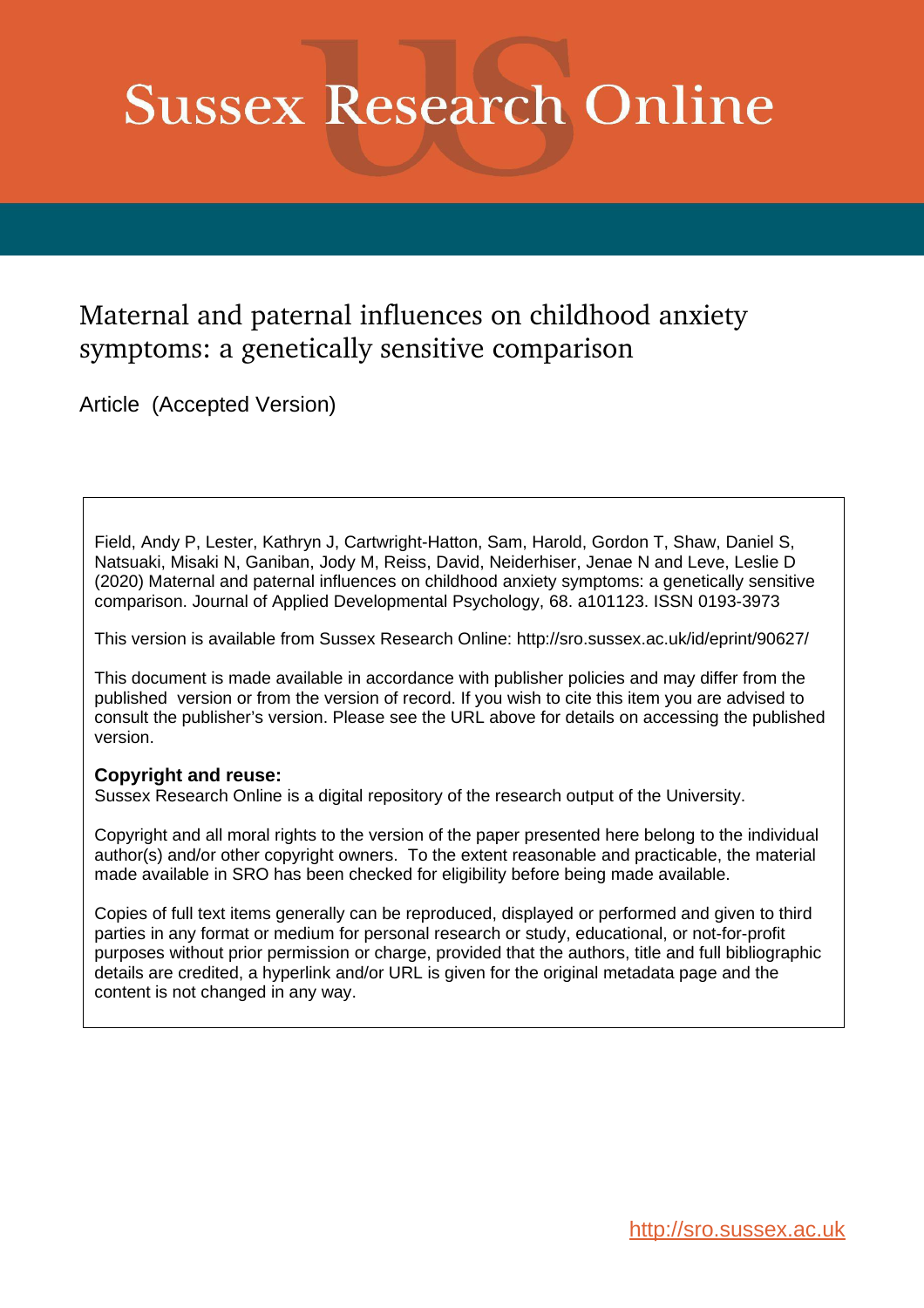# **Sussex Research Online**

# Maternal and paternal influences on childhood anxiety symptoms: a genetically sensitive comparison

Article (Accepted Version)

Field, Andy P, Lester, Kathryn J, Cartwright-Hatton, Sam, Harold, Gordon T, Shaw, Daniel S, Natsuaki, Misaki N, Ganiban, Jody M, Reiss, David, Neiderhiser, Jenae N and Leve, Leslie D (2020) Maternal and paternal influences on childhood anxiety symptoms: a genetically sensitive comparison. Journal of Applied Developmental Psychology, 68. a101123. ISSN 0193-3973

This version is available from Sussex Research Online: http://sro.sussex.ac.uk/id/eprint/90627/

This document is made available in accordance with publisher policies and may differ from the published version or from the version of record. If you wish to cite this item you are advised to consult the publisher's version. Please see the URL above for details on accessing the published version.

### **Copyright and reuse:**

Sussex Research Online is a digital repository of the research output of the University.

Copyright and all moral rights to the version of the paper presented here belong to the individual author(s) and/or other copyright owners. To the extent reasonable and practicable, the material made available in SRO has been checked for eligibility before being made available.

Copies of full text items generally can be reproduced, displayed or performed and given to third parties in any format or medium for personal research or study, educational, or not-for-profit purposes without prior permission or charge, provided that the authors, title and full bibliographic details are credited, a hyperlink and/or URL is given for the original metadata page and the content is not changed in any way.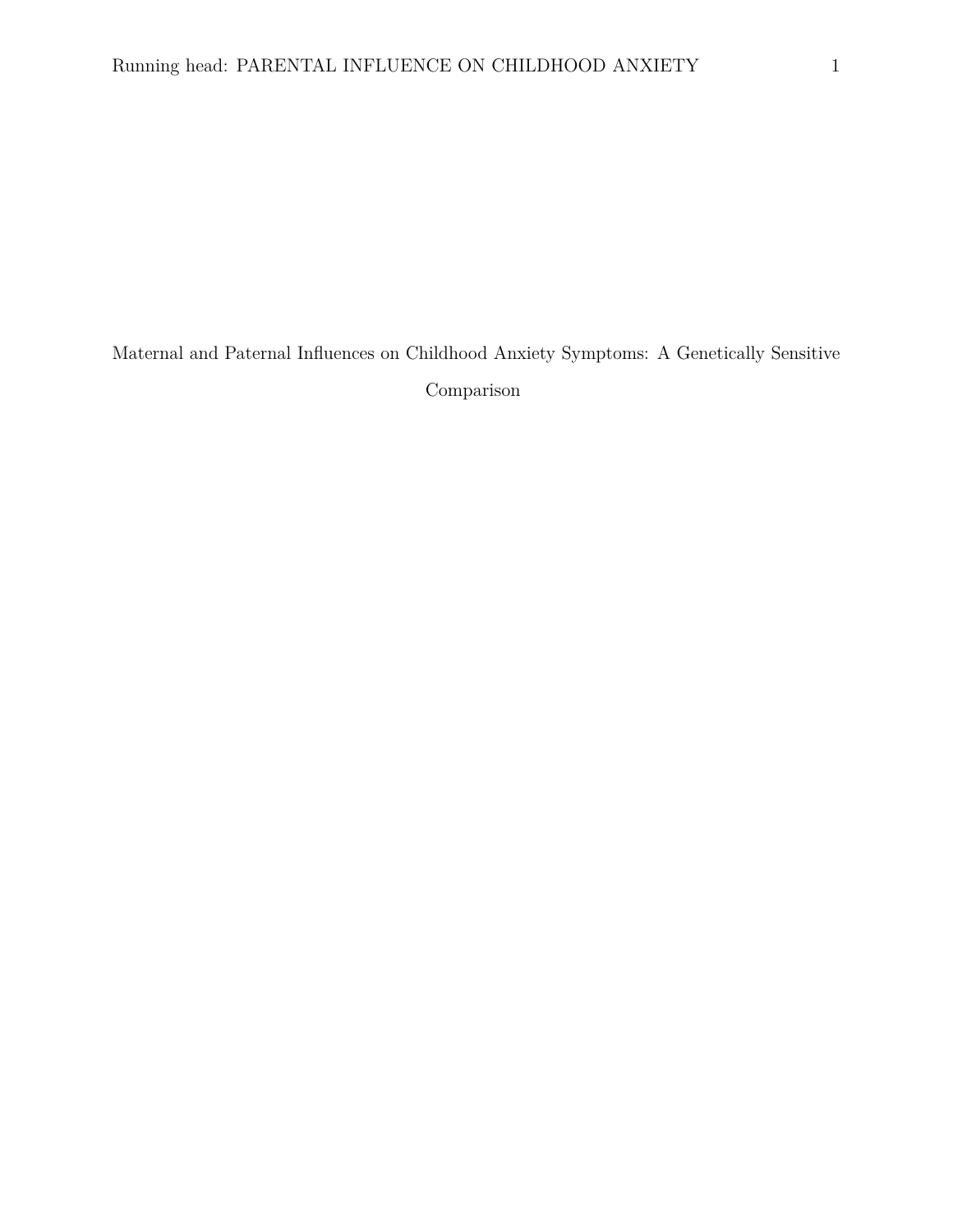Maternal and Paternal Influences on Childhood Anxiety Symptoms: A Genetically Sensitive Comparison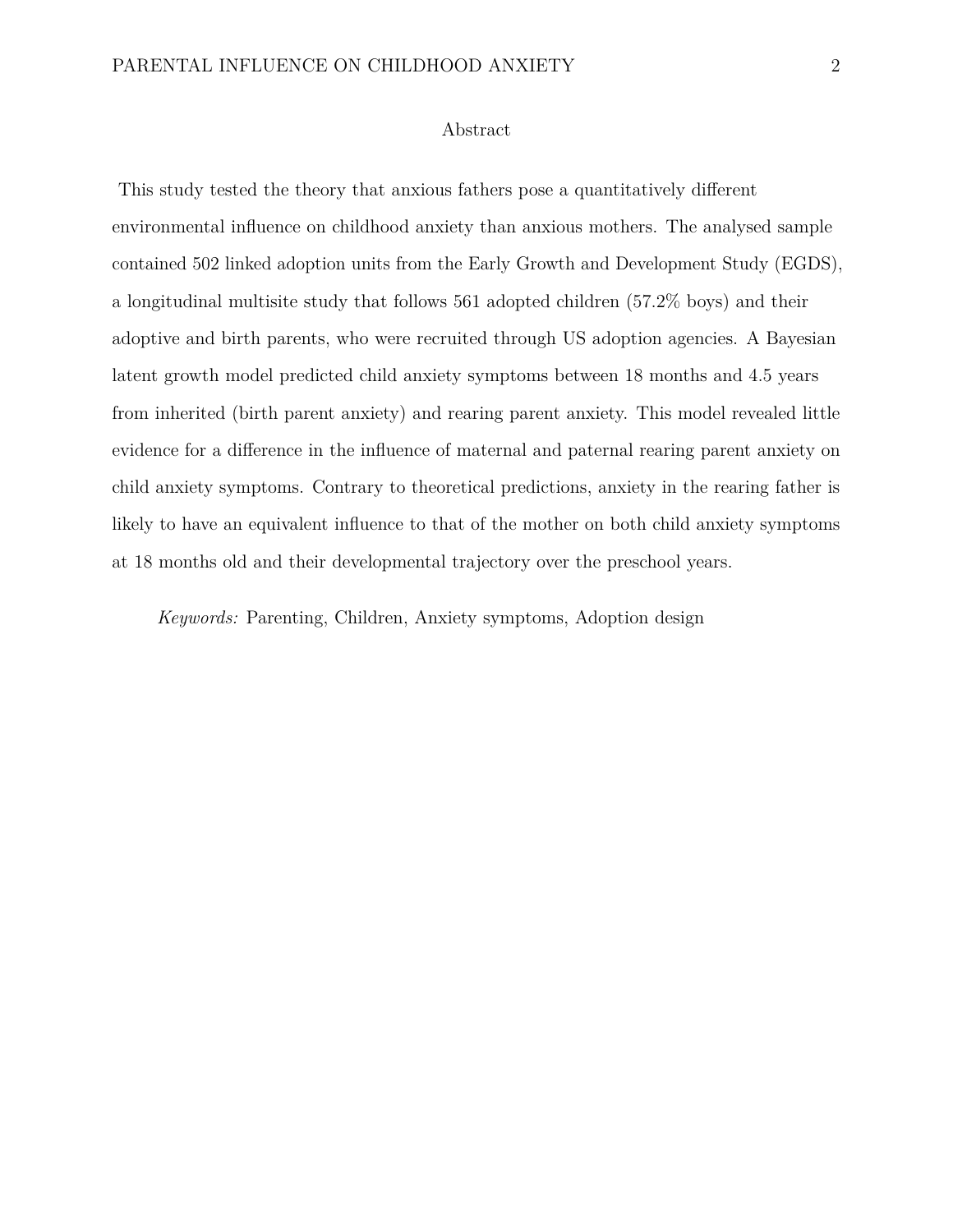#### Abstract

This study tested the theory that anxious fathers pose a quantitatively different environmental influence on childhood anxiety than anxious mothers. The analysed sample contained 502 linked adoption units from the Early Growth and Development Study (EGDS), a longitudinal multisite study that follows 561 adopted children (57.2% boys) and their adoptive and birth parents, who were recruited through US adoption agencies. A Bayesian latent growth model predicted child anxiety symptoms between 18 months and 4.5 years from inherited (birth parent anxiety) and rearing parent anxiety. This model revealed little evidence for a difference in the influence of maternal and paternal rearing parent anxiety on child anxiety symptoms. Contrary to theoretical predictions, anxiety in the rearing father is likely to have an equivalent influence to that of the mother on both child anxiety symptoms at 18 months old and their developmental trajectory over the preschool years.

*Keywords:* Parenting, Children, Anxiety symptoms, Adoption design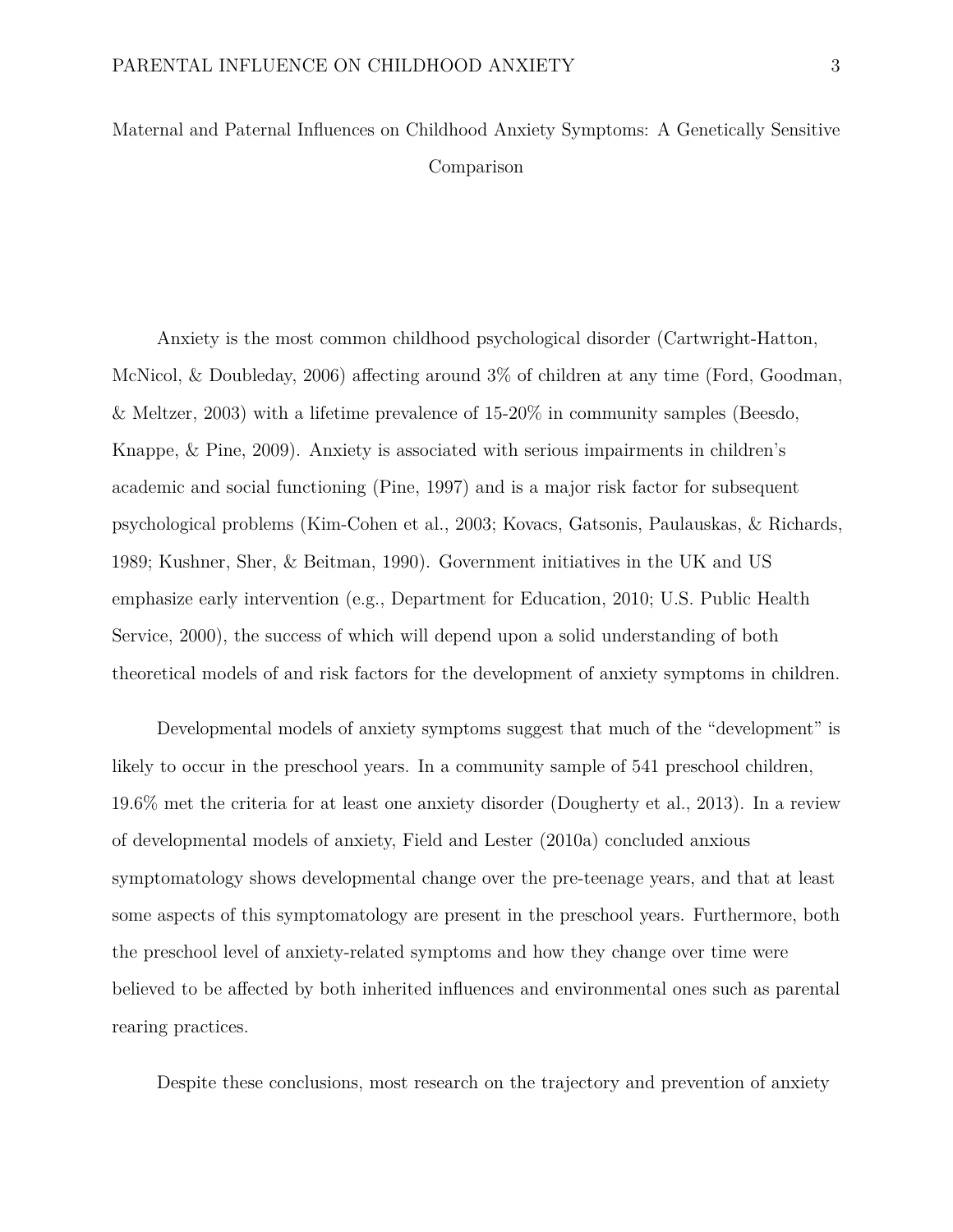Maternal and Paternal Influences on Childhood Anxiety Symptoms: A Genetically Sensitive Comparison

Anxiety is the most common childhood psychological disorder (Cartwright-Hatton, McNicol, & Doubleday, 2006) affecting around 3% of children at any time (Ford, Goodman, & Meltzer, 2003) with a lifetime prevalence of 15-20% in community samples (Beesdo, Knappe, & Pine, 2009). Anxiety is associated with serious impairments in children's academic and social functioning (Pine, 1997) and is a major risk factor for subsequent psychological problems (Kim-Cohen et al., 2003; Kovacs, Gatsonis, Paulauskas, & Richards, 1989; Kushner, Sher, & Beitman, 1990). Government initiatives in the UK and US emphasize early intervention (e.g., Department for Education, 2010; U.S. Public Health Service, 2000), the success of which will depend upon a solid understanding of both theoretical models of and risk factors for the development of anxiety symptoms in children.

Developmental models of anxiety symptoms suggest that much of the "development" is likely to occur in the preschool years. In a community sample of 541 preschool children, 19.6% met the criteria for at least one anxiety disorder (Dougherty et al., 2013). In a review of developmental models of anxiety, Field and Lester (2010a) concluded anxious symptomatology shows developmental change over the pre-teenage years, and that at least some aspects of this symptomatology are present in the preschool years. Furthermore, both the preschool level of anxiety-related symptoms and how they change over time were believed to be affected by both inherited influences and environmental ones such as parental rearing practices.

Despite these conclusions, most research on the trajectory and prevention of anxiety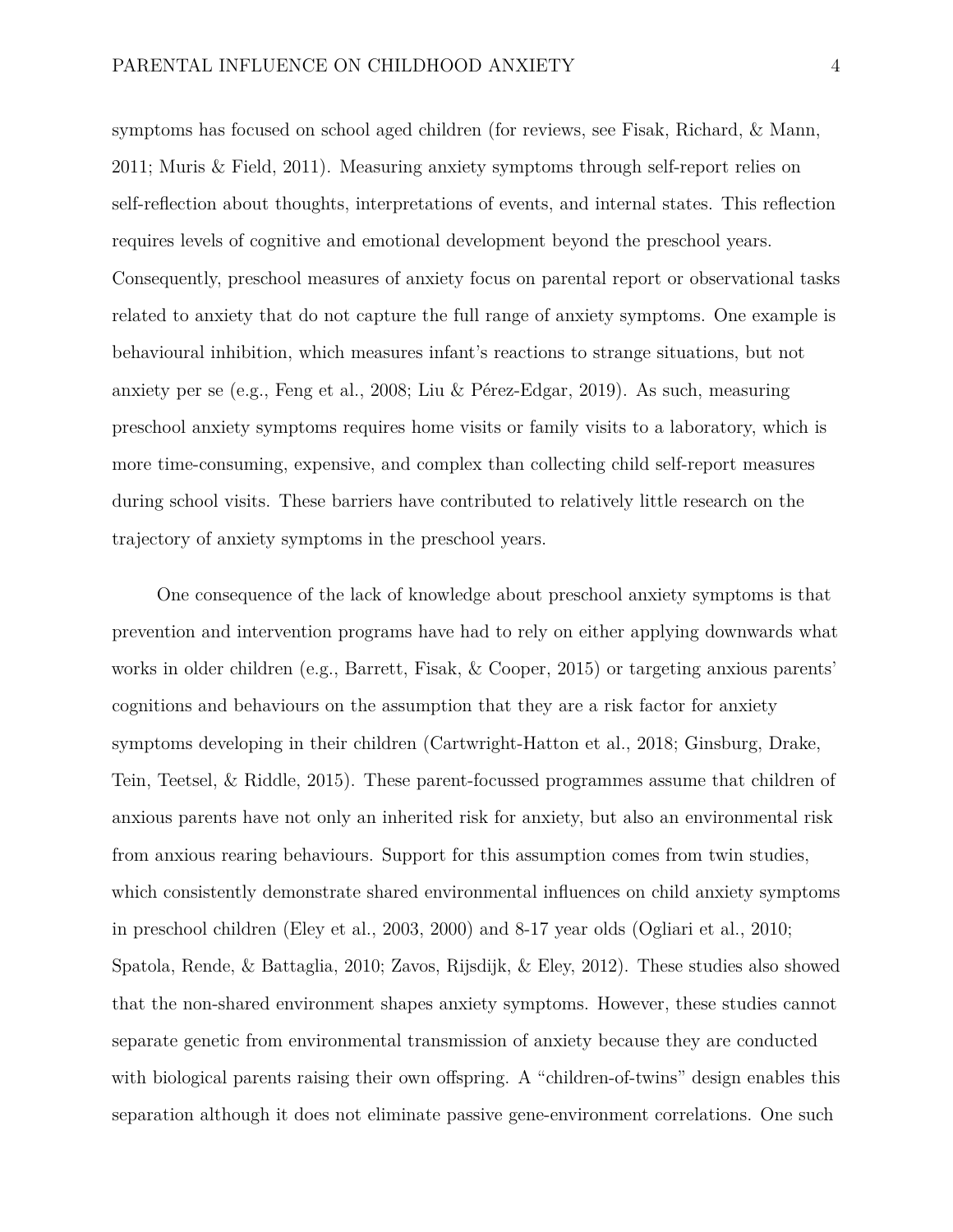symptoms has focused on school aged children (for reviews, see Fisak, Richard, & Mann, 2011; Muris & Field, 2011). Measuring anxiety symptoms through self-report relies on self-reflection about thoughts, interpretations of events, and internal states. This reflection requires levels of cognitive and emotional development beyond the preschool years. Consequently, preschool measures of anxiety focus on parental report or observational tasks related to anxiety that do not capture the full range of anxiety symptoms. One example is behavioural inhibition, which measures infant's reactions to strange situations, but not anxiety per se (e.g., Feng et al., 2008; Liu & Pérez-Edgar, 2019). As such, measuring preschool anxiety symptoms requires home visits or family visits to a laboratory, which is more time-consuming, expensive, and complex than collecting child self-report measures during school visits. These barriers have contributed to relatively little research on the trajectory of anxiety symptoms in the preschool years.

One consequence of the lack of knowledge about preschool anxiety symptoms is that prevention and intervention programs have had to rely on either applying downwards what works in older children (e.g., Barrett, Fisak, & Cooper, 2015) or targeting anxious parents' cognitions and behaviours on the assumption that they are a risk factor for anxiety symptoms developing in their children (Cartwright-Hatton et al., 2018; Ginsburg, Drake, Tein, Teetsel, & Riddle, 2015). These parent-focussed programmes assume that children of anxious parents have not only an inherited risk for anxiety, but also an environmental risk from anxious rearing behaviours. Support for this assumption comes from twin studies, which consistently demonstrate shared environmental influences on child anxiety symptoms in preschool children (Eley et al., 2003, 2000) and 8-17 year olds (Ogliari et al., 2010; Spatola, Rende, & Battaglia, 2010; Zavos, Rijsdijk, & Eley, 2012). These studies also showed that the non-shared environment shapes anxiety symptoms. However, these studies cannot separate genetic from environmental transmission of anxiety because they are conducted with biological parents raising their own offspring. A "children-of-twins" design enables this separation although it does not eliminate passive gene-environment correlations. One such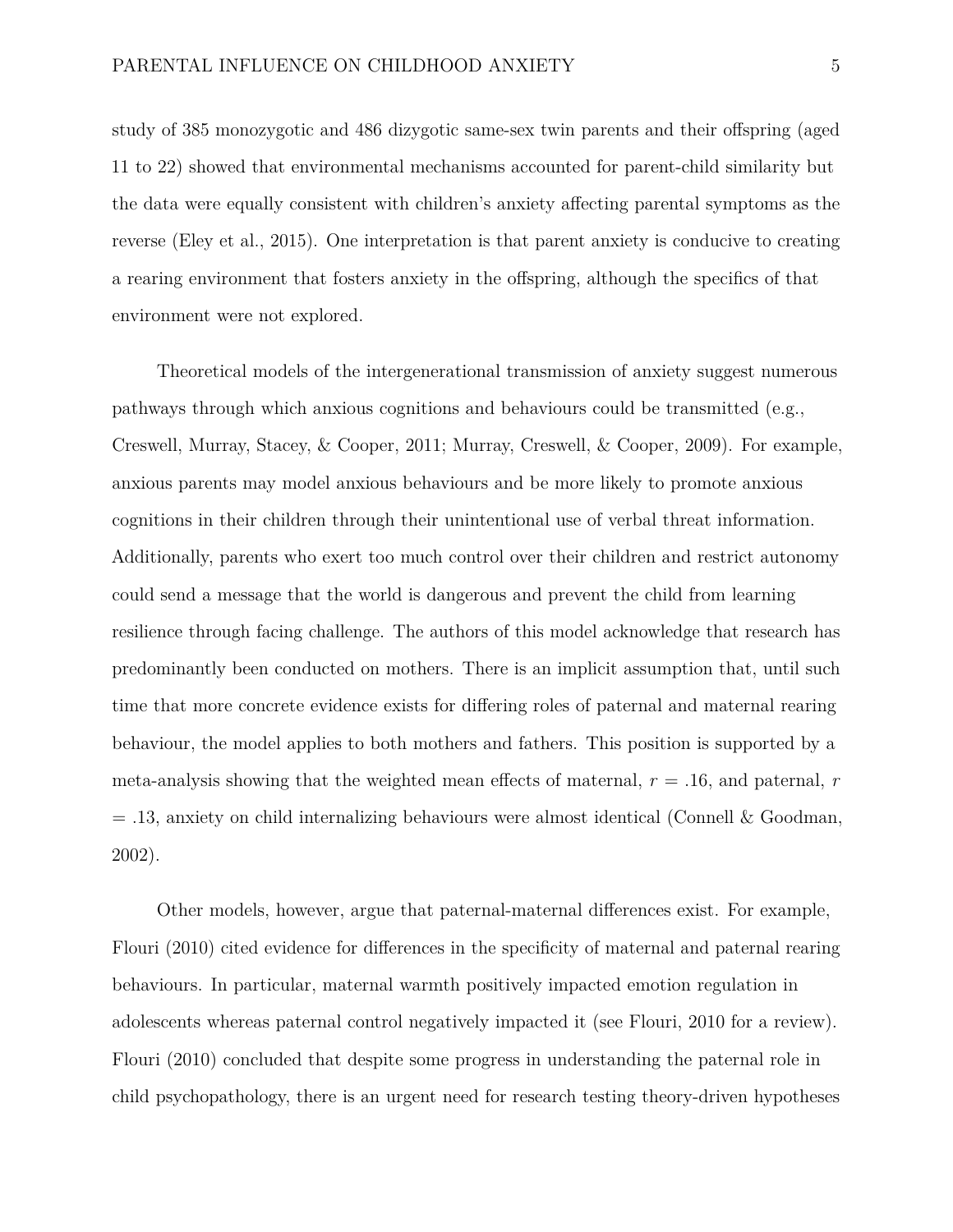study of 385 monozygotic and 486 dizygotic same-sex twin parents and their offspring (aged 11 to 22) showed that environmental mechanisms accounted for parent-child similarity but the data were equally consistent with children's anxiety affecting parental symptoms as the reverse (Eley et al., 2015). One interpretation is that parent anxiety is conducive to creating a rearing environment that fosters anxiety in the offspring, although the specifics of that environment were not explored.

Theoretical models of the intergenerational transmission of anxiety suggest numerous pathways through which anxious cognitions and behaviours could be transmitted (e.g., Creswell, Murray, Stacey, & Cooper, 2011; Murray, Creswell, & Cooper, 2009). For example, anxious parents may model anxious behaviours and be more likely to promote anxious cognitions in their children through their unintentional use of verbal threat information. Additionally, parents who exert too much control over their children and restrict autonomy could send a message that the world is dangerous and prevent the child from learning resilience through facing challenge. The authors of this model acknowledge that research has predominantly been conducted on mothers. There is an implicit assumption that, until such time that more concrete evidence exists for differing roles of paternal and maternal rearing behaviour, the model applies to both mothers and fathers. This position is supported by a meta-analysis showing that the weighted mean effects of maternal, *r* = .16, and paternal, *r*  $= .13$ , anxiety on child internalizing behaviours were almost identical (Connell & Goodman, 2002).

Other models, however, argue that paternal-maternal differences exist. For example, Flouri (2010) cited evidence for differences in the specificity of maternal and paternal rearing behaviours. In particular, maternal warmth positively impacted emotion regulation in adolescents whereas paternal control negatively impacted it (see Flouri, 2010 for a review). Flouri (2010) concluded that despite some progress in understanding the paternal role in child psychopathology, there is an urgent need for research testing theory-driven hypotheses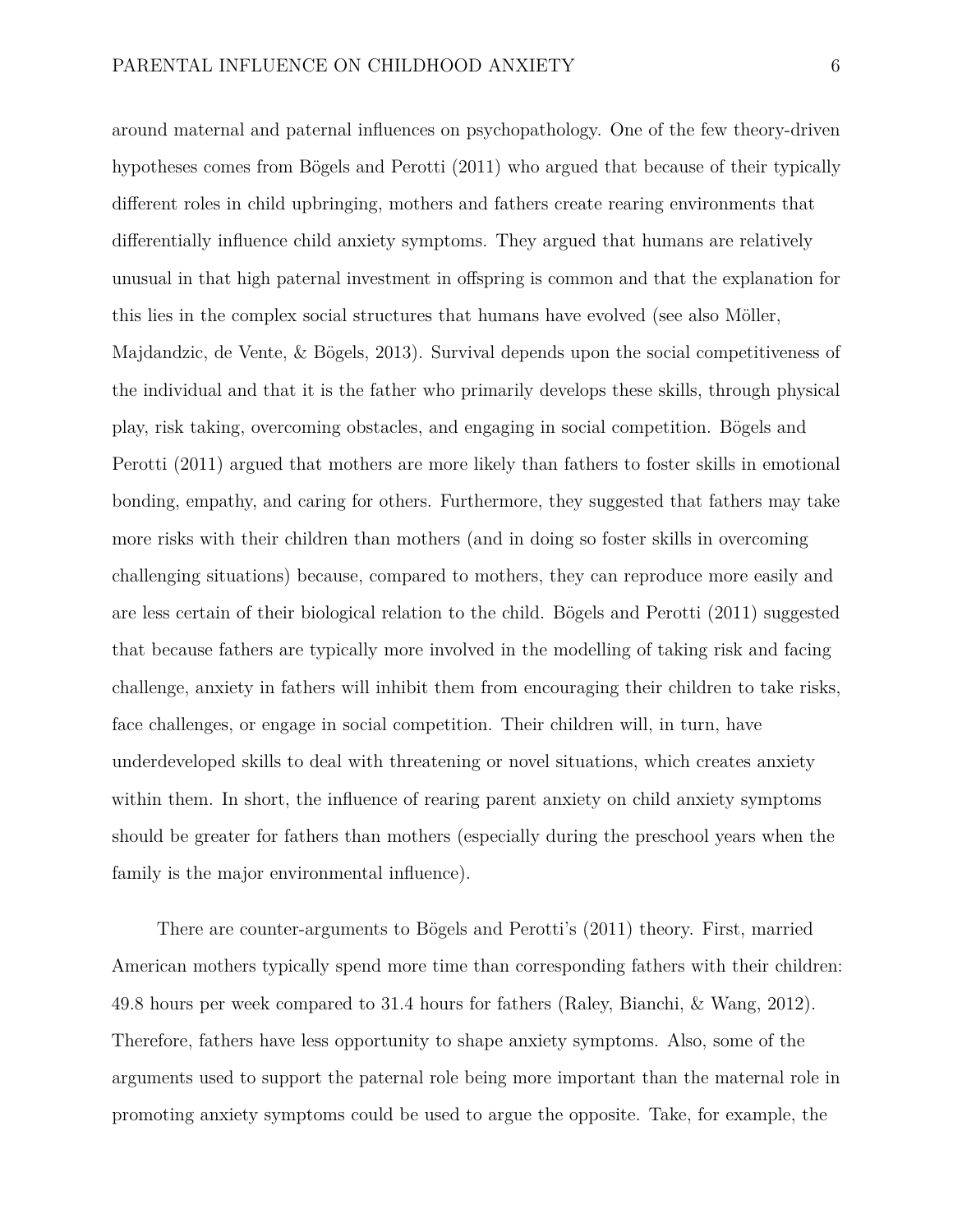around maternal and paternal influences on psychopathology. One of the few theory-driven hypotheses comes from Bögels and Perotti (2011) who argued that because of their typically different roles in child upbringing, mothers and fathers create rearing environments that differentially influence child anxiety symptoms. They argued that humans are relatively unusual in that high paternal investment in offspring is common and that the explanation for this lies in the complex social structures that humans have evolved (see also Möller, Majdandzic, de Vente, & Bögels, 2013). Survival depends upon the social competitiveness of the individual and that it is the father who primarily develops these skills, through physical play, risk taking, overcoming obstacles, and engaging in social competition. Bögels and Perotti (2011) argued that mothers are more likely than fathers to foster skills in emotional bonding, empathy, and caring for others. Furthermore, they suggested that fathers may take more risks with their children than mothers (and in doing so foster skills in overcoming challenging situations) because, compared to mothers, they can reproduce more easily and are less certain of their biological relation to the child. Bögels and Perotti (2011) suggested that because fathers are typically more involved in the modelling of taking risk and facing challenge, anxiety in fathers will inhibit them from encouraging their children to take risks, face challenges, or engage in social competition. Their children will, in turn, have underdeveloped skills to deal with threatening or novel situations, which creates anxiety within them. In short, the influence of rearing parent anxiety on child anxiety symptoms should be greater for fathers than mothers (especially during the preschool years when the family is the major environmental influence).

There are counter-arguments to Bögels and Perotti's (2011) theory. First, married American mothers typically spend more time than corresponding fathers with their children: 49.8 hours per week compared to 31.4 hours for fathers (Raley, Bianchi, & Wang, 2012). Therefore, fathers have less opportunity to shape anxiety symptoms. Also, some of the arguments used to support the paternal role being more important than the maternal role in promoting anxiety symptoms could be used to argue the opposite. Take, for example, the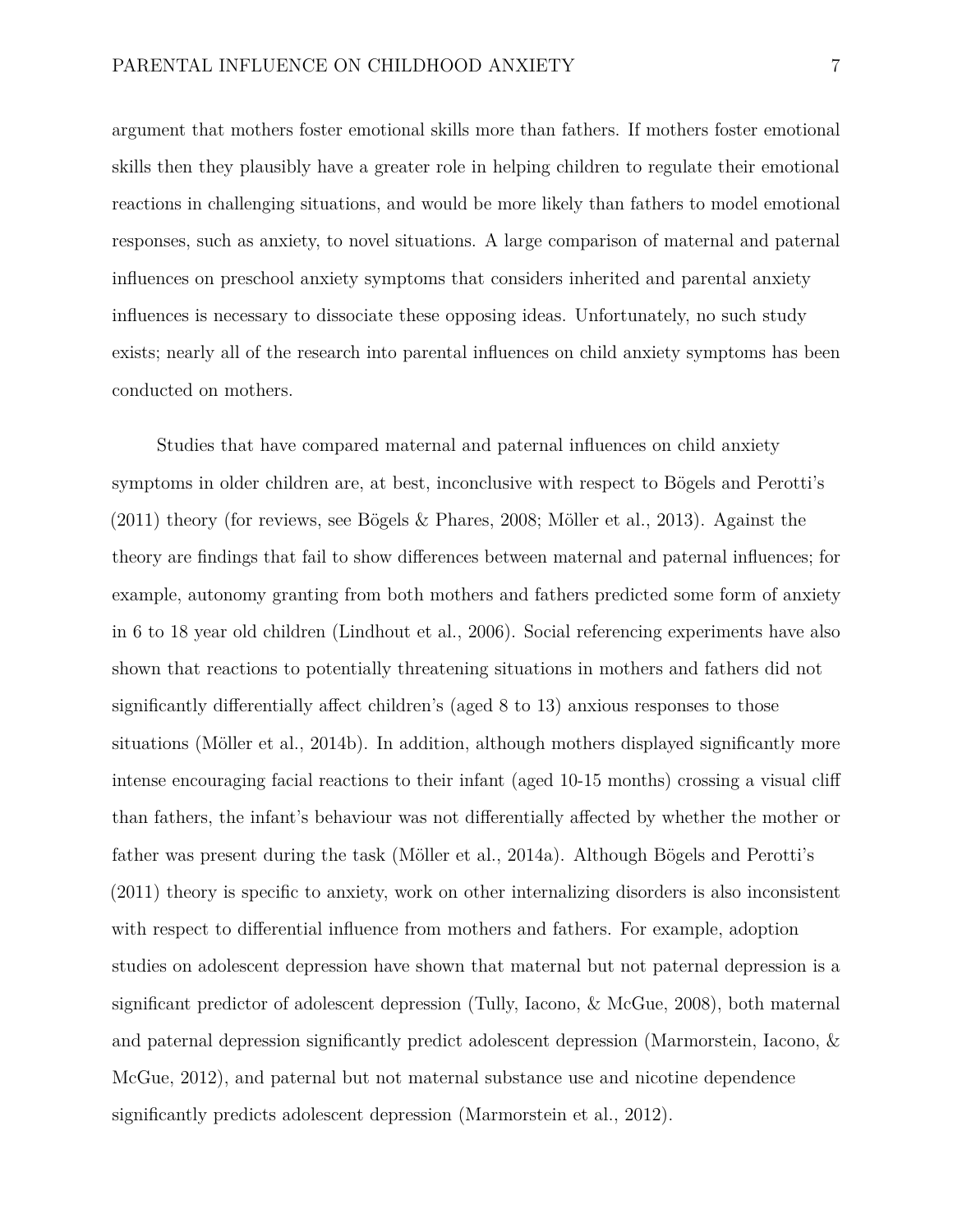argument that mothers foster emotional skills more than fathers. If mothers foster emotional skills then they plausibly have a greater role in helping children to regulate their emotional reactions in challenging situations, and would be more likely than fathers to model emotional responses, such as anxiety, to novel situations. A large comparison of maternal and paternal influences on preschool anxiety symptoms that considers inherited and parental anxiety influences is necessary to dissociate these opposing ideas. Unfortunately, no such study exists; nearly all of the research into parental influences on child anxiety symptoms has been conducted on mothers.

Studies that have compared maternal and paternal influences on child anxiety symptoms in older children are, at best, inconclusive with respect to Bögels and Perotti's (2011) theory (for reviews, see Bögels & Phares, 2008; Möller et al., 2013). Against the theory are findings that fail to show differences between maternal and paternal influences; for example, autonomy granting from both mothers and fathers predicted some form of anxiety in 6 to 18 year old children (Lindhout et al., 2006). Social referencing experiments have also shown that reactions to potentially threatening situations in mothers and fathers did not significantly differentially affect children's (aged 8 to 13) anxious responses to those situations (Möller et al., 2014b). In addition, although mothers displayed significantly more intense encouraging facial reactions to their infant (aged 10-15 months) crossing a visual cliff than fathers, the infant's behaviour was not differentially affected by whether the mother or father was present during the task (Möller et al., 2014a). Although Bögels and Perotti's (2011) theory is specific to anxiety, work on other internalizing disorders is also inconsistent with respect to differential influence from mothers and fathers. For example, adoption studies on adolescent depression have shown that maternal but not paternal depression is a significant predictor of adolescent depression (Tully, Iacono, & McGue, 2008), both maternal and paternal depression significantly predict adolescent depression (Marmorstein, Iacono, & McGue, 2012), and paternal but not maternal substance use and nicotine dependence significantly predicts adolescent depression (Marmorstein et al., 2012).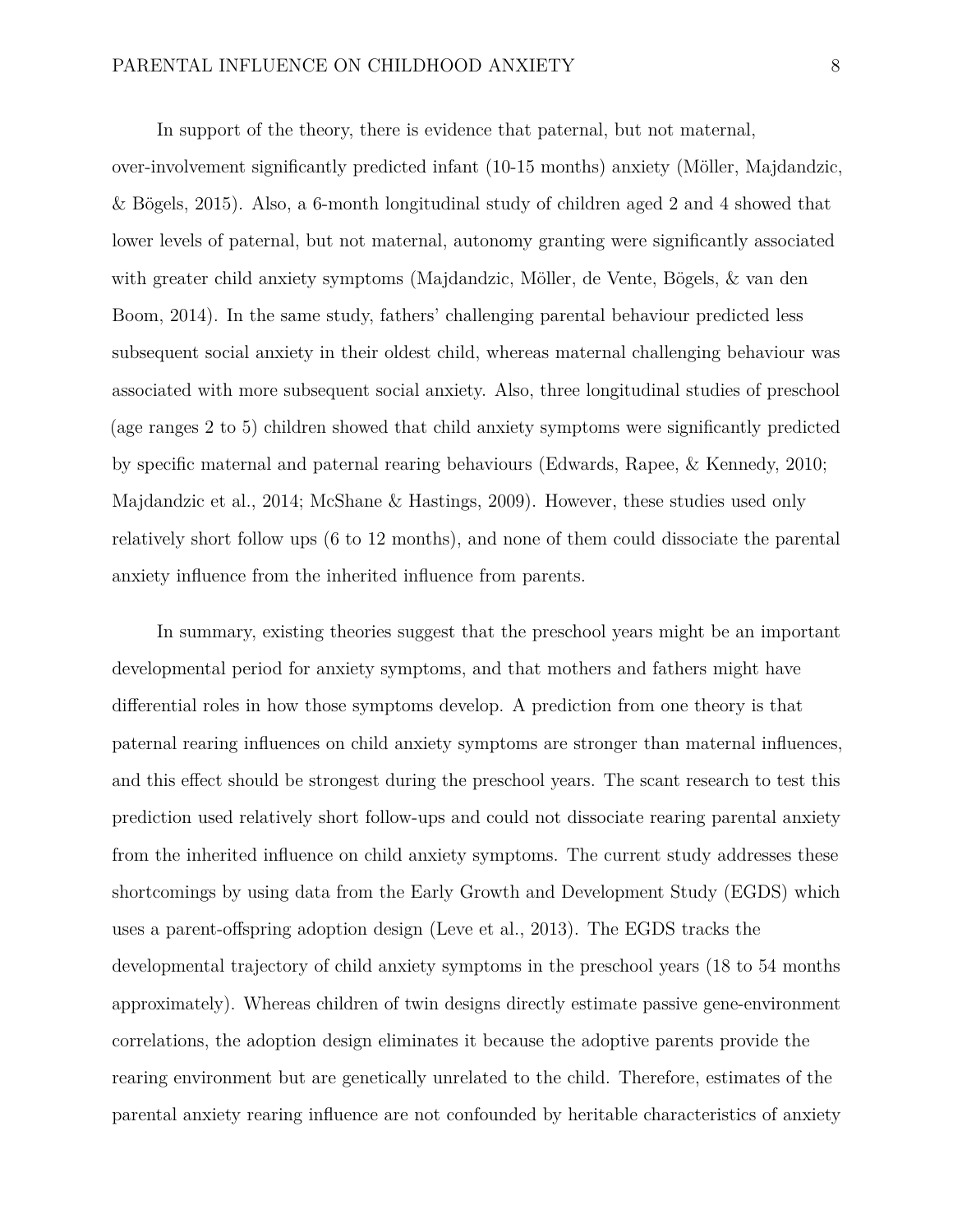In support of the theory, there is evidence that paternal, but not maternal,

over-involvement significantly predicted infant (10-15 months) anxiety (Möller, Majdandzic, & Bögels, 2015). Also, a 6-month longitudinal study of children aged 2 and 4 showed that lower levels of paternal, but not maternal, autonomy granting were significantly associated with greater child anxiety symptoms (Majdandzic, Möller, de Vente, Bögels, & van den Boom, 2014). In the same study, fathers' challenging parental behaviour predicted less subsequent social anxiety in their oldest child, whereas maternal challenging behaviour was associated with more subsequent social anxiety. Also, three longitudinal studies of preschool (age ranges 2 to 5) children showed that child anxiety symptoms were significantly predicted by specific maternal and paternal rearing behaviours (Edwards, Rapee, & Kennedy, 2010; Majdandzic et al., 2014; McShane & Hastings, 2009). However, these studies used only relatively short follow ups (6 to 12 months), and none of them could dissociate the parental anxiety influence from the inherited influence from parents.

In summary, existing theories suggest that the preschool years might be an important developmental period for anxiety symptoms, and that mothers and fathers might have differential roles in how those symptoms develop. A prediction from one theory is that paternal rearing influences on child anxiety symptoms are stronger than maternal influences, and this effect should be strongest during the preschool years. The scant research to test this prediction used relatively short follow-ups and could not dissociate rearing parental anxiety from the inherited influence on child anxiety symptoms. The current study addresses these shortcomings by using data from the Early Growth and Development Study (EGDS) which uses a parent-offspring adoption design (Leve et al., 2013). The EGDS tracks the developmental trajectory of child anxiety symptoms in the preschool years (18 to 54 months approximately). Whereas children of twin designs directly estimate passive gene-environment correlations, the adoption design eliminates it because the adoptive parents provide the rearing environment but are genetically unrelated to the child. Therefore, estimates of the parental anxiety rearing influence are not confounded by heritable characteristics of anxiety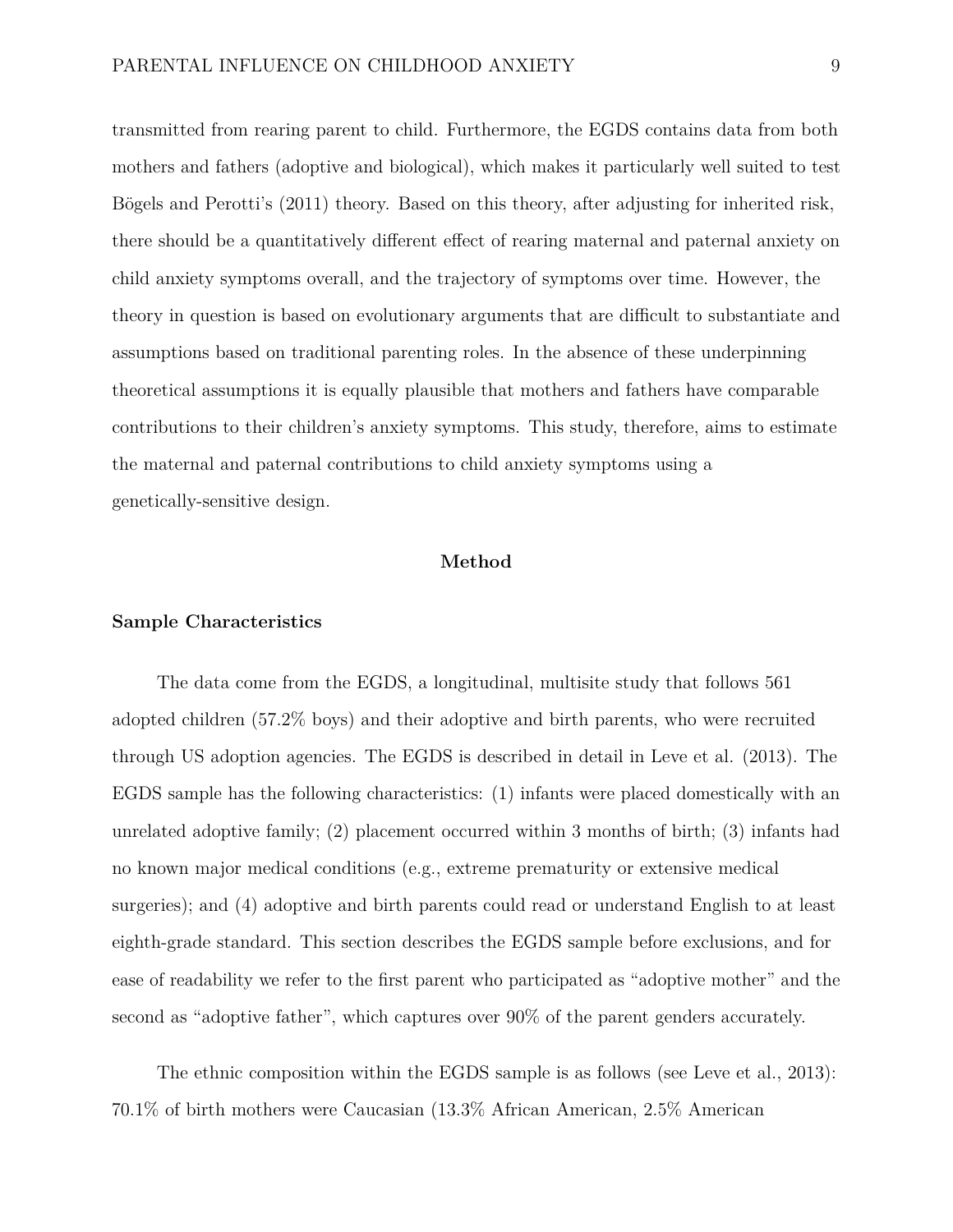transmitted from rearing parent to child. Furthermore, the EGDS contains data from both mothers and fathers (adoptive and biological), which makes it particularly well suited to test Bögels and Perotti's (2011) theory. Based on this theory, after adjusting for inherited risk, there should be a quantitatively different effect of rearing maternal and paternal anxiety on child anxiety symptoms overall, and the trajectory of symptoms over time. However, the theory in question is based on evolutionary arguments that are difficult to substantiate and assumptions based on traditional parenting roles. In the absence of these underpinning theoretical assumptions it is equally plausible that mothers and fathers have comparable contributions to their children's anxiety symptoms. This study, therefore, aims to estimate the maternal and paternal contributions to child anxiety symptoms using a genetically-sensitive design.

#### **Method**

#### **Sample Characteristics**

The data come from the EGDS, a longitudinal, multisite study that follows 561 adopted children (57.2% boys) and their adoptive and birth parents, who were recruited through US adoption agencies. The EGDS is described in detail in Leve et al. (2013). The EGDS sample has the following characteristics: (1) infants were placed domestically with an unrelated adoptive family; (2) placement occurred within 3 months of birth; (3) infants had no known major medical conditions (e.g., extreme prematurity or extensive medical surgeries); and (4) adoptive and birth parents could read or understand English to at least eighth-grade standard. This section describes the EGDS sample before exclusions, and for ease of readability we refer to the first parent who participated as "adoptive mother" and the second as "adoptive father", which captures over 90% of the parent genders accurately.

The ethnic composition within the EGDS sample is as follows (see Leve et al., 2013): 70.1% of birth mothers were Caucasian (13.3% African American, 2.5% American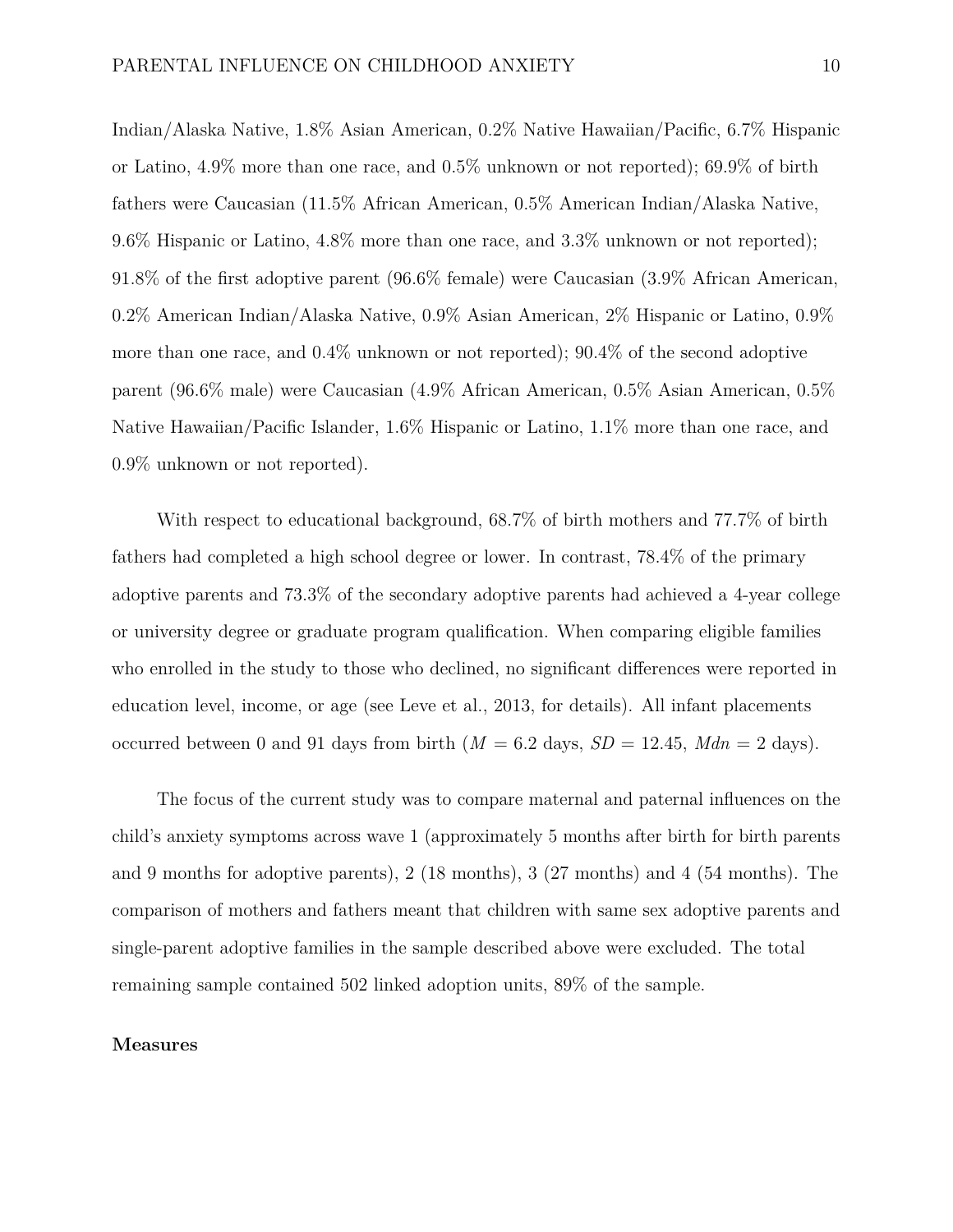Indian/Alaska Native, 1.8% Asian American, 0.2% Native Hawaiian/Pacific, 6.7% Hispanic or Latino, 4.9% more than one race, and 0.5% unknown or not reported); 69.9% of birth fathers were Caucasian (11.5% African American, 0.5% American Indian/Alaska Native, 9.6% Hispanic or Latino, 4.8% more than one race, and 3.3% unknown or not reported); 91.8% of the first adoptive parent (96.6% female) were Caucasian (3.9% African American, 0.2% American Indian/Alaska Native, 0.9% Asian American, 2% Hispanic or Latino, 0.9% more than one race, and 0.4% unknown or not reported); 90.4% of the second adoptive parent (96.6% male) were Caucasian (4.9% African American, 0.5% Asian American, 0.5% Native Hawaiian/Pacific Islander, 1.6% Hispanic or Latino, 1.1% more than one race, and 0.9% unknown or not reported).

With respect to educational background, 68.7% of birth mothers and 77.7% of birth fathers had completed a high school degree or lower. In contrast, 78.4% of the primary adoptive parents and 73.3% of the secondary adoptive parents had achieved a 4-year college or university degree or graduate program qualification. When comparing eligible families who enrolled in the study to those who declined, no significant differences were reported in education level, income, or age (see Leve et al., 2013, for details). All infant placements occurred between 0 and 91 days from birth  $(M = 6.2$  days,  $SD = 12.45$ ,  $Mdn = 2$  days).

The focus of the current study was to compare maternal and paternal influences on the child's anxiety symptoms across wave 1 (approximately 5 months after birth for birth parents and 9 months for adoptive parents), 2 (18 months), 3 (27 months) and 4 (54 months). The comparison of mothers and fathers meant that children with same sex adoptive parents and single-parent adoptive families in the sample described above were excluded. The total remaining sample contained 502 linked adoption units, 89% of the sample.

#### **Measures**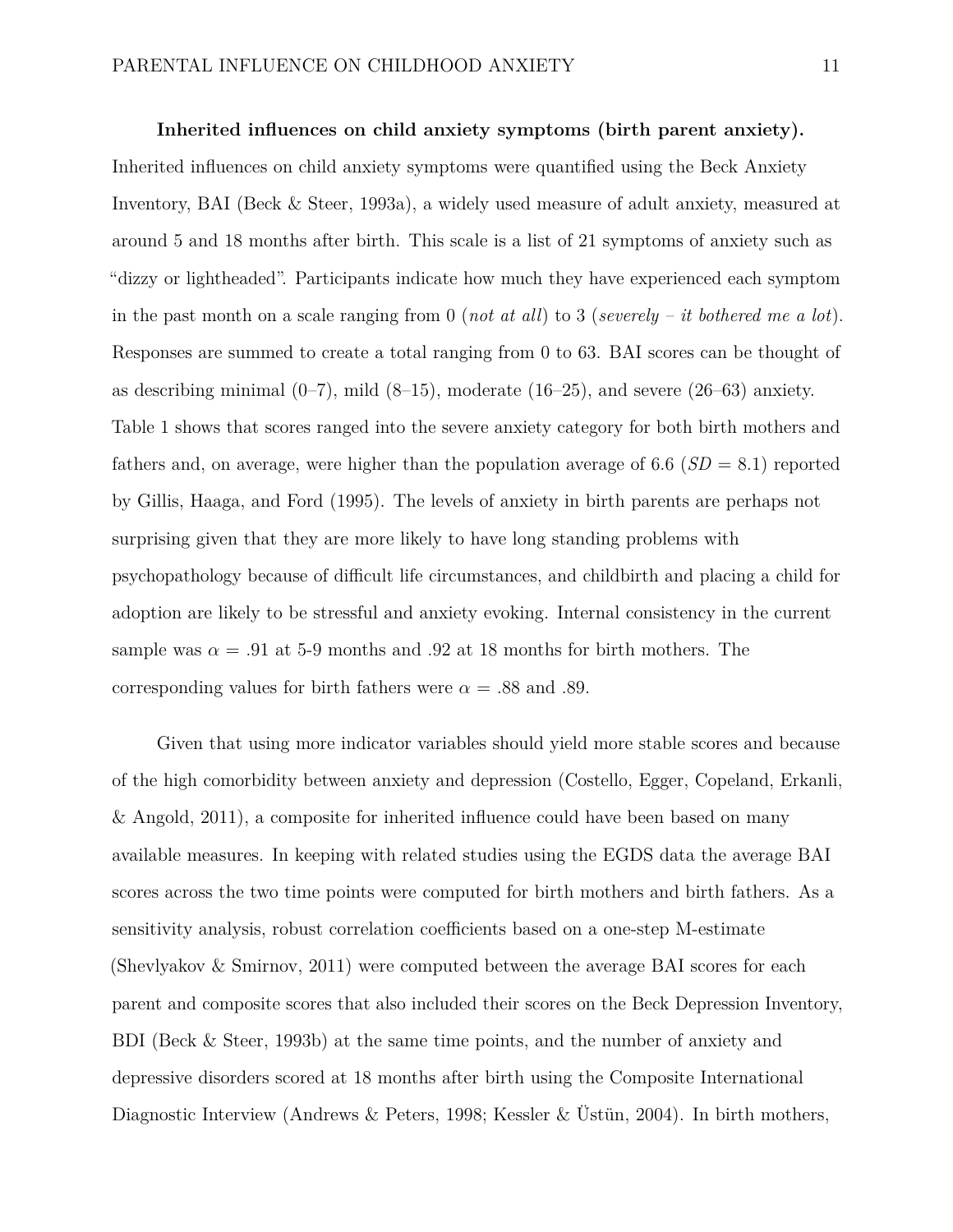#### **Inherited influences on child anxiety symptoms (birth parent anxiety).**

Inherited influences on child anxiety symptoms were quantified using the Beck Anxiety Inventory, BAI (Beck & Steer, 1993a), a widely used measure of adult anxiety, measured at around 5 and 18 months after birth. This scale is a list of 21 symptoms of anxiety such as "dizzy or lightheaded". Participants indicate how much they have experienced each symptom in the past month on a scale ranging from 0 (*not at all*) to 3 (*severely – it bothered me a lot*). Responses are summed to create a total ranging from 0 to 63. BAI scores can be thought of as describing minimal  $(0-7)$ , mild  $(8-15)$ , moderate  $(16-25)$ , and severe  $(26-63)$  anxiety. Table 1 shows that scores ranged into the severe anxiety category for both birth mothers and fathers and, on average, were higher than the population average of  $6.6$  ( $SD = 8.1$ ) reported by Gillis, Haaga, and Ford (1995). The levels of anxiety in birth parents are perhaps not surprising given that they are more likely to have long standing problems with psychopathology because of difficult life circumstances, and childbirth and placing a child for adoption are likely to be stressful and anxiety evoking. Internal consistency in the current sample was  $\alpha = .91$  at 5-9 months and 0.92 at 18 months for birth mothers. The corresponding values for birth fathers were  $\alpha = .88$  and .89.

Given that using more indicator variables should yield more stable scores and because of the high comorbidity between anxiety and depression (Costello, Egger, Copeland, Erkanli, & Angold, 2011), a composite for inherited influence could have been based on many available measures. In keeping with related studies using the EGDS data the average BAI scores across the two time points were computed for birth mothers and birth fathers. As a sensitivity analysis, robust correlation coefficients based on a one-step M-estimate (Shevlyakov & Smirnov, 2011) were computed between the average BAI scores for each parent and composite scores that also included their scores on the Beck Depression Inventory, BDI (Beck & Steer, 1993b) at the same time points, and the number of anxiety and depressive disorders scored at 18 months after birth using the Composite International Diagnostic Interview (Andrews & Peters, 1998; Kessler & Üstün, 2004). In birth mothers,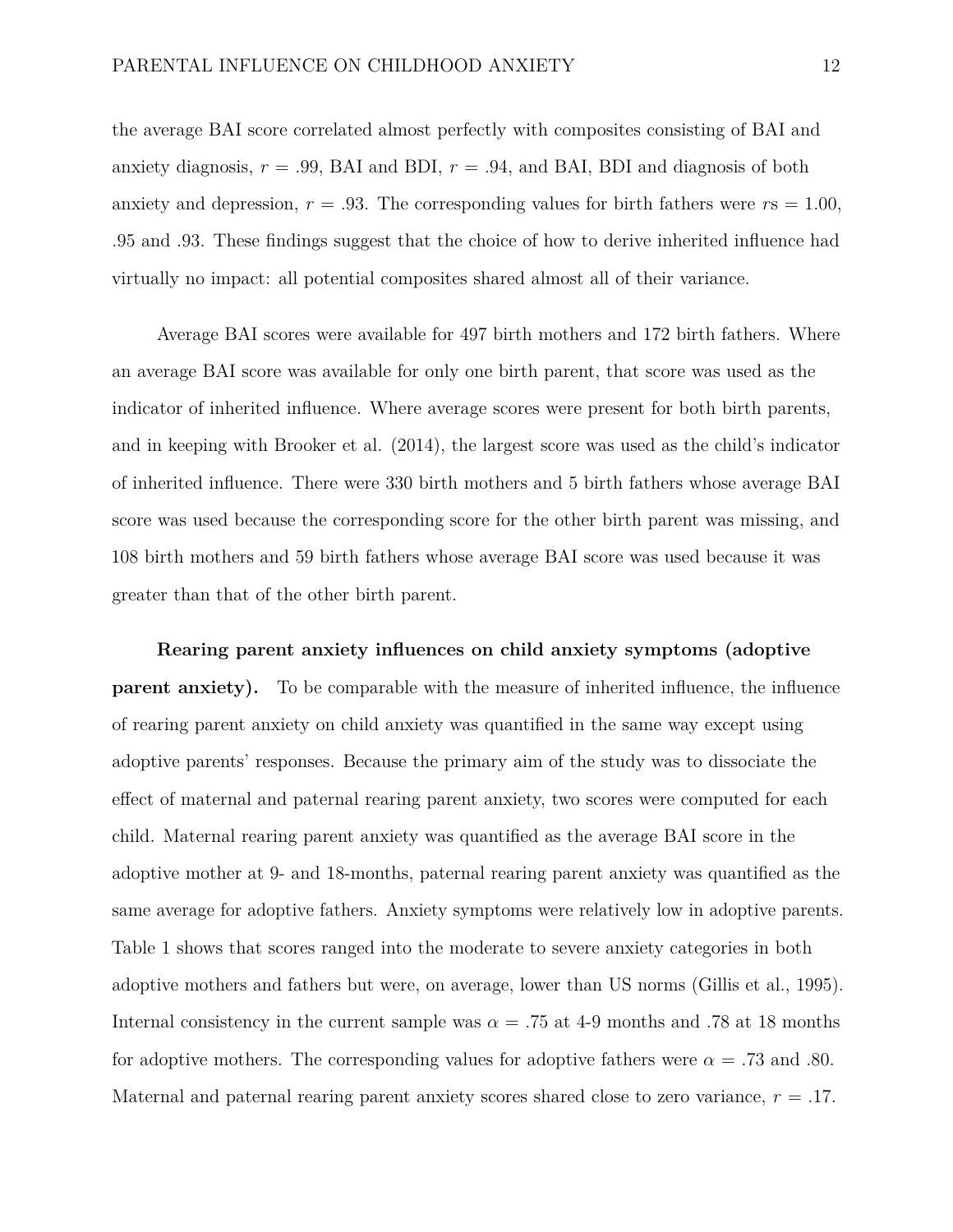the average BAI score correlated almost perfectly with composites consisting of BAI and anxiety diagnosis,  $r = .99$ , BAI and BDI,  $r = .94$ , and BAI, BDI and diagnosis of both anxiety and depression,  $r = .93$ . The corresponding values for birth fathers were  $rs = 1.00$ , .95 and .93. These findings suggest that the choice of how to derive inherited influence had virtually no impact: all potential composites shared almost all of their variance.

Average BAI scores were available for 497 birth mothers and 172 birth fathers. Where an average BAI score was available for only one birth parent, that score was used as the indicator of inherited influence. Where average scores were present for both birth parents, and in keeping with Brooker et al. (2014), the largest score was used as the child's indicator of inherited influence. There were 330 birth mothers and 5 birth fathers whose average BAI score was used because the corresponding score for the other birth parent was missing, and 108 birth mothers and 59 birth fathers whose average BAI score was used because it was greater than that of the other birth parent.

**Rearing parent anxiety influences on child anxiety symptoms (adoptive parent anxiety).** To be comparable with the measure of inherited influence, the influence of rearing parent anxiety on child anxiety was quantified in the same way except using adoptive parents' responses. Because the primary aim of the study was to dissociate the effect of maternal and paternal rearing parent anxiety, two scores were computed for each child. Maternal rearing parent anxiety was quantified as the average BAI score in the adoptive mother at 9- and 18-months, paternal rearing parent anxiety was quantified as the same average for adoptive fathers. Anxiety symptoms were relatively low in adoptive parents. Table 1 shows that scores ranged into the moderate to severe anxiety categories in both adoptive mothers and fathers but were, on average, lower than US norms (Gillis et al., 1995). Internal consistency in the current sample was  $\alpha = .75$  at 4-9 months and .78 at 18 months for adoptive mothers. The corresponding values for adoptive fathers were  $\alpha = .73$  and .80. Maternal and paternal rearing parent anxiety scores shared close to zero variance, *r* = .17.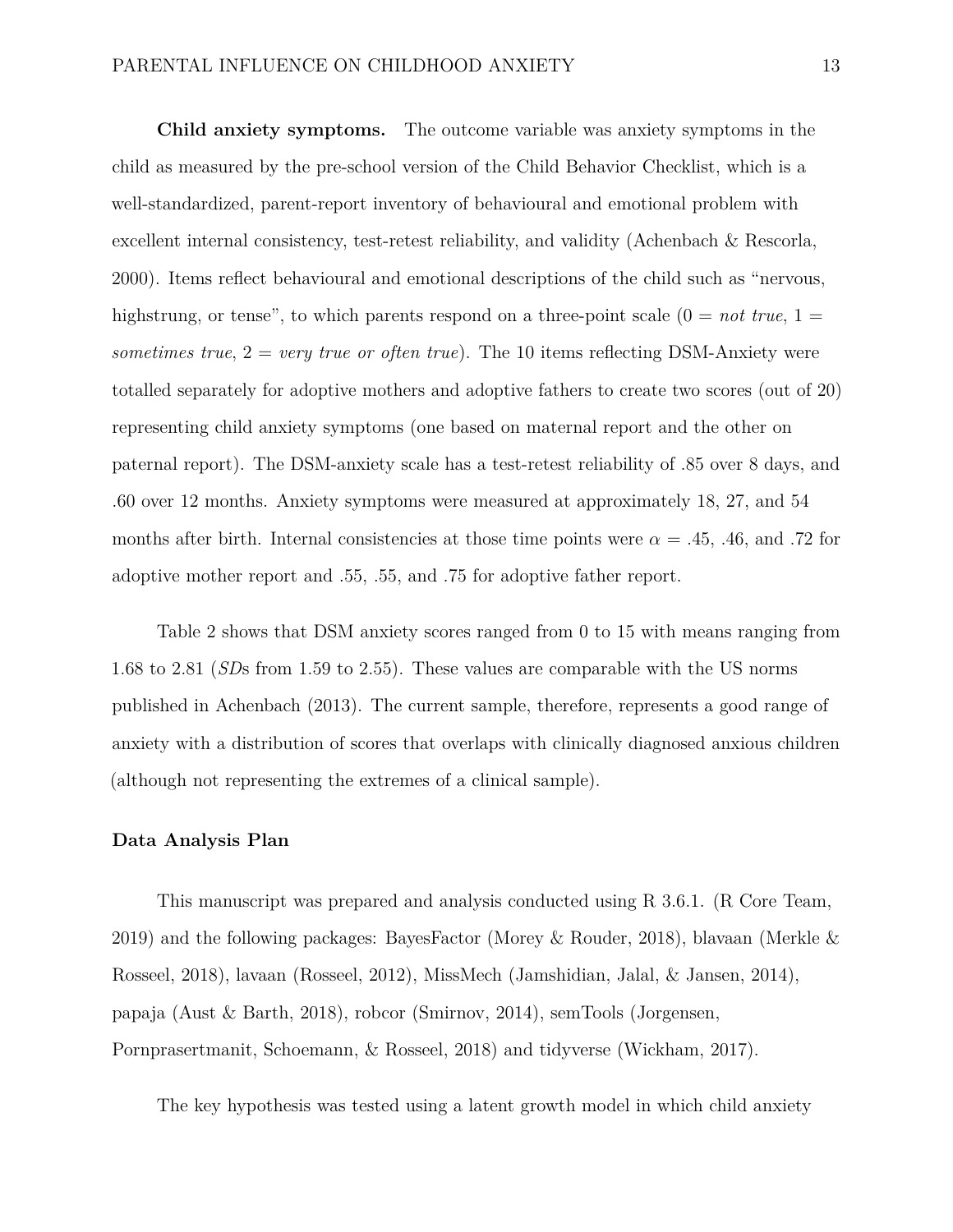**Child anxiety symptoms.** The outcome variable was anxiety symptoms in the child as measured by the pre-school version of the Child Behavior Checklist, which is a well-standardized, parent-report inventory of behavioural and emotional problem with excellent internal consistency, test-retest reliability, and validity (Achenbach & Rescorla, 2000). Items reflect behavioural and emotional descriptions of the child such as "nervous, highstrung, or tense", to which parents respond on a three-point scale  $(0 = not true, 1 =$ *sometimes true*,  $2 = \text{very true or often true}$ . The 10 items reflecting DSM-Anxiety were totalled separately for adoptive mothers and adoptive fathers to create two scores (out of 20) representing child anxiety symptoms (one based on maternal report and the other on paternal report). The DSM-anxiety scale has a test-retest reliability of .85 over 8 days, and .60 over 12 months. Anxiety symptoms were measured at approximately 18, 27, and 54 months after birth. Internal consistencies at those time points were  $\alpha = .45, .46,$  and .72 for adoptive mother report and .55, .55, and .75 for adoptive father report.

Table 2 shows that DSM anxiety scores ranged from 0 to 15 with means ranging from 1.68 to 2.81 (*SD*s from 1.59 to 2.55). These values are comparable with the US norms published in Achenbach (2013). The current sample, therefore, represents a good range of anxiety with a distribution of scores that overlaps with clinically diagnosed anxious children (although not representing the extremes of a clinical sample).

#### **Data Analysis Plan**

This manuscript was prepared and analysis conducted using R 3.6.1. (R Core Team, 2019) and the following packages: BayesFactor (Morey & Rouder, 2018), blavaan (Merkle & Rosseel, 2018), lavaan (Rosseel, 2012), MissMech (Jamshidian, Jalal, & Jansen, 2014), papaja (Aust & Barth, 2018), robcor (Smirnov, 2014), semTools (Jorgensen, Pornprasertmanit, Schoemann, & Rosseel, 2018) and tidyverse (Wickham, 2017).

The key hypothesis was tested using a latent growth model in which child anxiety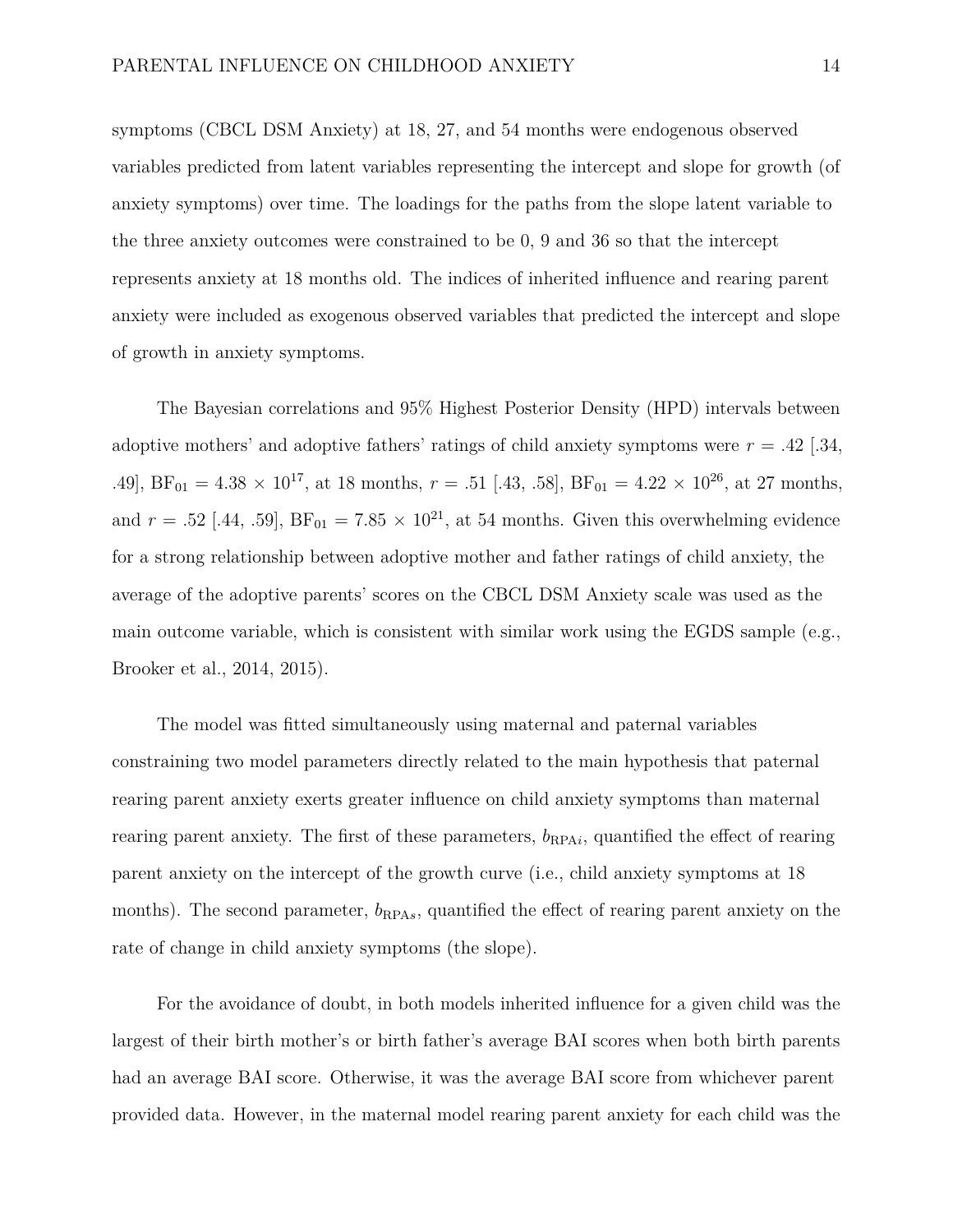symptoms (CBCL DSM Anxiety) at 18, 27, and 54 months were endogenous observed variables predicted from latent variables representing the intercept and slope for growth (of anxiety symptoms) over time. The loadings for the paths from the slope latent variable to the three anxiety outcomes were constrained to be 0, 9 and 36 so that the intercept represents anxiety at 18 months old. The indices of inherited influence and rearing parent anxiety were included as exogenous observed variables that predicted the intercept and slope of growth in anxiety symptoms.

The Bayesian correlations and 95% Highest Posterior Density (HPD) intervals between adoptive mothers' and adoptive fathers' ratings of child anxiety symptoms were  $r = .42$  [.34, .49],  $BF_{01} = 4.38 \times 10^{17}$ , at 18 months,  $r = .51$  [.43, .58],  $BF_{01} = 4.22 \times 10^{26}$ , at 27 months, and  $r = .52$  [.44, .59],  $BF_{01} = 7.85 \times 10^{21}$ , at 54 months. Given this overwhelming evidence for a strong relationship between adoptive mother and father ratings of child anxiety, the average of the adoptive parents' scores on the CBCL DSM Anxiety scale was used as the main outcome variable, which is consistent with similar work using the EGDS sample (e.g., Brooker et al., 2014, 2015).

The model was fitted simultaneously using maternal and paternal variables constraining two model parameters directly related to the main hypothesis that paternal rearing parent anxiety exerts greater influence on child anxiety symptoms than maternal rearing parent anxiety. The first of these parameters,  $b_{\text{RPA}i}$ , quantified the effect of rearing parent anxiety on the intercept of the growth curve (i.e., child anxiety symptoms at 18 months). The second parameter,  $b_{\text{RPA}s}$ , quantified the effect of rearing parent anxiety on the rate of change in child anxiety symptoms (the slope).

For the avoidance of doubt, in both models inherited influence for a given child was the largest of their birth mother's or birth father's average BAI scores when both birth parents had an average BAI score. Otherwise, it was the average BAI score from whichever parent provided data. However, in the maternal model rearing parent anxiety for each child was the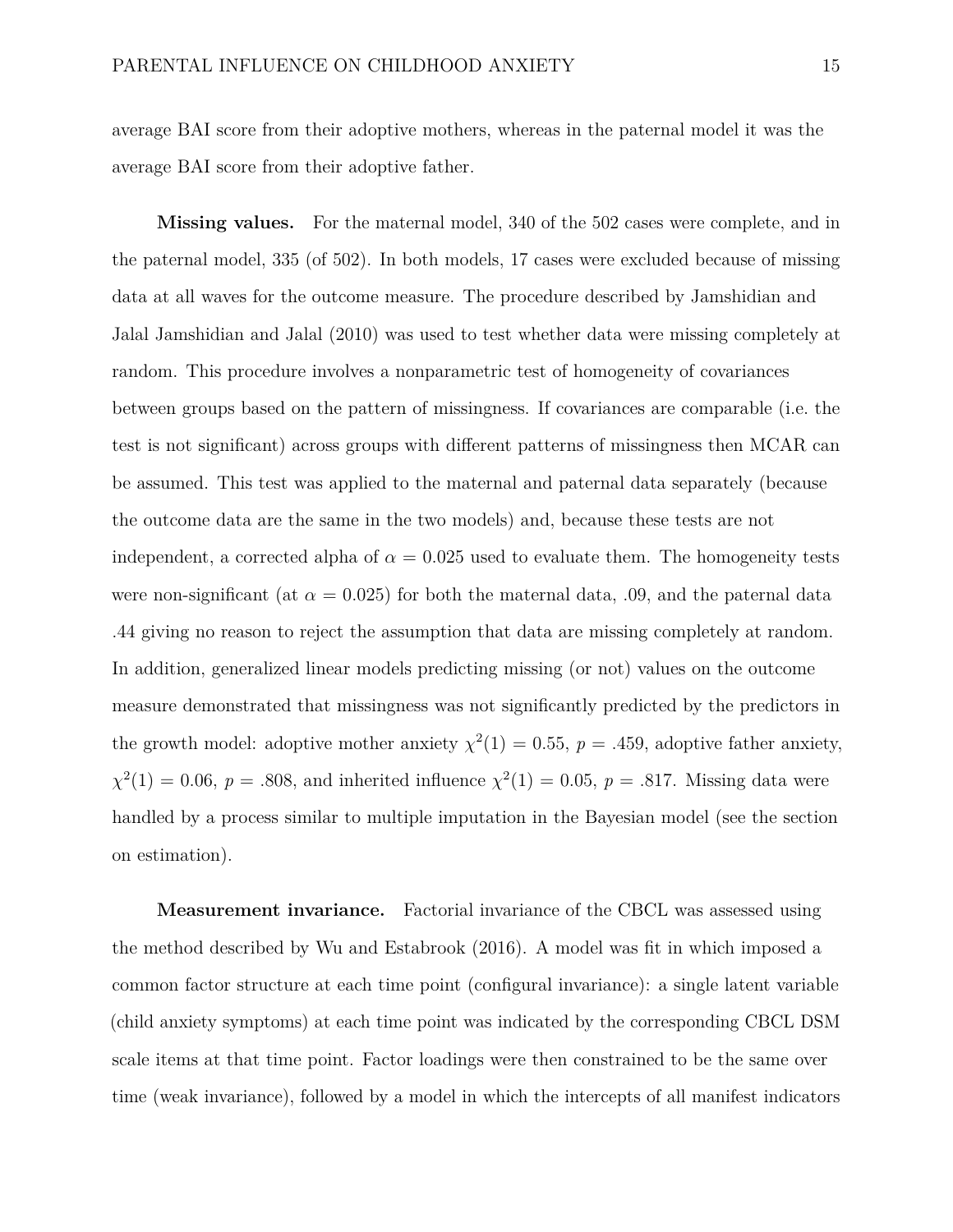average BAI score from their adoptive mothers, whereas in the paternal model it was the average BAI score from their adoptive father.

**Missing values.** For the maternal model, 340 of the 502 cases were complete, and in the paternal model, 335 (of 502). In both models, 17 cases were excluded because of missing data at all waves for the outcome measure. The procedure described by Jamshidian and Jalal Jamshidian and Jalal (2010) was used to test whether data were missing completely at random. This procedure involves a nonparametric test of homogeneity of covariances between groups based on the pattern of missingness. If covariances are comparable (i.e. the test is not significant) across groups with different patterns of missingness then MCAR can be assumed. This test was applied to the maternal and paternal data separately (because the outcome data are the same in the two models) and, because these tests are not independent, a corrected alpha of  $\alpha = 0.025$  used to evaluate them. The homogeneity tests were non-significant (at  $\alpha = 0.025$ ) for both the maternal data, 0.09, and the paternal data .44 giving no reason to reject the assumption that data are missing completely at random. In addition, generalized linear models predicting missing (or not) values on the outcome measure demonstrated that missingness was not significantly predicted by the predictors in the growth model: adoptive mother anxiety  $\chi^2(1) = 0.55$ ,  $p = .459$ , adoptive father anxiety,  $\chi^2(1) = 0.06, p = .808$ , and inherited influence  $\chi^2(1) = 0.05, p = .817$ . Missing data were handled by a process similar to multiple imputation in the Bayesian model (see the section on estimation).

**Measurement invariance.** Factorial invariance of the CBCL was assessed using the method described by Wu and Estabrook (2016). A model was fit in which imposed a common factor structure at each time point (configural invariance): a single latent variable (child anxiety symptoms) at each time point was indicated by the corresponding CBCL DSM scale items at that time point. Factor loadings were then constrained to be the same over time (weak invariance), followed by a model in which the intercepts of all manifest indicators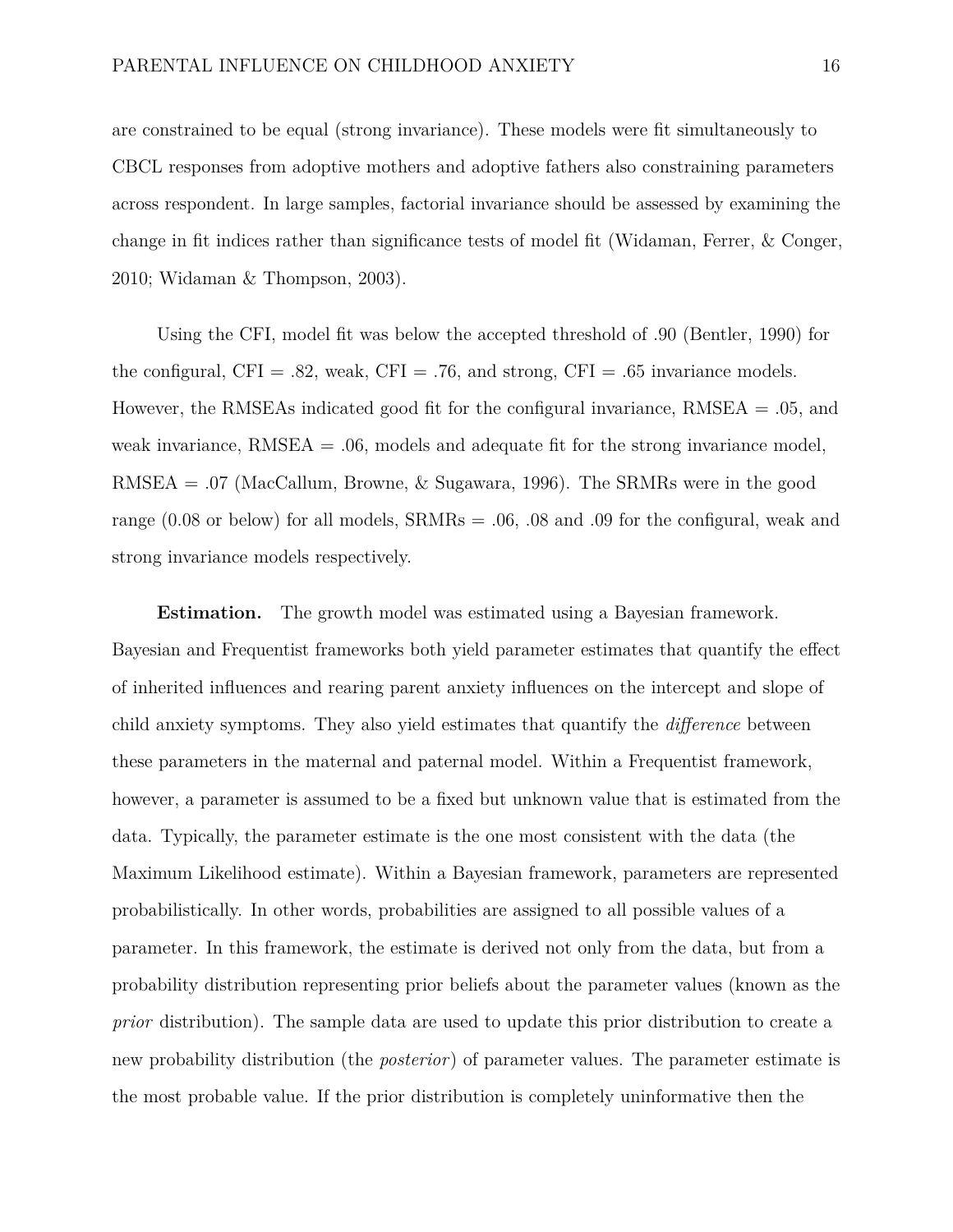are constrained to be equal (strong invariance). These models were fit simultaneously to CBCL responses from adoptive mothers and adoptive fathers also constraining parameters across respondent. In large samples, factorial invariance should be assessed by examining the change in fit indices rather than significance tests of model fit (Widaman, Ferrer, & Conger, 2010; Widaman & Thompson, 2003).

Using the CFI, model fit was below the accepted threshold of .90 (Bentler, 1990) for the configural,  $CFI = .82$ , weak,  $CFI = .76$ , and strong,  $CFI = .65$  invariance models. However, the RMSEAs indicated good fit for the configural invariance, RMSEA = .05, and weak invariance,  $RMSEA = .06$ , models and adequate fit for the strong invariance model, RMSEA = .07 (MacCallum, Browne, & Sugawara, 1996). The SRMRs were in the good range (0.08 or below) for all models, SRMRs = .06, .08 and .09 for the configural, weak and strong invariance models respectively.

**Estimation.** The growth model was estimated using a Bayesian framework. Bayesian and Frequentist frameworks both yield parameter estimates that quantify the effect of inherited influences and rearing parent anxiety influences on the intercept and slope of child anxiety symptoms. They also yield estimates that quantify the *difference* between these parameters in the maternal and paternal model. Within a Frequentist framework, however, a parameter is assumed to be a fixed but unknown value that is estimated from the data. Typically, the parameter estimate is the one most consistent with the data (the Maximum Likelihood estimate). Within a Bayesian framework, parameters are represented probabilistically. In other words, probabilities are assigned to all possible values of a parameter. In this framework, the estimate is derived not only from the data, but from a probability distribution representing prior beliefs about the parameter values (known as the *prior* distribution). The sample data are used to update this prior distribution to create a new probability distribution (the *posterior*) of parameter values. The parameter estimate is the most probable value. If the prior distribution is completely uninformative then the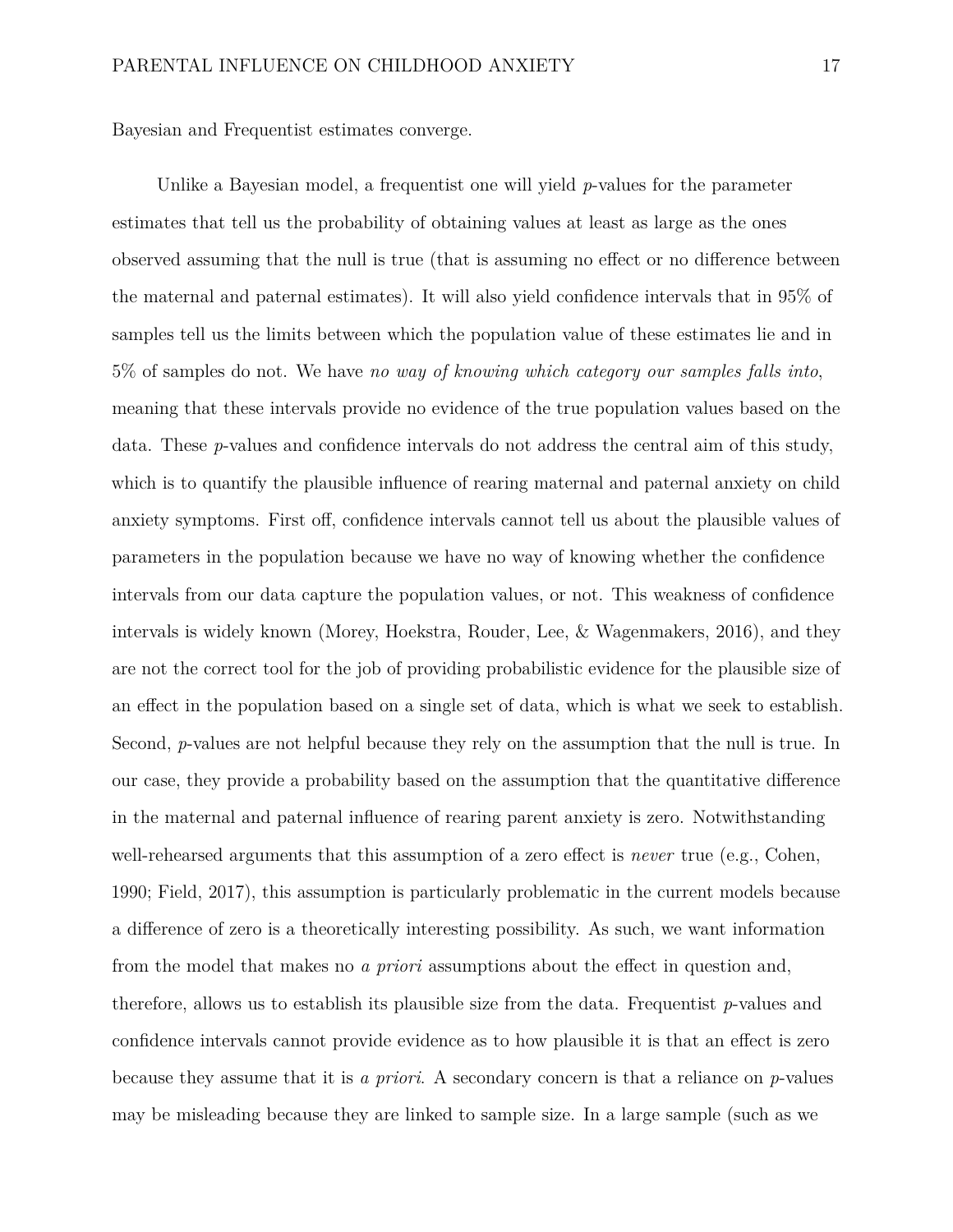Bayesian and Frequentist estimates converge.

Unlike a Bayesian model, a frequentist one will yield *p*-values for the parameter estimates that tell us the probability of obtaining values at least as large as the ones observed assuming that the null is true (that is assuming no effect or no difference between the maternal and paternal estimates). It will also yield confidence intervals that in 95% of samples tell us the limits between which the population value of these estimates lie and in 5% of samples do not. We have *no way of knowing which category our samples falls into*, meaning that these intervals provide no evidence of the true population values based on the data. These *p*-values and confidence intervals do not address the central aim of this study, which is to quantify the plausible influence of rearing maternal and paternal anxiety on child anxiety symptoms. First off, confidence intervals cannot tell us about the plausible values of parameters in the population because we have no way of knowing whether the confidence intervals from our data capture the population values, or not. This weakness of confidence intervals is widely known (Morey, Hoekstra, Rouder, Lee, & Wagenmakers, 2016), and they are not the correct tool for the job of providing probabilistic evidence for the plausible size of an effect in the population based on a single set of data, which is what we seek to establish. Second, *p*-values are not helpful because they rely on the assumption that the null is true. In our case, they provide a probability based on the assumption that the quantitative difference in the maternal and paternal influence of rearing parent anxiety is zero. Notwithstanding well-rehearsed arguments that this assumption of a zero effect is *never* true (e.g., Cohen, 1990; Field, 2017), this assumption is particularly problematic in the current models because a difference of zero is a theoretically interesting possibility. As such, we want information from the model that makes no *a priori* assumptions about the effect in question and, therefore, allows us to establish its plausible size from the data. Frequentist *p*-values and confidence intervals cannot provide evidence as to how plausible it is that an effect is zero because they assume that it is *a priori*. A secondary concern is that a reliance on *p*-values may be misleading because they are linked to sample size. In a large sample (such as we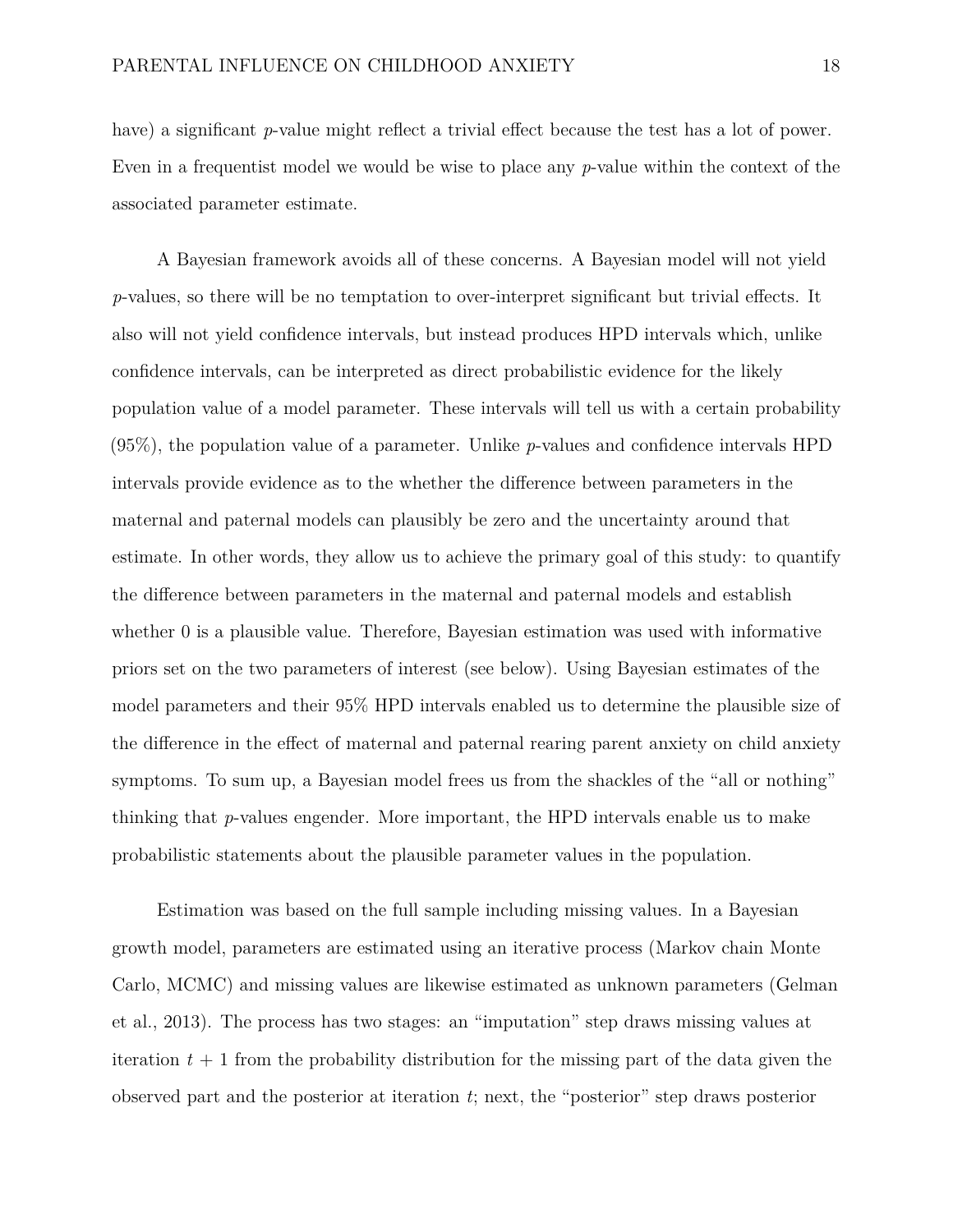have) a significant *p*-value might reflect a trivial effect because the test has a lot of power. Even in a frequentist model we would be wise to place any *p*-value within the context of the associated parameter estimate.

A Bayesian framework avoids all of these concerns. A Bayesian model will not yield *p*-values, so there will be no temptation to over-interpret significant but trivial effects. It also will not yield confidence intervals, but instead produces HPD intervals which, unlike confidence intervals, can be interpreted as direct probabilistic evidence for the likely population value of a model parameter. These intervals will tell us with a certain probability (95%), the population value of a parameter. Unlike *p*-values and confidence intervals HPD intervals provide evidence as to the whether the difference between parameters in the maternal and paternal models can plausibly be zero and the uncertainty around that estimate. In other words, they allow us to achieve the primary goal of this study: to quantify the difference between parameters in the maternal and paternal models and establish whether 0 is a plausible value. Therefore, Bayesian estimation was used with informative priors set on the two parameters of interest (see below). Using Bayesian estimates of the model parameters and their 95% HPD intervals enabled us to determine the plausible size of the difference in the effect of maternal and paternal rearing parent anxiety on child anxiety symptoms. To sum up, a Bayesian model frees us from the shackles of the "all or nothing" thinking that *p*-values engender. More important, the HPD intervals enable us to make probabilistic statements about the plausible parameter values in the population.

Estimation was based on the full sample including missing values. In a Bayesian growth model, parameters are estimated using an iterative process (Markov chain Monte Carlo, MCMC) and missing values are likewise estimated as unknown parameters (Gelman et al., 2013). The process has two stages: an "imputation" step draws missing values at iteration  $t + 1$  from the probability distribution for the missing part of the data given the observed part and the posterior at iteration *t*; next, the "posterior" step draws posterior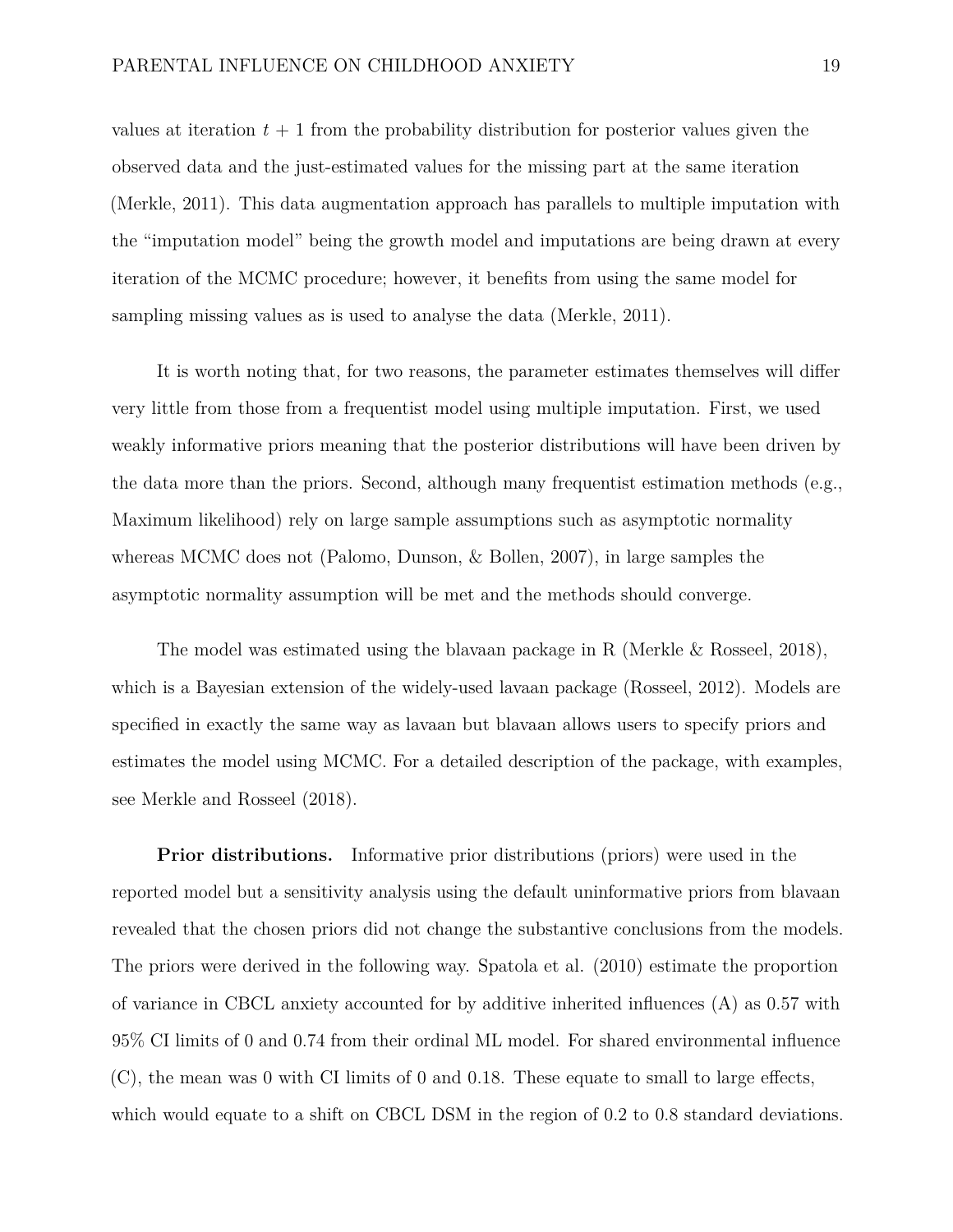values at iteration  $t + 1$  from the probability distribution for posterior values given the observed data and the just-estimated values for the missing part at the same iteration (Merkle, 2011). This data augmentation approach has parallels to multiple imputation with the "imputation model" being the growth model and imputations are being drawn at every iteration of the MCMC procedure; however, it benefits from using the same model for sampling missing values as is used to analyse the data (Merkle, 2011).

It is worth noting that, for two reasons, the parameter estimates themselves will differ very little from those from a frequentist model using multiple imputation. First, we used weakly informative priors meaning that the posterior distributions will have been driven by the data more than the priors. Second, although many frequentist estimation methods (e.g., Maximum likelihood) rely on large sample assumptions such as asymptotic normality whereas MCMC does not (Palomo, Dunson, & Bollen, 2007), in large samples the asymptotic normality assumption will be met and the methods should converge.

The model was estimated using the blavaan package in R (Merkle & Rosseel, 2018), which is a Bayesian extension of the widely-used lavaan package (Rosseel, 2012). Models are specified in exactly the same way as lavaan but blavaan allows users to specify priors and estimates the model using MCMC. For a detailed description of the package, with examples, see Merkle and Rosseel (2018).

**Prior distributions.** Informative prior distributions (priors) were used in the reported model but a sensitivity analysis using the default uninformative priors from blavaan revealed that the chosen priors did not change the substantive conclusions from the models. The priors were derived in the following way. Spatola et al. (2010) estimate the proportion of variance in CBCL anxiety accounted for by additive inherited influences (A) as 0.57 with 95% CI limits of 0 and 0.74 from their ordinal ML model. For shared environmental influence (C), the mean was 0 with CI limits of 0 and 0.18. These equate to small to large effects, which would equate to a shift on CBCL DSM in the region of 0.2 to 0.8 standard deviations.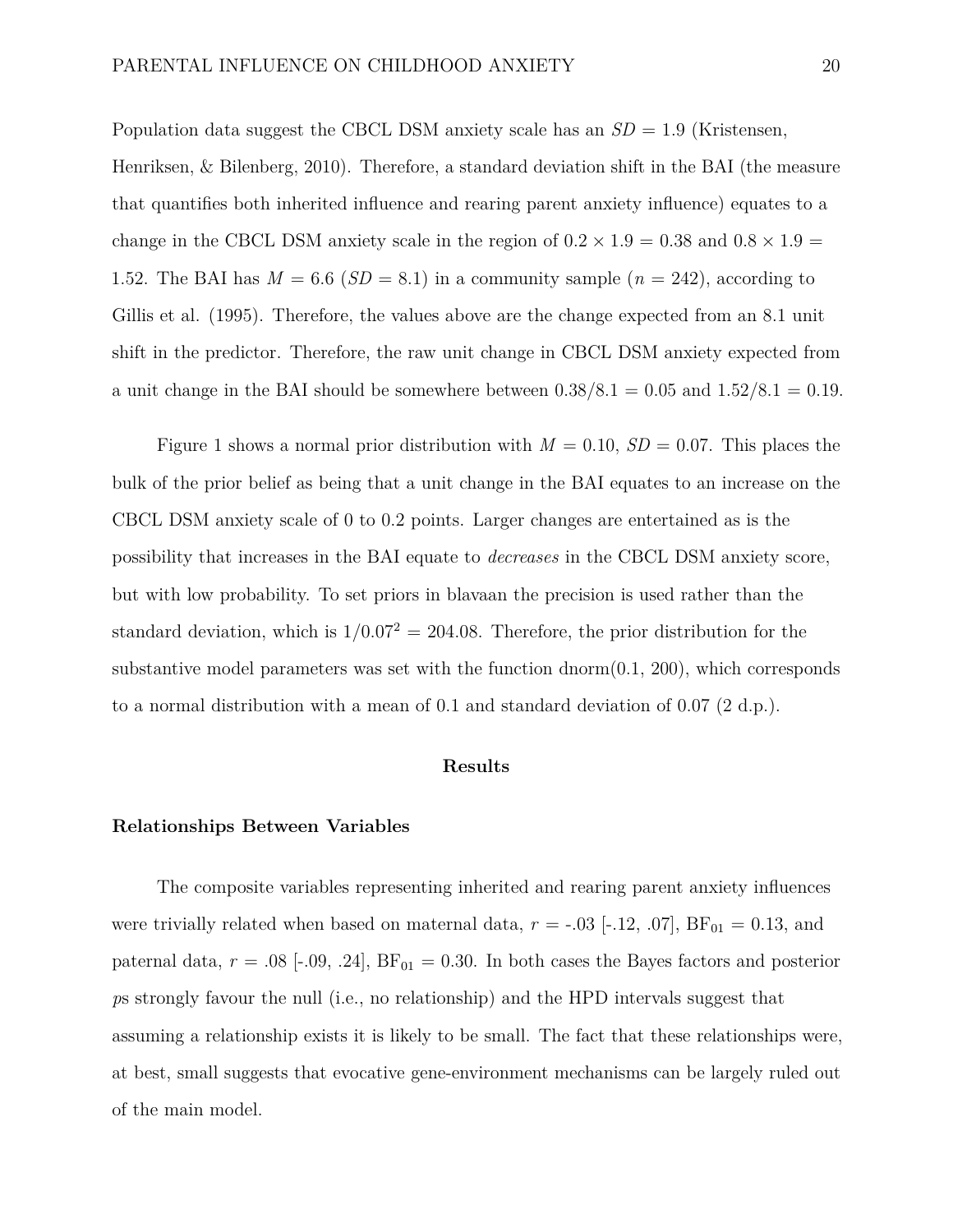Population data suggest the CBCL DSM anxiety scale has an *SD* = 1.9 (Kristensen, Henriksen, & Bilenberg, 2010). Therefore, a standard deviation shift in the BAI (the measure that quantifies both inherited influence and rearing parent anxiety influence) equates to a change in the CBCL DSM anxiety scale in the region of  $0.2 \times 1.9 = 0.38$  and  $0.8 \times 1.9 =$ 1.52. The BAI has  $M = 6.6$  ( $SD = 8.1$ ) in a community sample ( $n = 242$ ), according to Gillis et al. (1995). Therefore, the values above are the change expected from an 8.1 unit shift in the predictor. Therefore, the raw unit change in CBCL DSM anxiety expected from a unit change in the BAI should be somewhere between  $0.38/8.1 = 0.05$  and  $1.52/8.1 = 0.19$ .

Figure 1 shows a normal prior distribution with  $M = 0.10$ ,  $SD = 0.07$ . This places the bulk of the prior belief as being that a unit change in the BAI equates to an increase on the CBCL DSM anxiety scale of 0 to 0.2 points. Larger changes are entertained as is the possibility that increases in the BAI equate to *decreases* in the CBCL DSM anxiety score, but with low probability. To set priors in blavaan the precision is used rather than the standard deviation, which is  $1/0.07^2 = 204.08$ . Therefore, the prior distribution for the substantive model parameters was set with the function dnorm $(0.1, 200)$ , which corresponds to a normal distribution with a mean of 0.1 and standard deviation of 0.07 (2 d.p.).

#### **Results**

#### **Relationships Between Variables**

The composite variables representing inherited and rearing parent anxiety influences were trivially related when based on maternal data,  $r = -0.03$  [-.12,  $0.07$ ],  $BF_{01} = 0.13$ , and paternal data,  $r = .08$  [-.09, .24],  $BF_{01} = 0.30$ . In both cases the Bayes factors and posterior *p*s strongly favour the null (i.e., no relationship) and the HPD intervals suggest that assuming a relationship exists it is likely to be small. The fact that these relationships were, at best, small suggests that evocative gene-environment mechanisms can be largely ruled out of the main model.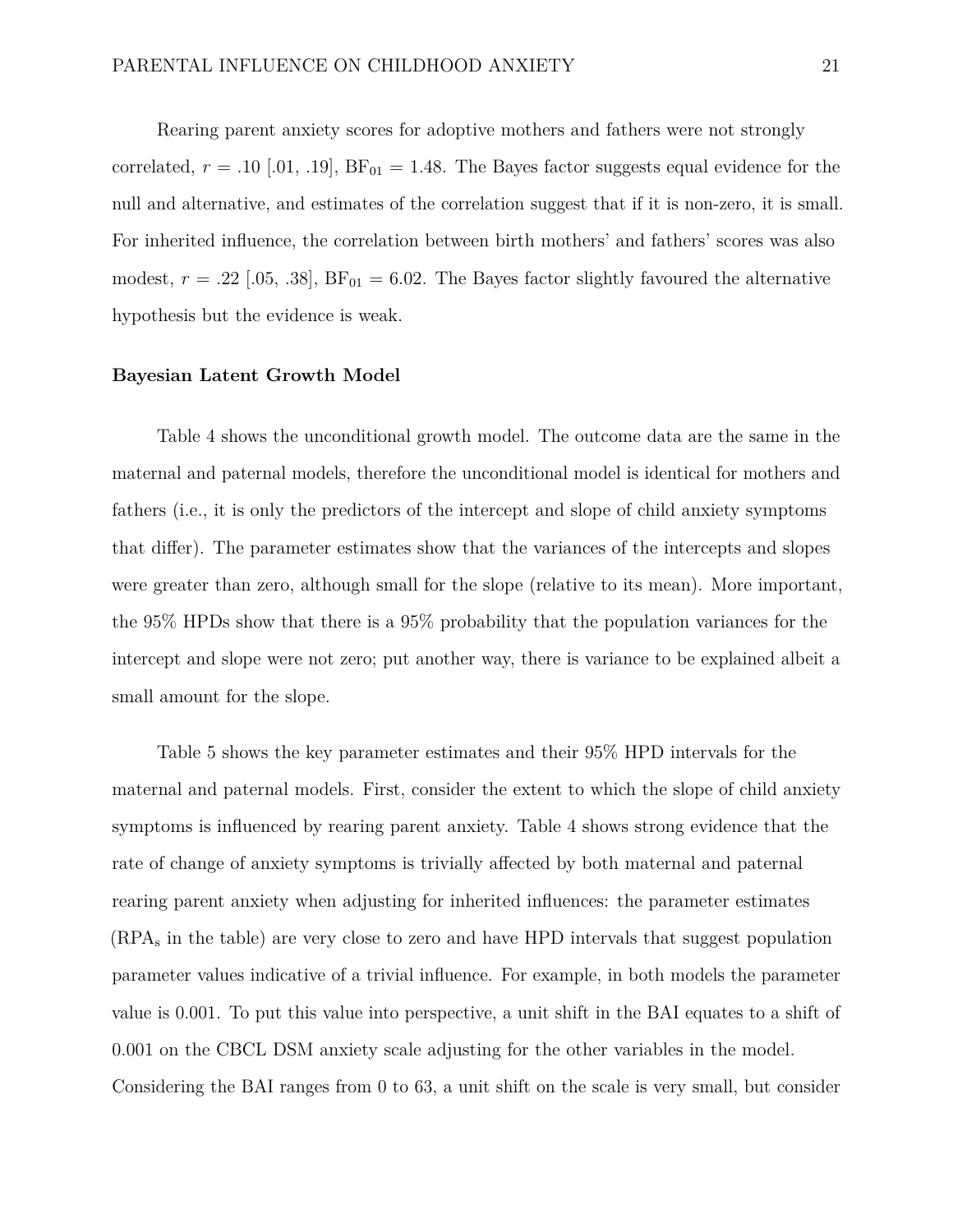Rearing parent anxiety scores for adoptive mothers and fathers were not strongly correlated,  $r = .10$  [.01, .19],  $BF_{01} = 1.48$ . The Bayes factor suggests equal evidence for the null and alternative, and estimates of the correlation suggest that if it is non-zero, it is small. For inherited influence, the correlation between birth mothers' and fathers' scores was also modest,  $r = .22$  [.05, .38],  $BF_{01} = 6.02$ . The Bayes factor slightly favoured the alternative hypothesis but the evidence is weak.

#### **Bayesian Latent Growth Model**

Table 4 shows the unconditional growth model. The outcome data are the same in the maternal and paternal models, therefore the unconditional model is identical for mothers and fathers (i.e., it is only the predictors of the intercept and slope of child anxiety symptoms that differ). The parameter estimates show that the variances of the intercepts and slopes were greater than zero, although small for the slope (relative to its mean). More important, the 95% HPDs show that there is a 95% probability that the population variances for the intercept and slope were not zero; put another way, there is variance to be explained albeit a small amount for the slope.

Table 5 shows the key parameter estimates and their 95% HPD intervals for the maternal and paternal models. First, consider the extent to which the slope of child anxiety symptoms is influenced by rearing parent anxiety. Table 4 shows strong evidence that the rate of change of anxiety symptoms is trivially affected by both maternal and paternal rearing parent anxiety when adjusting for inherited influences: the parameter estimates (RPA<sup>s</sup> in the table) are very close to zero and have HPD intervals that suggest population parameter values indicative of a trivial influence. For example, in both models the parameter value is 0.001. To put this value into perspective, a unit shift in the BAI equates to a shift of 0.001 on the CBCL DSM anxiety scale adjusting for the other variables in the model. Considering the BAI ranges from 0 to 63, a unit shift on the scale is very small, but consider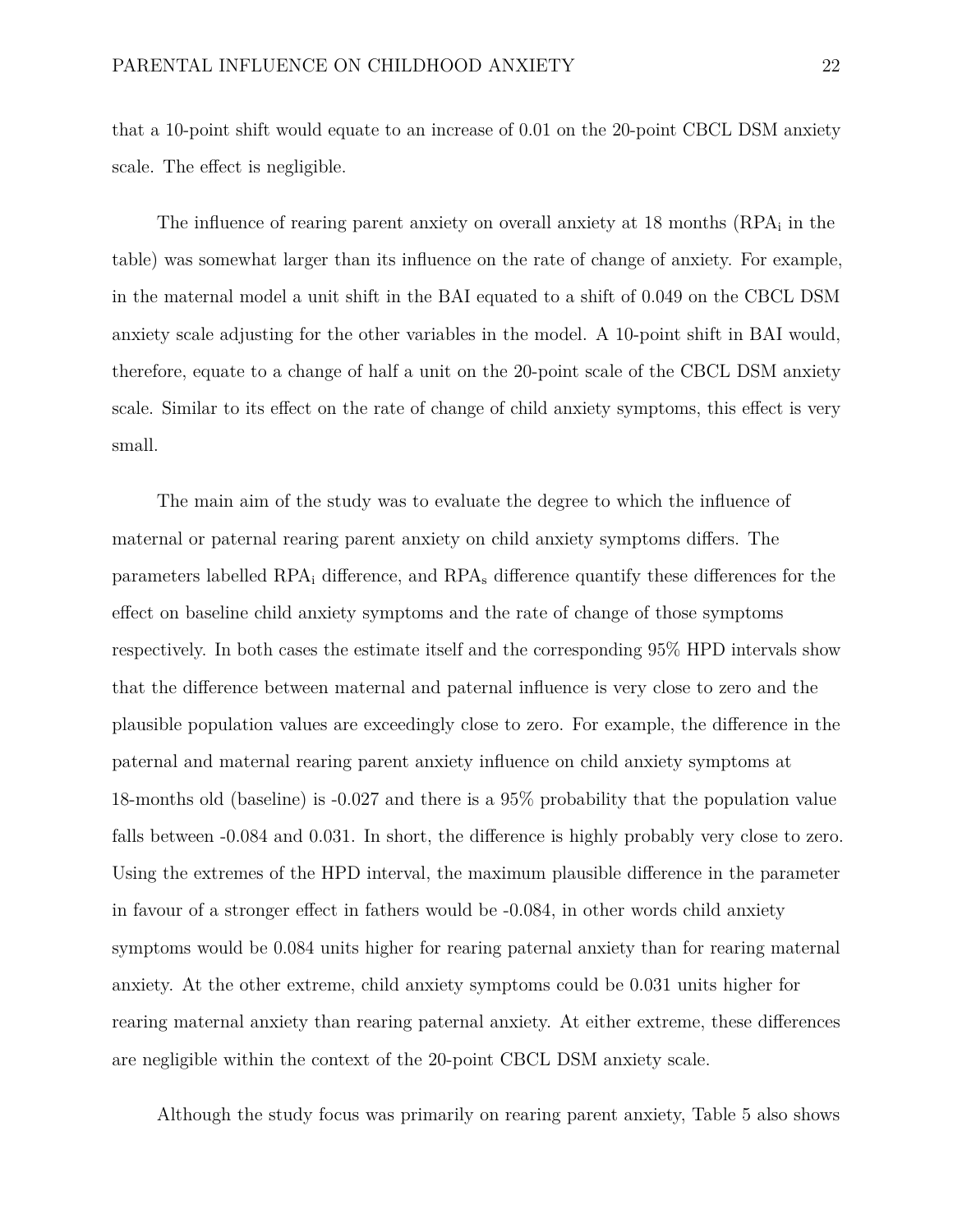that a 10-point shift would equate to an increase of 0.01 on the 20-point CBCL DSM anxiety scale. The effect is negligible.

The influence of rearing parent anxiety on overall anxiety at 18 months (RPA<sub>i</sub> in the table) was somewhat larger than its influence on the rate of change of anxiety. For example, in the maternal model a unit shift in the BAI equated to a shift of 0.049 on the CBCL DSM anxiety scale adjusting for the other variables in the model. A 10-point shift in BAI would, therefore, equate to a change of half a unit on the 20-point scale of the CBCL DSM anxiety scale. Similar to its effect on the rate of change of child anxiety symptoms, this effect is very small.

The main aim of the study was to evaluate the degree to which the influence of maternal or paternal rearing parent anxiety on child anxiety symptoms differs. The parameters labelled  $RPA_i$  difference, and  $RPA_s$  difference quantify these differences for the effect on baseline child anxiety symptoms and the rate of change of those symptoms respectively. In both cases the estimate itself and the corresponding 95% HPD intervals show that the difference between maternal and paternal influence is very close to zero and the plausible population values are exceedingly close to zero. For example, the difference in the paternal and maternal rearing parent anxiety influence on child anxiety symptoms at 18-months old (baseline) is -0.027 and there is a 95% probability that the population value falls between -0.084 and 0.031. In short, the difference is highly probably very close to zero. Using the extremes of the HPD interval, the maximum plausible difference in the parameter in favour of a stronger effect in fathers would be -0.084, in other words child anxiety symptoms would be 0.084 units higher for rearing paternal anxiety than for rearing maternal anxiety. At the other extreme, child anxiety symptoms could be 0.031 units higher for rearing maternal anxiety than rearing paternal anxiety. At either extreme, these differences are negligible within the context of the 20-point CBCL DSM anxiety scale.

Although the study focus was primarily on rearing parent anxiety, Table 5 also shows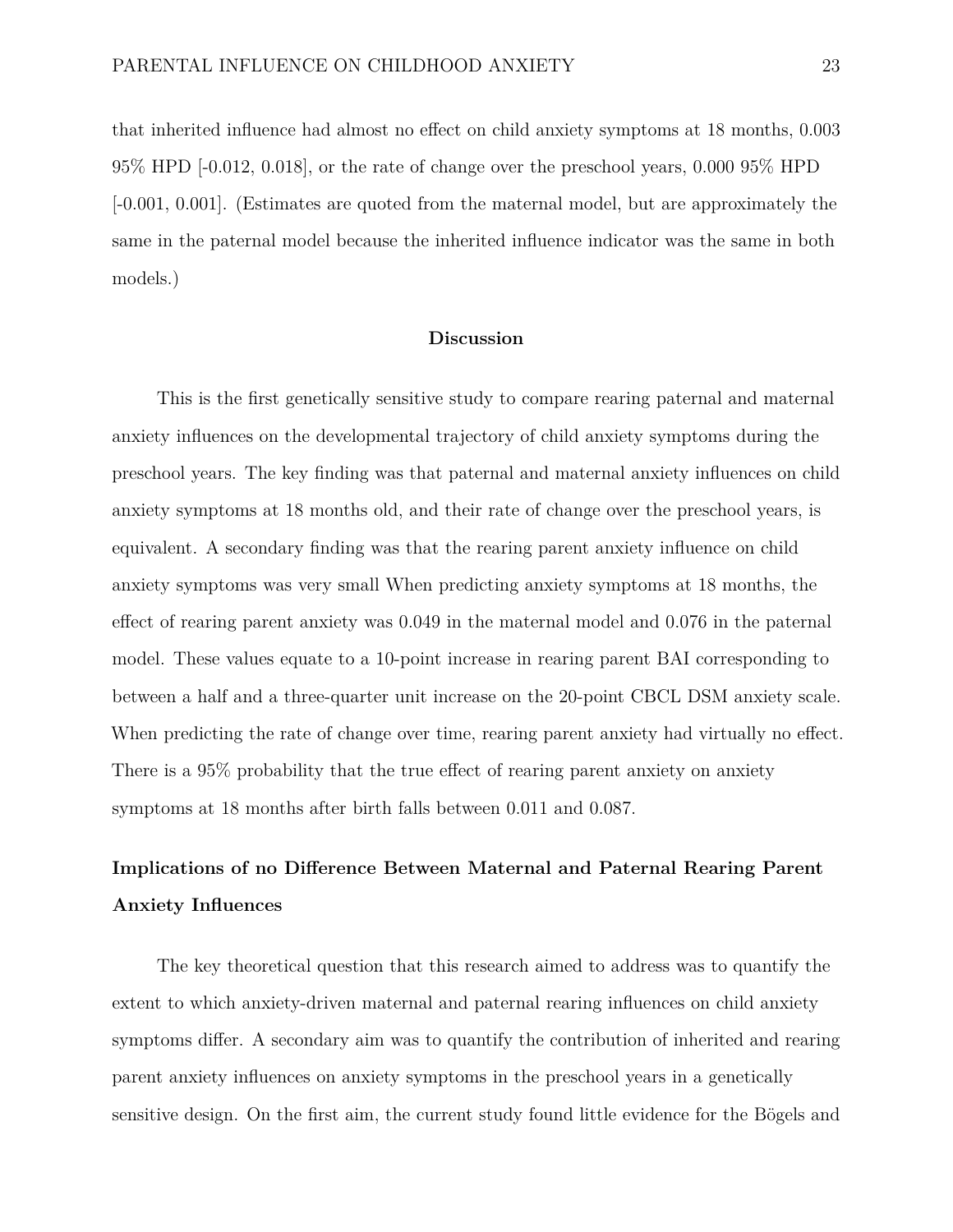that inherited influence had almost no effect on child anxiety symptoms at 18 months, 0.003 95% HPD [-0.012, 0.018], or the rate of change over the preschool years, 0.000 95% HPD [-0.001, 0.001]. (Estimates are quoted from the maternal model, but are approximately the same in the paternal model because the inherited influence indicator was the same in both models.)

#### **Discussion**

This is the first genetically sensitive study to compare rearing paternal and maternal anxiety influences on the developmental trajectory of child anxiety symptoms during the preschool years. The key finding was that paternal and maternal anxiety influences on child anxiety symptoms at 18 months old, and their rate of change over the preschool years, is equivalent. A secondary finding was that the rearing parent anxiety influence on child anxiety symptoms was very small When predicting anxiety symptoms at 18 months, the effect of rearing parent anxiety was 0.049 in the maternal model and 0.076 in the paternal model. These values equate to a 10-point increase in rearing parent BAI corresponding to between a half and a three-quarter unit increase on the 20-point CBCL DSM anxiety scale. When predicting the rate of change over time, rearing parent anxiety had virtually no effect. There is a 95% probability that the true effect of rearing parent anxiety on anxiety symptoms at 18 months after birth falls between 0.011 and 0.087.

# **Implications of no Difference Between Maternal and Paternal Rearing Parent Anxiety Influences**

The key theoretical question that this research aimed to address was to quantify the extent to which anxiety-driven maternal and paternal rearing influences on child anxiety symptoms differ. A secondary aim was to quantify the contribution of inherited and rearing parent anxiety influences on anxiety symptoms in the preschool years in a genetically sensitive design. On the first aim, the current study found little evidence for the Bögels and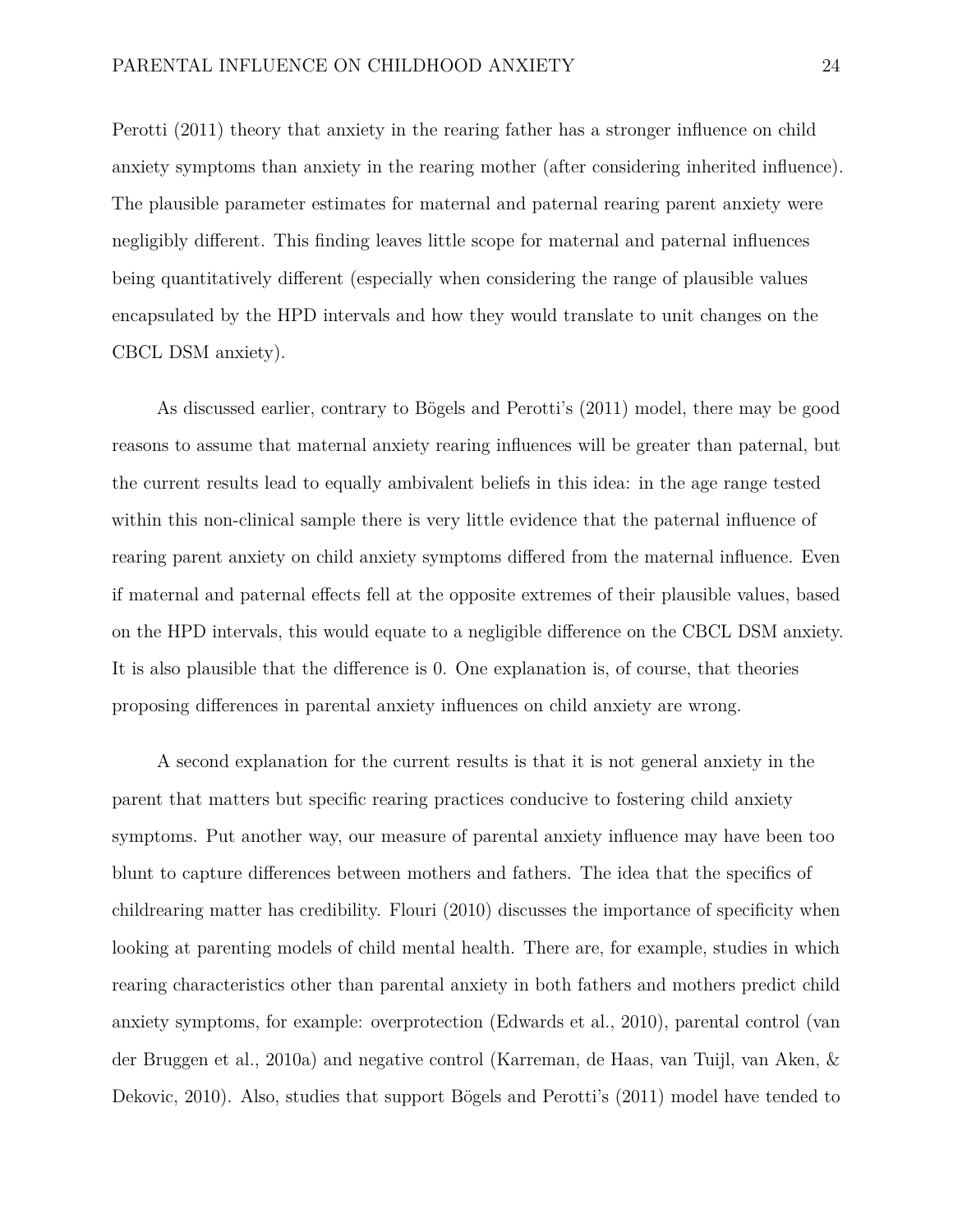Perotti (2011) theory that anxiety in the rearing father has a stronger influence on child anxiety symptoms than anxiety in the rearing mother (after considering inherited influence). The plausible parameter estimates for maternal and paternal rearing parent anxiety were negligibly different. This finding leaves little scope for maternal and paternal influences being quantitatively different (especially when considering the range of plausible values encapsulated by the HPD intervals and how they would translate to unit changes on the CBCL DSM anxiety).

As discussed earlier, contrary to Bögels and Perotti's (2011) model, there may be good reasons to assume that maternal anxiety rearing influences will be greater than paternal, but the current results lead to equally ambivalent beliefs in this idea: in the age range tested within this non-clinical sample there is very little evidence that the paternal influence of rearing parent anxiety on child anxiety symptoms differed from the maternal influence. Even if maternal and paternal effects fell at the opposite extremes of their plausible values, based on the HPD intervals, this would equate to a negligible difference on the CBCL DSM anxiety. It is also plausible that the difference is 0. One explanation is, of course, that theories proposing differences in parental anxiety influences on child anxiety are wrong.

A second explanation for the current results is that it is not general anxiety in the parent that matters but specific rearing practices conducive to fostering child anxiety symptoms. Put another way, our measure of parental anxiety influence may have been too blunt to capture differences between mothers and fathers. The idea that the specifics of childrearing matter has credibility. Flouri (2010) discusses the importance of specificity when looking at parenting models of child mental health. There are, for example, studies in which rearing characteristics other than parental anxiety in both fathers and mothers predict child anxiety symptoms, for example: overprotection (Edwards et al., 2010), parental control (van der Bruggen et al., 2010a) and negative control (Karreman, de Haas, van Tuijl, van Aken, & Dekovic, 2010). Also, studies that support Bögels and Perotti's (2011) model have tended to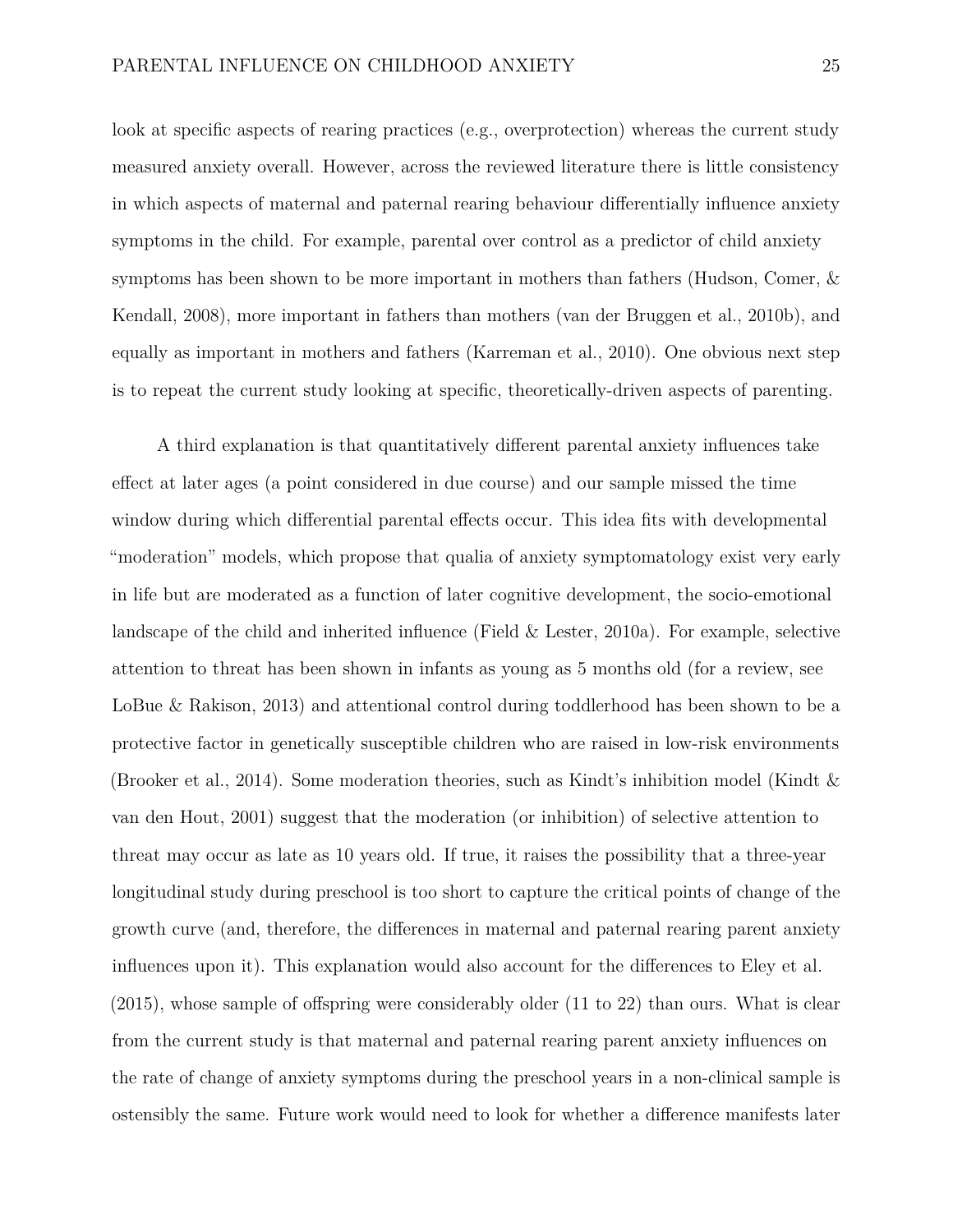look at specific aspects of rearing practices (e.g., overprotection) whereas the current study measured anxiety overall. However, across the reviewed literature there is little consistency in which aspects of maternal and paternal rearing behaviour differentially influence anxiety symptoms in the child. For example, parental over control as a predictor of child anxiety symptoms has been shown to be more important in mothers than fathers (Hudson, Comer, & Kendall, 2008), more important in fathers than mothers (van der Bruggen et al., 2010b), and equally as important in mothers and fathers (Karreman et al., 2010). One obvious next step is to repeat the current study looking at specific, theoretically-driven aspects of parenting.

A third explanation is that quantitatively different parental anxiety influences take effect at later ages (a point considered in due course) and our sample missed the time window during which differential parental effects occur. This idea fits with developmental "moderation" models, which propose that qualia of anxiety symptomatology exist very early in life but are moderated as a function of later cognitive development, the socio-emotional landscape of the child and inherited influence (Field & Lester, 2010a). For example, selective attention to threat has been shown in infants as young as 5 months old (for a review, see LoBue & Rakison, 2013) and attentional control during toddlerhood has been shown to be a protective factor in genetically susceptible children who are raised in low-risk environments (Brooker et al., 2014). Some moderation theories, such as Kindt's inhibition model (Kindt & van den Hout, 2001) suggest that the moderation (or inhibition) of selective attention to threat may occur as late as 10 years old. If true, it raises the possibility that a three-year longitudinal study during preschool is too short to capture the critical points of change of the growth curve (and, therefore, the differences in maternal and paternal rearing parent anxiety influences upon it). This explanation would also account for the differences to Eley et al. (2015), whose sample of offspring were considerably older (11 to 22) than ours. What is clear from the current study is that maternal and paternal rearing parent anxiety influences on the rate of change of anxiety symptoms during the preschool years in a non-clinical sample is ostensibly the same. Future work would need to look for whether a difference manifests later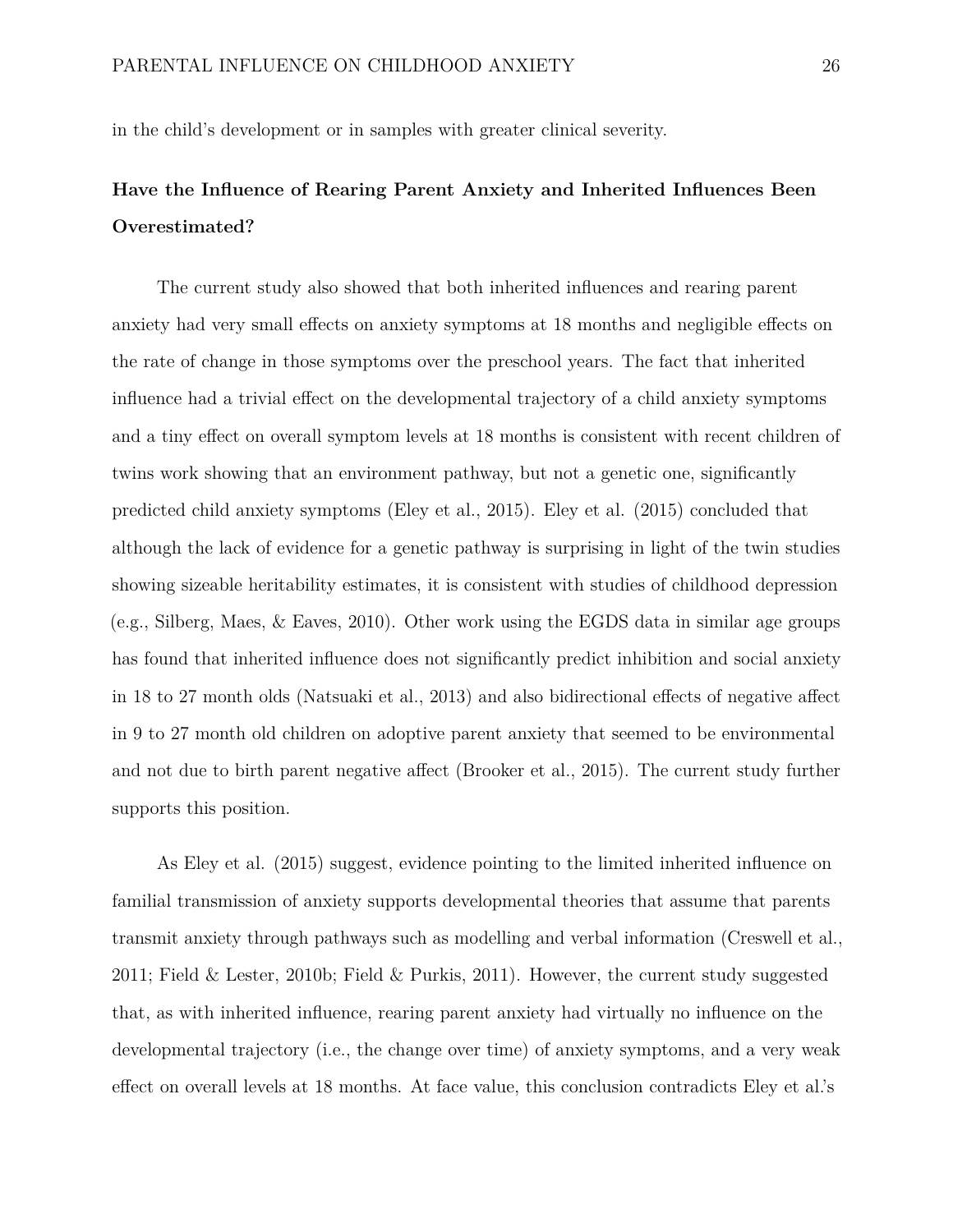in the child's development or in samples with greater clinical severity.

# **Have the Influence of Rearing Parent Anxiety and Inherited Influences Been Overestimated?**

The current study also showed that both inherited influences and rearing parent anxiety had very small effects on anxiety symptoms at 18 months and negligible effects on the rate of change in those symptoms over the preschool years. The fact that inherited influence had a trivial effect on the developmental trajectory of a child anxiety symptoms and a tiny effect on overall symptom levels at 18 months is consistent with recent children of twins work showing that an environment pathway, but not a genetic one, significantly predicted child anxiety symptoms (Eley et al., 2015). Eley et al. (2015) concluded that although the lack of evidence for a genetic pathway is surprising in light of the twin studies showing sizeable heritability estimates, it is consistent with studies of childhood depression (e.g., Silberg, Maes, & Eaves, 2010). Other work using the EGDS data in similar age groups has found that inherited influence does not significantly predict inhibition and social anxiety in 18 to 27 month olds (Natsuaki et al., 2013) and also bidirectional effects of negative affect in 9 to 27 month old children on adoptive parent anxiety that seemed to be environmental and not due to birth parent negative affect (Brooker et al., 2015). The current study further supports this position.

As Eley et al. (2015) suggest, evidence pointing to the limited inherited influence on familial transmission of anxiety supports developmental theories that assume that parents transmit anxiety through pathways such as modelling and verbal information (Creswell et al., 2011; Field & Lester, 2010b; Field & Purkis, 2011). However, the current study suggested that, as with inherited influence, rearing parent anxiety had virtually no influence on the developmental trajectory (i.e., the change over time) of anxiety symptoms, and a very weak effect on overall levels at 18 months. At face value, this conclusion contradicts Eley et al.'s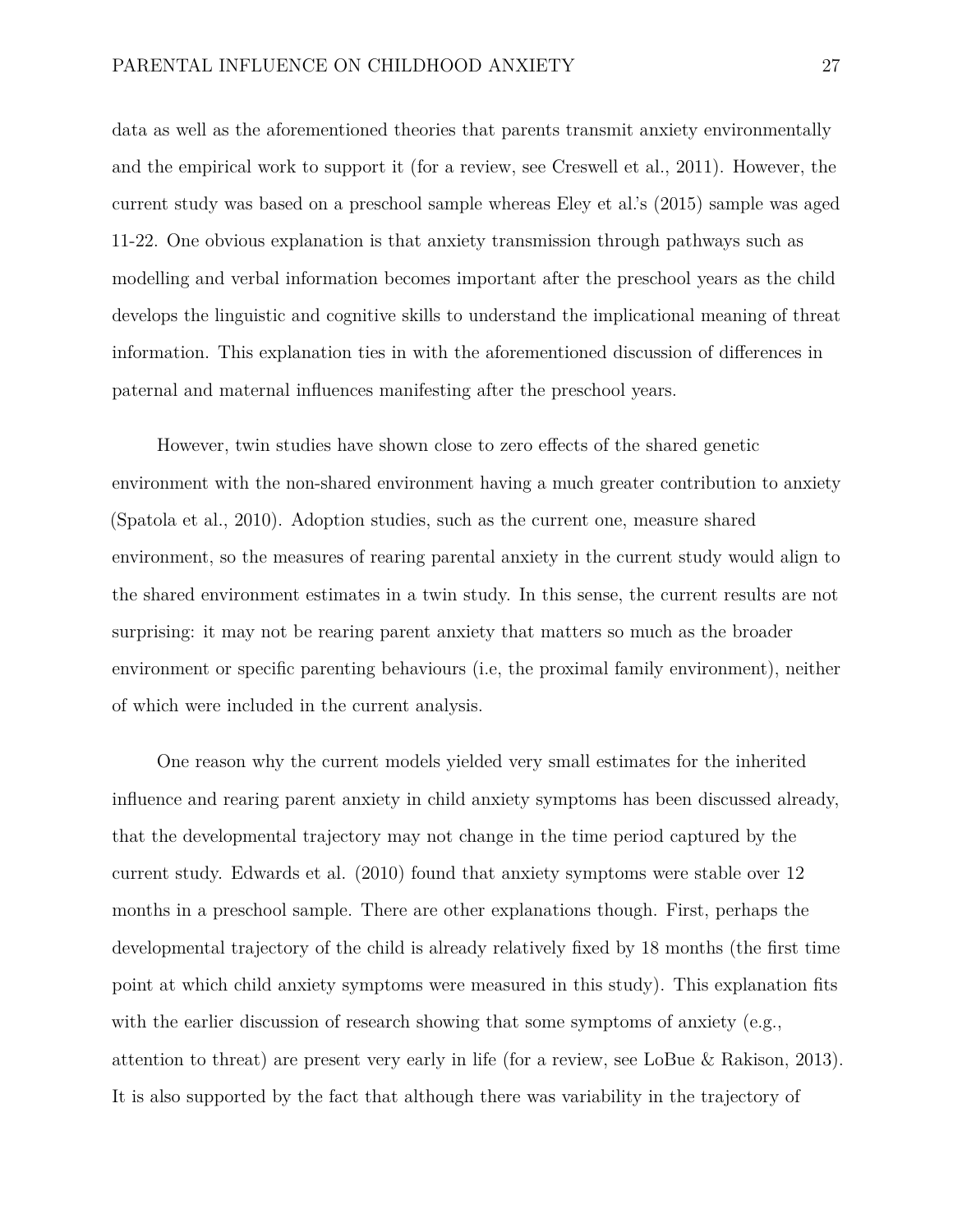data as well as the aforementioned theories that parents transmit anxiety environmentally and the empirical work to support it (for a review, see Creswell et al., 2011). However, the current study was based on a preschool sample whereas Eley et al.'s (2015) sample was aged 11-22. One obvious explanation is that anxiety transmission through pathways such as modelling and verbal information becomes important after the preschool years as the child develops the linguistic and cognitive skills to understand the implicational meaning of threat information. This explanation ties in with the aforementioned discussion of differences in paternal and maternal influences manifesting after the preschool years.

However, twin studies have shown close to zero effects of the shared genetic environment with the non-shared environment having a much greater contribution to anxiety (Spatola et al., 2010). Adoption studies, such as the current one, measure shared environment, so the measures of rearing parental anxiety in the current study would align to the shared environment estimates in a twin study. In this sense, the current results are not surprising: it may not be rearing parent anxiety that matters so much as the broader environment or specific parenting behaviours (i.e, the proximal family environment), neither of which were included in the current analysis.

One reason why the current models yielded very small estimates for the inherited influence and rearing parent anxiety in child anxiety symptoms has been discussed already, that the developmental trajectory may not change in the time period captured by the current study. Edwards et al. (2010) found that anxiety symptoms were stable over 12 months in a preschool sample. There are other explanations though. First, perhaps the developmental trajectory of the child is already relatively fixed by 18 months (the first time point at which child anxiety symptoms were measured in this study). This explanation fits with the earlier discussion of research showing that some symptoms of anxiety (e.g., attention to threat) are present very early in life (for a review, see LoBue & Rakison, 2013). It is also supported by the fact that although there was variability in the trajectory of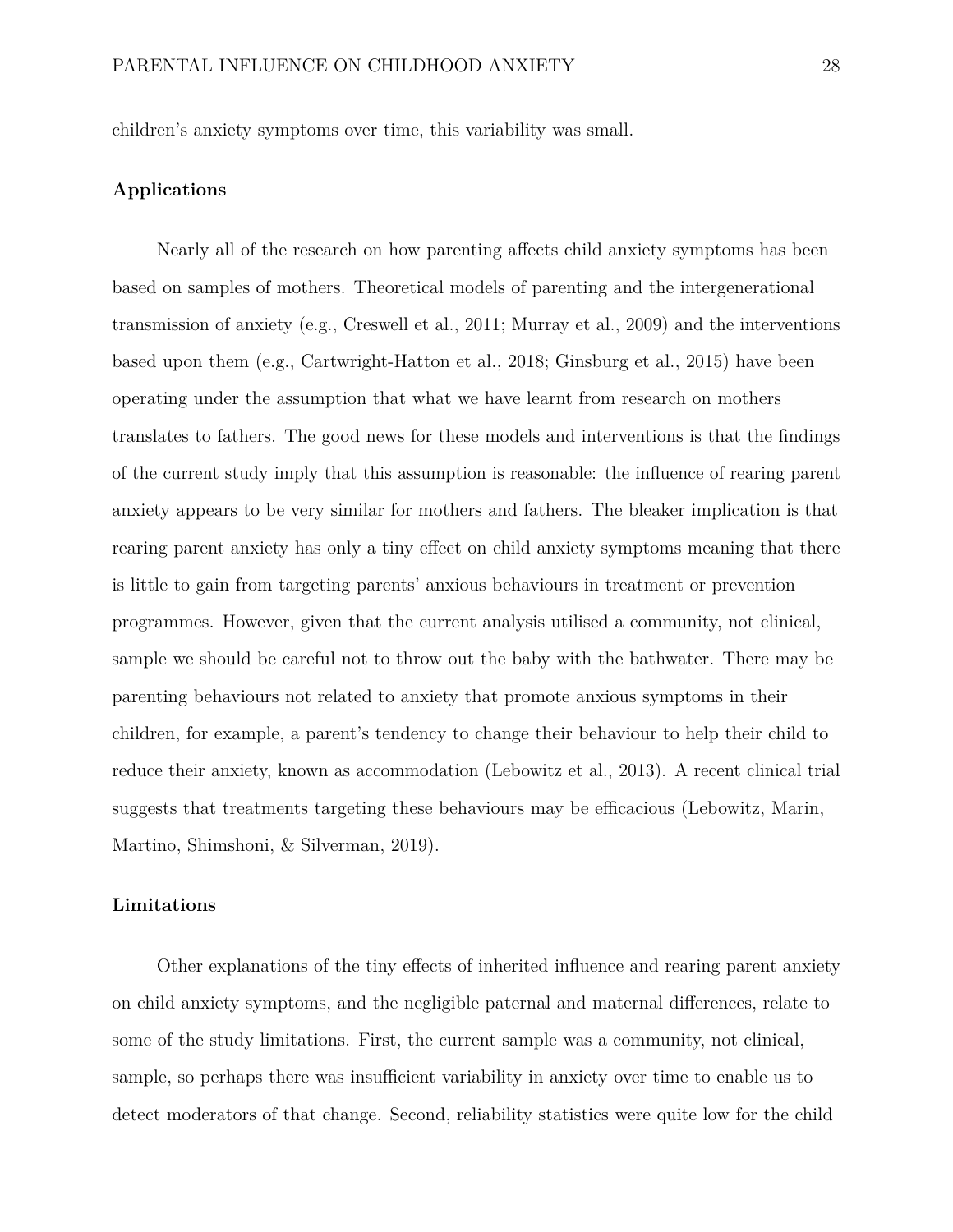children's anxiety symptoms over time, this variability was small.

#### **Applications**

Nearly all of the research on how parenting affects child anxiety symptoms has been based on samples of mothers. Theoretical models of parenting and the intergenerational transmission of anxiety (e.g., Creswell et al., 2011; Murray et al., 2009) and the interventions based upon them (e.g., Cartwright-Hatton et al., 2018; Ginsburg et al., 2015) have been operating under the assumption that what we have learnt from research on mothers translates to fathers. The good news for these models and interventions is that the findings of the current study imply that this assumption is reasonable: the influence of rearing parent anxiety appears to be very similar for mothers and fathers. The bleaker implication is that rearing parent anxiety has only a tiny effect on child anxiety symptoms meaning that there is little to gain from targeting parents' anxious behaviours in treatment or prevention programmes. However, given that the current analysis utilised a community, not clinical, sample we should be careful not to throw out the baby with the bathwater. There may be parenting behaviours not related to anxiety that promote anxious symptoms in their children, for example, a parent's tendency to change their behaviour to help their child to reduce their anxiety, known as accommodation (Lebowitz et al., 2013). A recent clinical trial suggests that treatments targeting these behaviours may be efficacious (Lebowitz, Marin, Martino, Shimshoni, & Silverman, 2019).

#### **Limitations**

Other explanations of the tiny effects of inherited influence and rearing parent anxiety on child anxiety symptoms, and the negligible paternal and maternal differences, relate to some of the study limitations. First, the current sample was a community, not clinical, sample, so perhaps there was insufficient variability in anxiety over time to enable us to detect moderators of that change. Second, reliability statistics were quite low for the child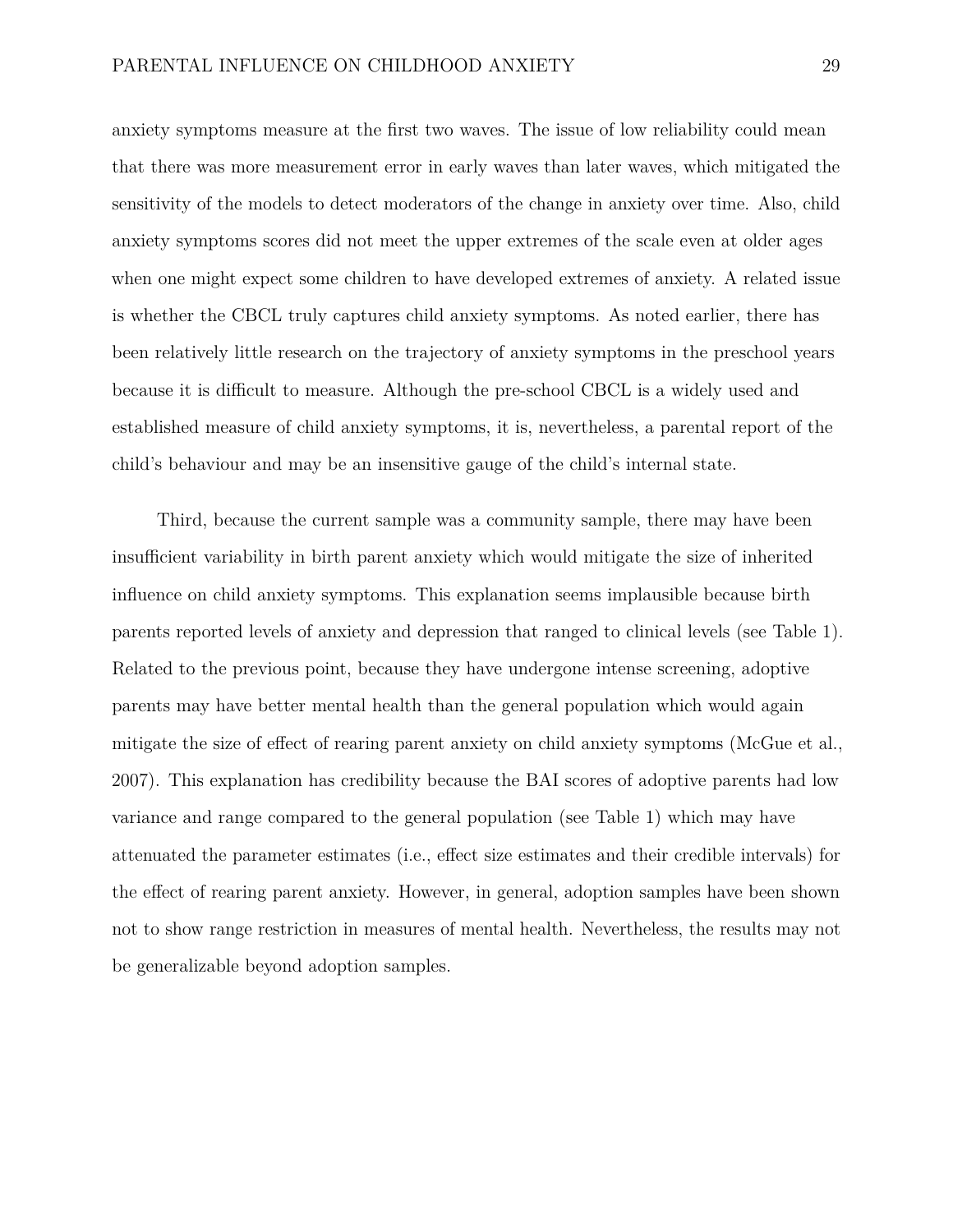anxiety symptoms measure at the first two waves. The issue of low reliability could mean that there was more measurement error in early waves than later waves, which mitigated the sensitivity of the models to detect moderators of the change in anxiety over time. Also, child anxiety symptoms scores did not meet the upper extremes of the scale even at older ages when one might expect some children to have developed extremes of anxiety. A related issue is whether the CBCL truly captures child anxiety symptoms. As noted earlier, there has been relatively little research on the trajectory of anxiety symptoms in the preschool years because it is difficult to measure. Although the pre-school CBCL is a widely used and established measure of child anxiety symptoms, it is, nevertheless, a parental report of the child's behaviour and may be an insensitive gauge of the child's internal state.

Third, because the current sample was a community sample, there may have been insufficient variability in birth parent anxiety which would mitigate the size of inherited influence on child anxiety symptoms. This explanation seems implausible because birth parents reported levels of anxiety and depression that ranged to clinical levels (see Table 1). Related to the previous point, because they have undergone intense screening, adoptive parents may have better mental health than the general population which would again mitigate the size of effect of rearing parent anxiety on child anxiety symptoms (McGue et al., 2007). This explanation has credibility because the BAI scores of adoptive parents had low variance and range compared to the general population (see Table 1) which may have attenuated the parameter estimates (i.e., effect size estimates and their credible intervals) for the effect of rearing parent anxiety. However, in general, adoption samples have been shown not to show range restriction in measures of mental health. Nevertheless, the results may not be generalizable beyond adoption samples.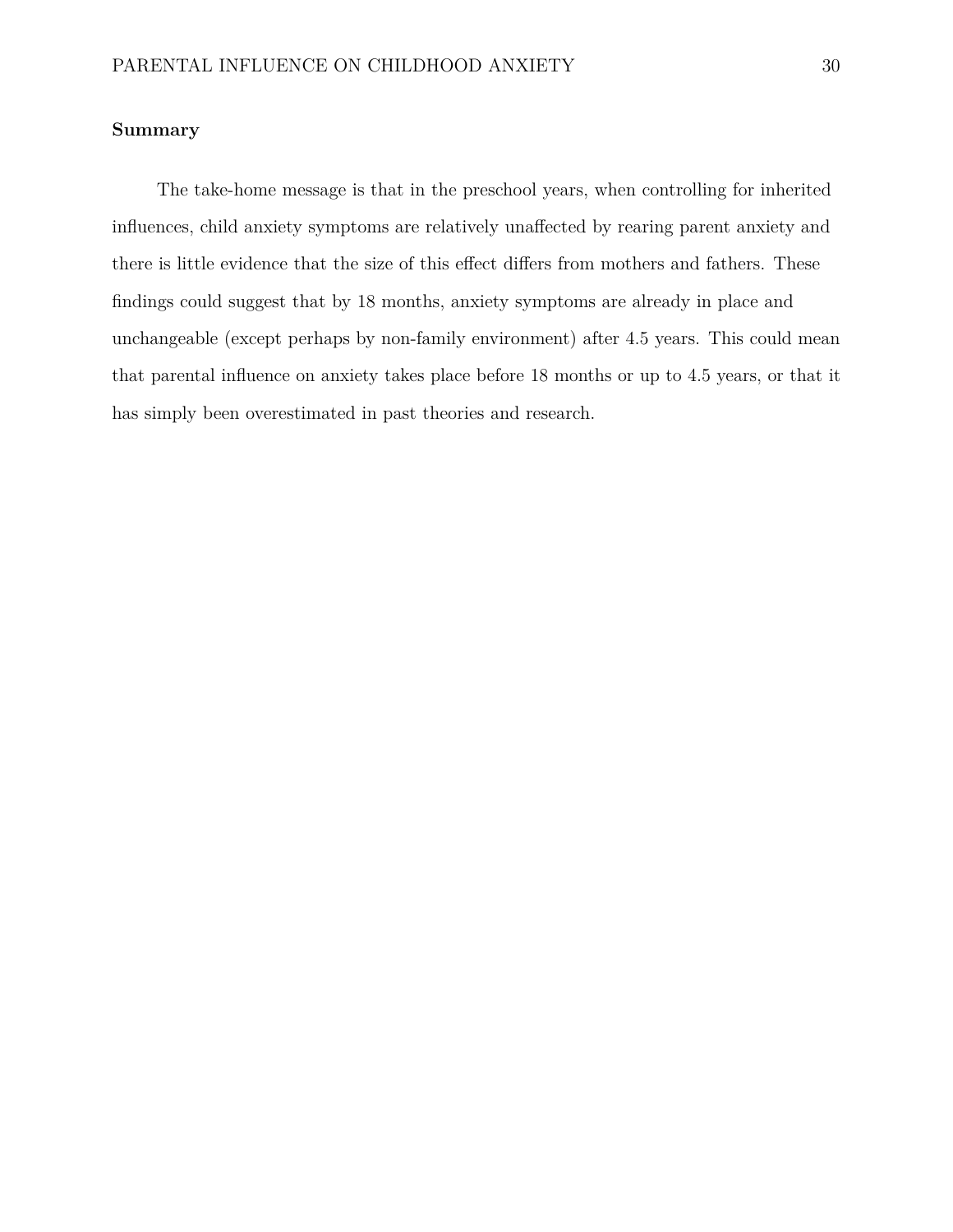#### **Summary**

The take-home message is that in the preschool years, when controlling for inherited influences, child anxiety symptoms are relatively unaffected by rearing parent anxiety and there is little evidence that the size of this effect differs from mothers and fathers. These findings could suggest that by 18 months, anxiety symptoms are already in place and unchangeable (except perhaps by non-family environment) after 4.5 years. This could mean that parental influence on anxiety takes place before 18 months or up to 4.5 years, or that it has simply been overestimated in past theories and research.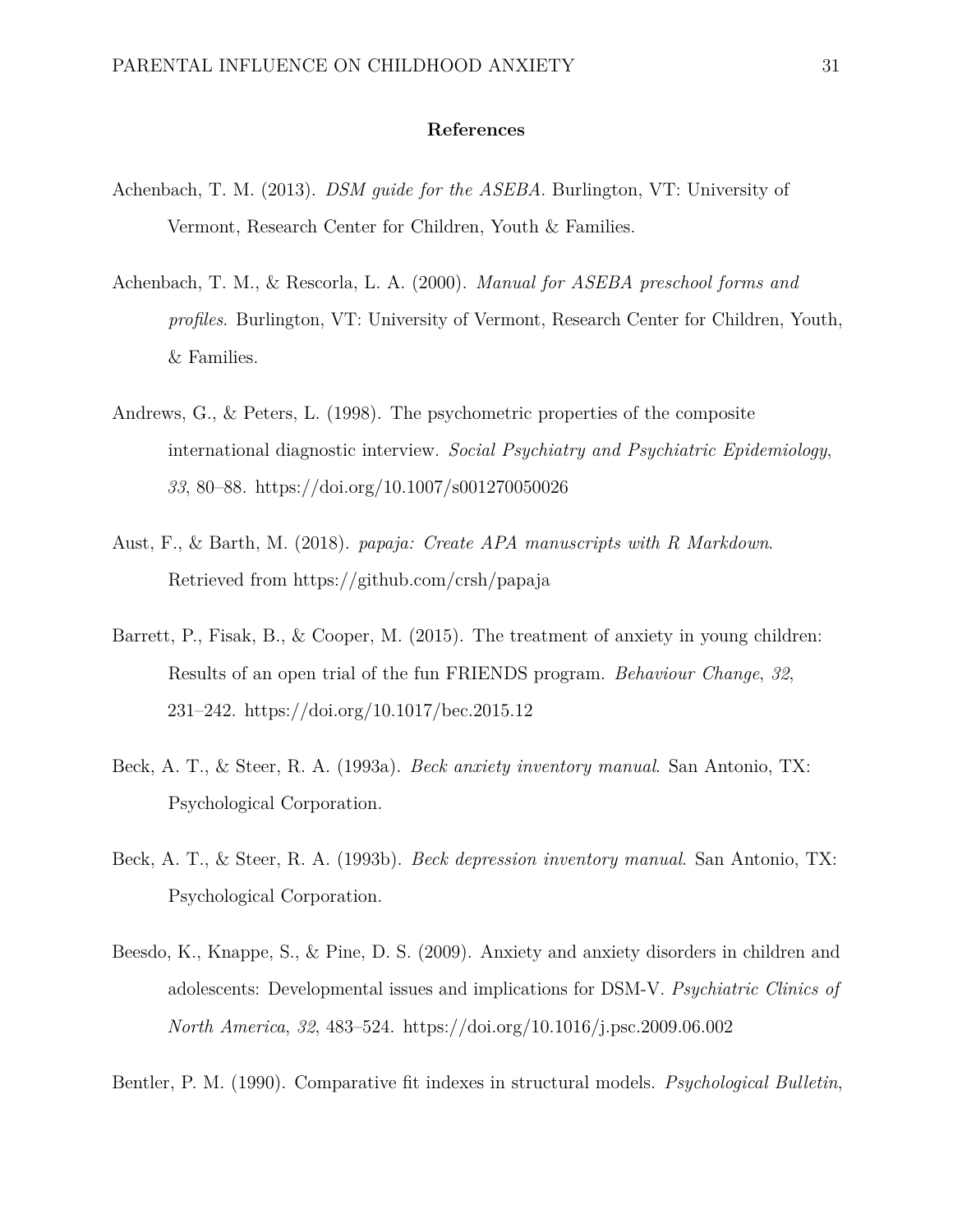#### **References**

- Achenbach, T. M. (2013). *DSM guide for the ASEBA*. Burlington, VT: University of Vermont, Research Center for Children, Youth & Families.
- Achenbach, T. M., & Rescorla, L. A. (2000). *Manual for ASEBA preschool forms and profiles*. Burlington, VT: University of Vermont, Research Center for Children, Youth, & Families.
- Andrews, G., & Peters, L. (1998). The psychometric properties of the composite international diagnostic interview. *Social Psychiatry and Psychiatric Epidemiology*, *33*, 80–88.<https://doi.org/10.1007/s001270050026>
- Aust, F., & Barth, M. (2018). *papaja: Create APA manuscripts with R Markdown*. Retrieved from<https://github.com/crsh/papaja>
- Barrett, P., Fisak, B., & Cooper, M. (2015). The treatment of anxiety in young children: Results of an open trial of the fun FRIENDS program. *Behaviour Change*, *32*, 231–242.<https://doi.org/10.1017/bec.2015.12>
- Beck, A. T., & Steer, R. A. (1993a). *Beck anxiety inventory manual*. San Antonio, TX: Psychological Corporation.
- Beck, A. T., & Steer, R. A. (1993b). *Beck depression inventory manual*. San Antonio, TX: Psychological Corporation.
- Beesdo, K., Knappe, S., & Pine, D. S. (2009). Anxiety and anxiety disorders in children and adolescents: Developmental issues and implications for DSM-V. *Psychiatric Clinics of North America*, *32*, 483–524.<https://doi.org/10.1016/j.psc.2009.06.002>
- Bentler, P. M. (1990). Comparative fit indexes in structural models. *Psychological Bulletin*,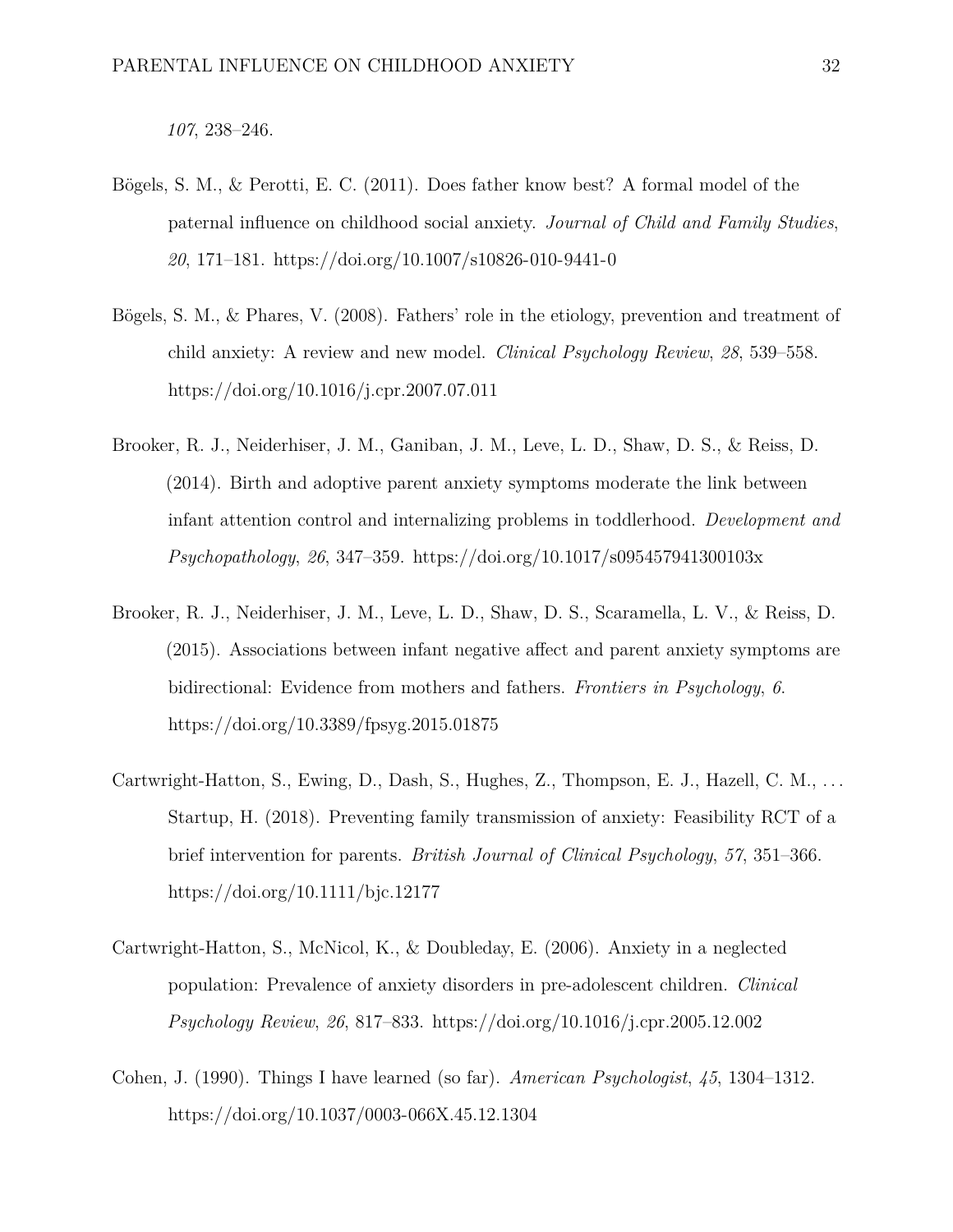*107*, 238–246.

- Bögels, S. M., & Perotti, E. C. (2011). Does father know best? A formal model of the paternal influence on childhood social anxiety. *Journal of Child and Family Studies*, *20*, 171–181.<https://doi.org/10.1007/s10826-010-9441-0>
- Bögels, S. M., & Phares, V. (2008). Fathers' role in the etiology, prevention and treatment of child anxiety: A review and new model. *Clinical Psychology Review*, *28*, 539–558. <https://doi.org/10.1016/j.cpr.2007.07.011>
- Brooker, R. J., Neiderhiser, J. M., Ganiban, J. M., Leve, L. D., Shaw, D. S., & Reiss, D. (2014). Birth and adoptive parent anxiety symptoms moderate the link between infant attention control and internalizing problems in toddlerhood. *Development and Psychopathology*, *26*, 347–359.<https://doi.org/10.1017/s095457941300103x>
- Brooker, R. J., Neiderhiser, J. M., Leve, L. D., Shaw, D. S., Scaramella, L. V., & Reiss, D. (2015). Associations between infant negative affect and parent anxiety symptoms are bidirectional: Evidence from mothers and fathers. *Frontiers in Psychology*, *6*. <https://doi.org/10.3389/fpsyg.2015.01875>
- Cartwright-Hatton, S., Ewing, D., Dash, S., Hughes, Z., Thompson, E. J., Hazell, C. M., ... Startup, H. (2018). Preventing family transmission of anxiety: Feasibility RCT of a brief intervention for parents. *British Journal of Clinical Psychology*, *57*, 351–366. <https://doi.org/10.1111/bjc.12177>
- Cartwright-Hatton, S., McNicol, K., & Doubleday, E. (2006). Anxiety in a neglected population: Prevalence of anxiety disorders in pre-adolescent children. *Clinical Psychology Review*, *26*, 817–833.<https://doi.org/10.1016/j.cpr.2005.12.002>
- Cohen, J. (1990). Things I have learned (so far). *American Psychologist*, *45*, 1304–1312. <https://doi.org/10.1037/0003-066X.45.12.1304>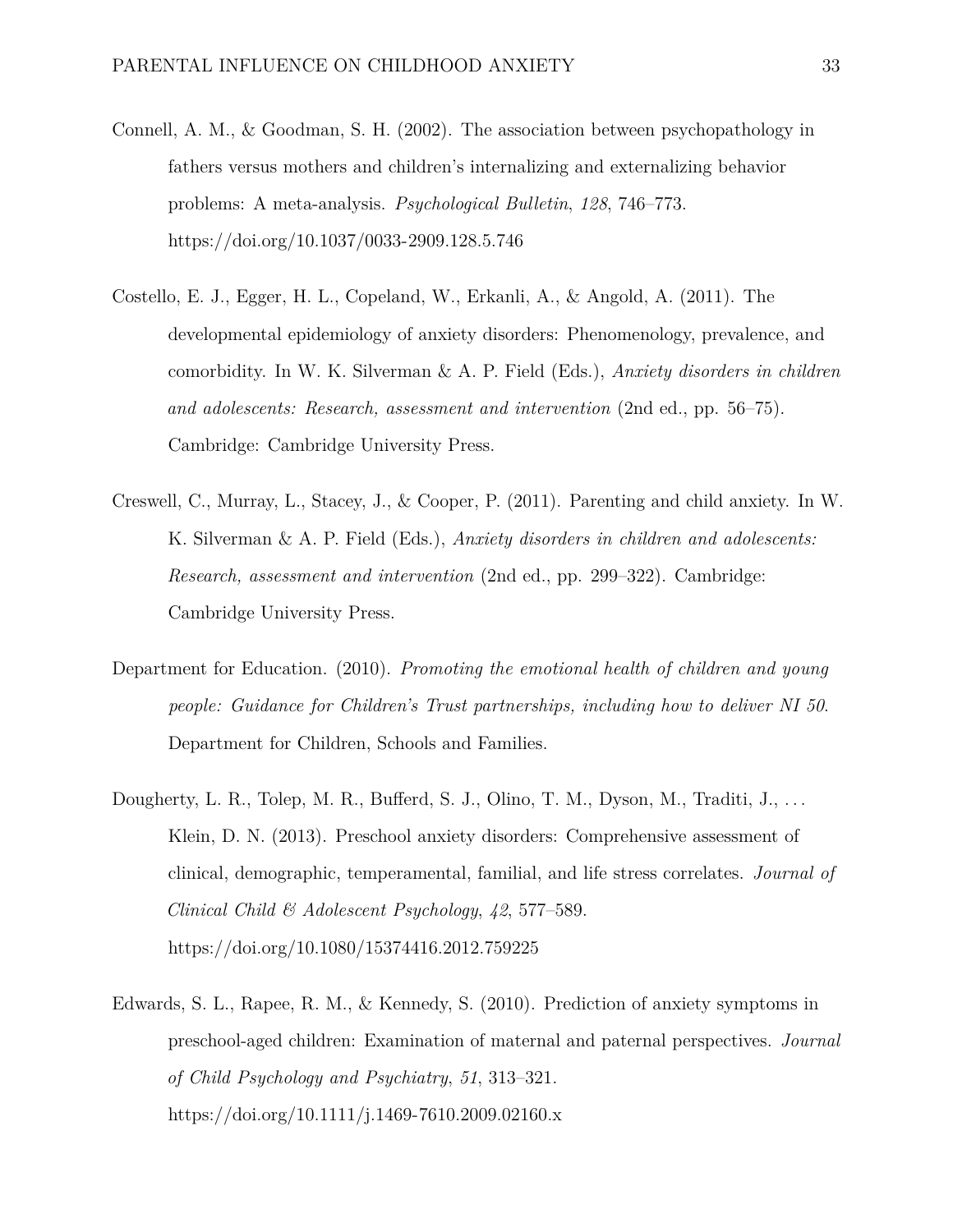- Connell, A. M., & Goodman, S. H. (2002). The association between psychopathology in fathers versus mothers and children's internalizing and externalizing behavior problems: A meta-analysis. *Psychological Bulletin*, *128*, 746–773. <https://doi.org/10.1037/0033-2909.128.5.746>
- Costello, E. J., Egger, H. L., Copeland, W., Erkanli, A., & Angold, A. (2011). The developmental epidemiology of anxiety disorders: Phenomenology, prevalence, and comorbidity. In W. K. Silverman & A. P. Field (Eds.), *Anxiety disorders in children and adolescents: Research, assessment and intervention* (2nd ed., pp. 56–75). Cambridge: Cambridge University Press.
- Creswell, C., Murray, L., Stacey, J., & Cooper, P. (2011). Parenting and child anxiety. In W. K. Silverman & A. P. Field (Eds.), *Anxiety disorders in children and adolescents: Research, assessment and intervention* (2nd ed., pp. 299–322). Cambridge: Cambridge University Press.
- Department for Education. (2010). *Promoting the emotional health of children and young people: Guidance for Children's Trust partnerships, including how to deliver NI 50*. Department for Children, Schools and Families.
- Dougherty, L. R., Tolep, M. R., Bufferd, S. J., Olino, T. M., Dyson, M., Traditi, J., ... Klein, D. N. (2013). Preschool anxiety disorders: Comprehensive assessment of clinical, demographic, temperamental, familial, and life stress correlates. *Journal of Clinical Child & Adolescent Psychology*, *42*, 577–589. <https://doi.org/10.1080/15374416.2012.759225>
- Edwards, S. L., Rapee, R. M., & Kennedy, S. (2010). Prediction of anxiety symptoms in preschool-aged children: Examination of maternal and paternal perspectives. *Journal of Child Psychology and Psychiatry*, *51*, 313–321. <https://doi.org/10.1111/j.1469-7610.2009.02160.x>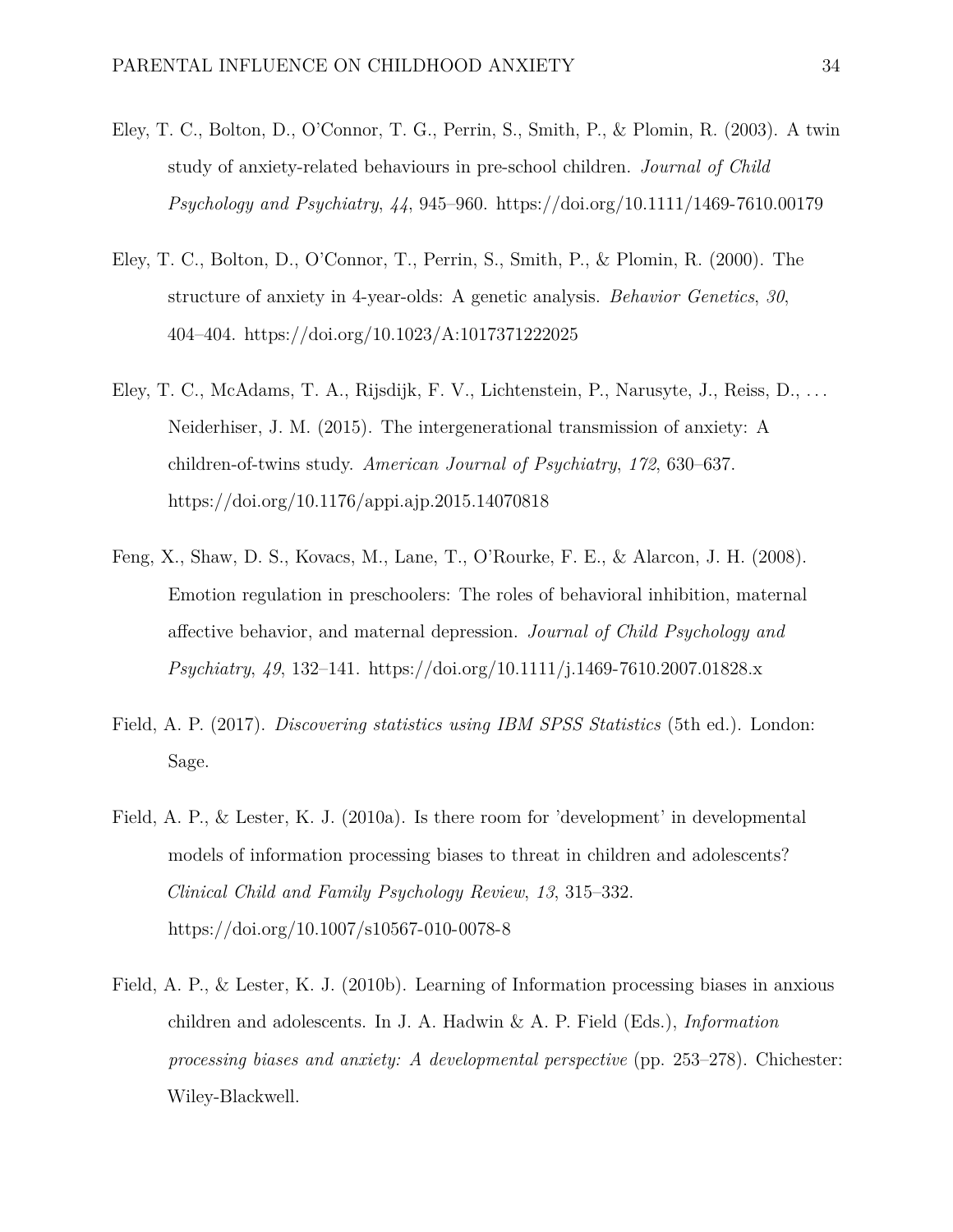- Eley, T. C., Bolton, D., O'Connor, T. G., Perrin, S., Smith, P., & Plomin, R. (2003). A twin study of anxiety-related behaviours in pre-school children. *Journal of Child Psychology and Psychiatry*, *44*, 945–960.<https://doi.org/10.1111/1469-7610.00179>
- Eley, T. C., Bolton, D., O'Connor, T., Perrin, S., Smith, P., & Plomin, R. (2000). The structure of anxiety in 4-year-olds: A genetic analysis. *Behavior Genetics*, *30*, 404–404.<https://doi.org/10.1023/A:1017371222025>
- Eley, T. C., McAdams, T. A., Rijsdijk, F. V., Lichtenstein, P., Narusyte, J., Reiss, D., . . . Neiderhiser, J. M. (2015). The intergenerational transmission of anxiety: A children-of-twins study. *American Journal of Psychiatry*, *172*, 630–637. <https://doi.org/10.1176/appi.ajp.2015.14070818>
- Feng, X., Shaw, D. S., Kovacs, M., Lane, T., O'Rourke, F. E., & Alarcon, J. H. (2008). Emotion regulation in preschoolers: The roles of behavioral inhibition, maternal affective behavior, and maternal depression. *Journal of Child Psychology and Psychiatry*, *49*, 132–141.<https://doi.org/10.1111/j.1469-7610.2007.01828.x>
- Field, A. P. (2017). *Discovering statistics using IBM SPSS Statistics* (5th ed.). London: Sage.
- Field, A. P., & Lester, K. J. (2010a). Is there room for 'development' in developmental models of information processing biases to threat in children and adolescents? *Clinical Child and Family Psychology Review*, *13*, 315–332. <https://doi.org/10.1007/s10567-010-0078-8>
- Field, A. P., & Lester, K. J. (2010b). Learning of Information processing biases in anxious children and adolescents. In J. A. Hadwin & A. P. Field (Eds.), *Information processing biases and anxiety: A developmental perspective* (pp. 253–278). Chichester: Wiley-Blackwell.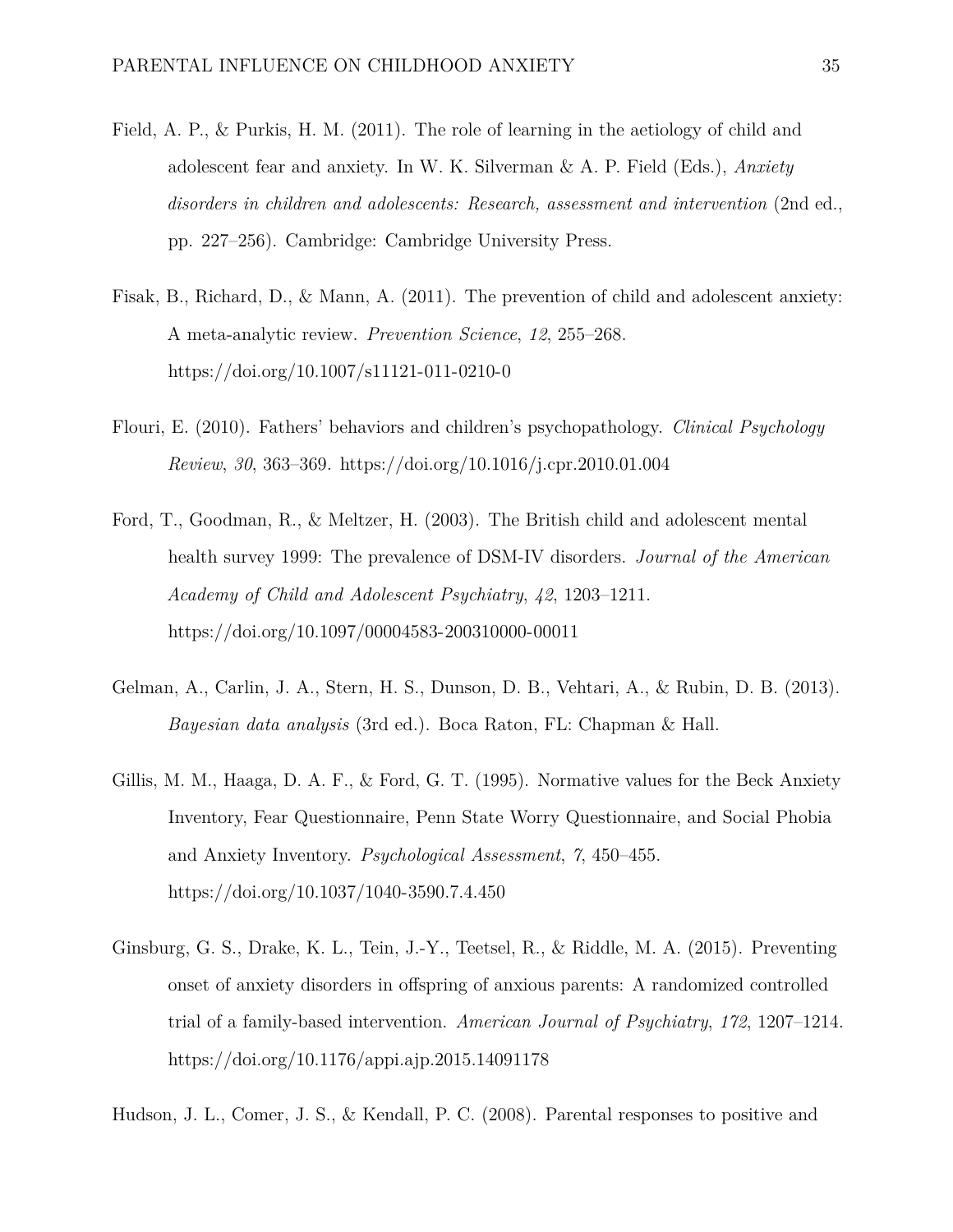- Field, A. P., & Purkis, H. M. (2011). The role of learning in the aetiology of child and adolescent fear and anxiety. In W. K. Silverman & A. P. Field (Eds.), *Anxiety disorders in children and adolescents: Research, assessment and intervention* (2nd ed., pp. 227–256). Cambridge: Cambridge University Press.
- Fisak, B., Richard, D., & Mann, A. (2011). The prevention of child and adolescent anxiety: A meta-analytic review. *Prevention Science*, *12*, 255–268. <https://doi.org/10.1007/s11121-011-0210-0>
- Flouri, E. (2010). Fathers' behaviors and children's psychopathology. *Clinical Psychology Review*, *30*, 363–369.<https://doi.org/10.1016/j.cpr.2010.01.004>
- Ford, T., Goodman, R., & Meltzer, H. (2003). The British child and adolescent mental health survey 1999: The prevalence of DSM-IV disorders. *Journal of the American Academy of Child and Adolescent Psychiatry*, *42*, 1203–1211. <https://doi.org/10.1097/00004583-200310000-00011>
- Gelman, A., Carlin, J. A., Stern, H. S., Dunson, D. B., Vehtari, A., & Rubin, D. B. (2013). *Bayesian data analysis* (3rd ed.). Boca Raton, FL: Chapman & Hall.
- Gillis, M. M., Haaga, D. A. F., & Ford, G. T. (1995). Normative values for the Beck Anxiety Inventory, Fear Questionnaire, Penn State Worry Questionnaire, and Social Phobia and Anxiety Inventory. *Psychological Assessment*, *7*, 450–455. <https://doi.org/10.1037/1040-3590.7.4.450>
- Ginsburg, G. S., Drake, K. L., Tein, J.-Y., Teetsel, R., & Riddle, M. A. (2015). Preventing onset of anxiety disorders in offspring of anxious parents: A randomized controlled trial of a family-based intervention. *American Journal of Psychiatry*, *172*, 1207–1214. <https://doi.org/10.1176/appi.ajp.2015.14091178>

Hudson, J. L., Comer, J. S., & Kendall, P. C. (2008). Parental responses to positive and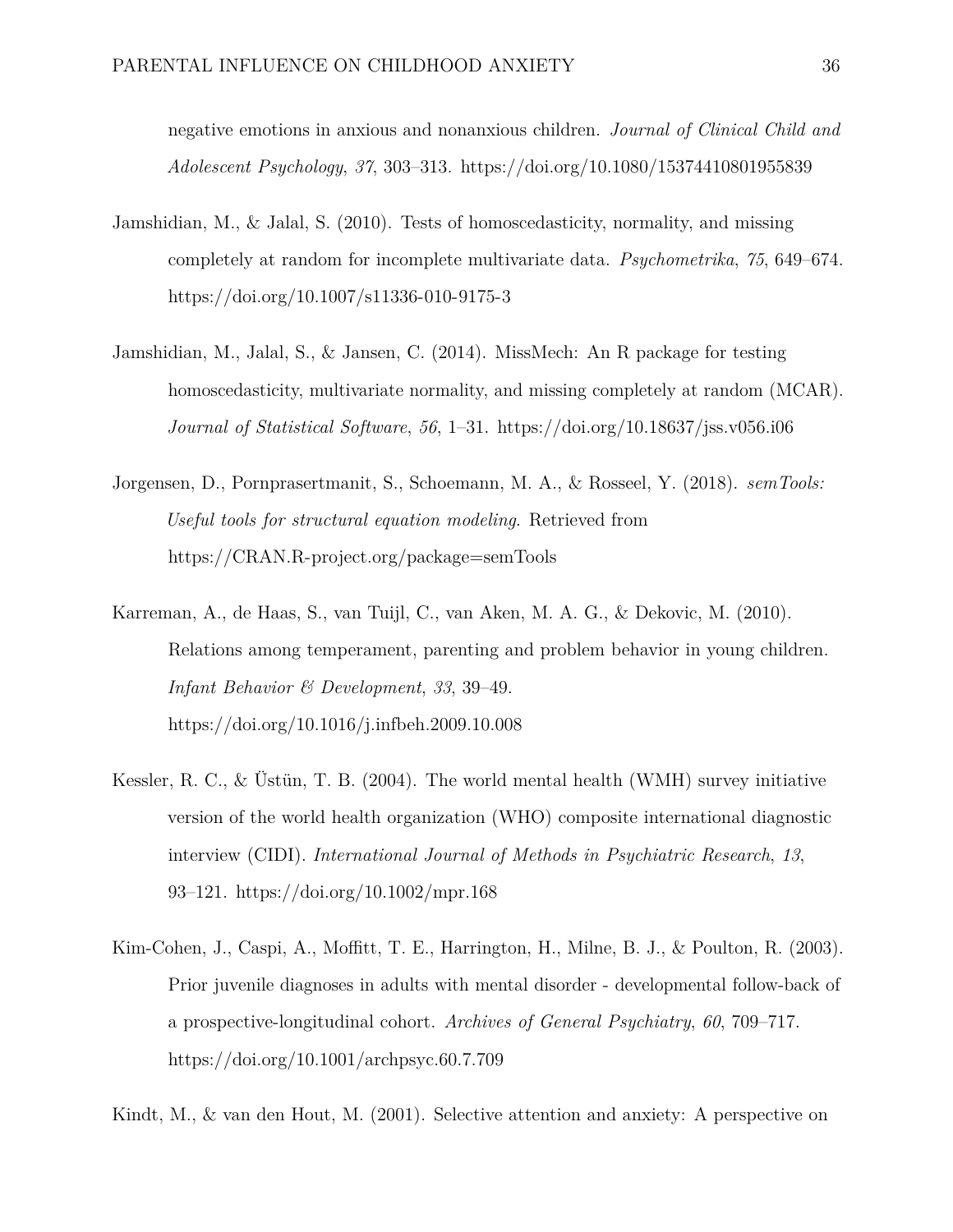negative emotions in anxious and nonanxious children. *Journal of Clinical Child and Adolescent Psychology*, *37*, 303–313.<https://doi.org/10.1080/15374410801955839>

- Jamshidian, M., & Jalal, S. (2010). Tests of homoscedasticity, normality, and missing completely at random for incomplete multivariate data. *Psychometrika*, *75*, 649–674. <https://doi.org/10.1007/s11336-010-9175-3>
- Jamshidian, M., Jalal, S., & Jansen, C. (2014). MissMech: An R package for testing homoscedasticity, multivariate normality, and missing completely at random (MCAR). *Journal of Statistical Software*, *56*, 1–31.<https://doi.org/10.18637/jss.v056.i06>
- Jorgensen, D., Pornprasertmanit, S., Schoemann, M. A., & Rosseel, Y. (2018). *semTools: Useful tools for structural equation modeling*. Retrieved from <https://CRAN.R-project.org/package=semTools>
- Karreman, A., de Haas, S., van Tuijl, C., van Aken, M. A. G., & Dekovic, M. (2010). Relations among temperament, parenting and problem behavior in young children. *Infant Behavior & Development*, *33*, 39–49. <https://doi.org/10.1016/j.infbeh.2009.10.008>
- Kessler, R. C., & Üstün, T. B. (2004). The world mental health (WMH) survey initiative version of the world health organization (WHO) composite international diagnostic interview (CIDI). *International Journal of Methods in Psychiatric Research*, *13*, 93–121.<https://doi.org/10.1002/mpr.168>
- Kim-Cohen, J., Caspi, A., Moffitt, T. E., Harrington, H., Milne, B. J., & Poulton, R. (2003). Prior juvenile diagnoses in adults with mental disorder - developmental follow-back of a prospective-longitudinal cohort. *Archives of General Psychiatry*, *60*, 709–717. <https://doi.org/10.1001/archpsyc.60.7.709>

Kindt, M., & van den Hout, M. (2001). Selective attention and anxiety: A perspective on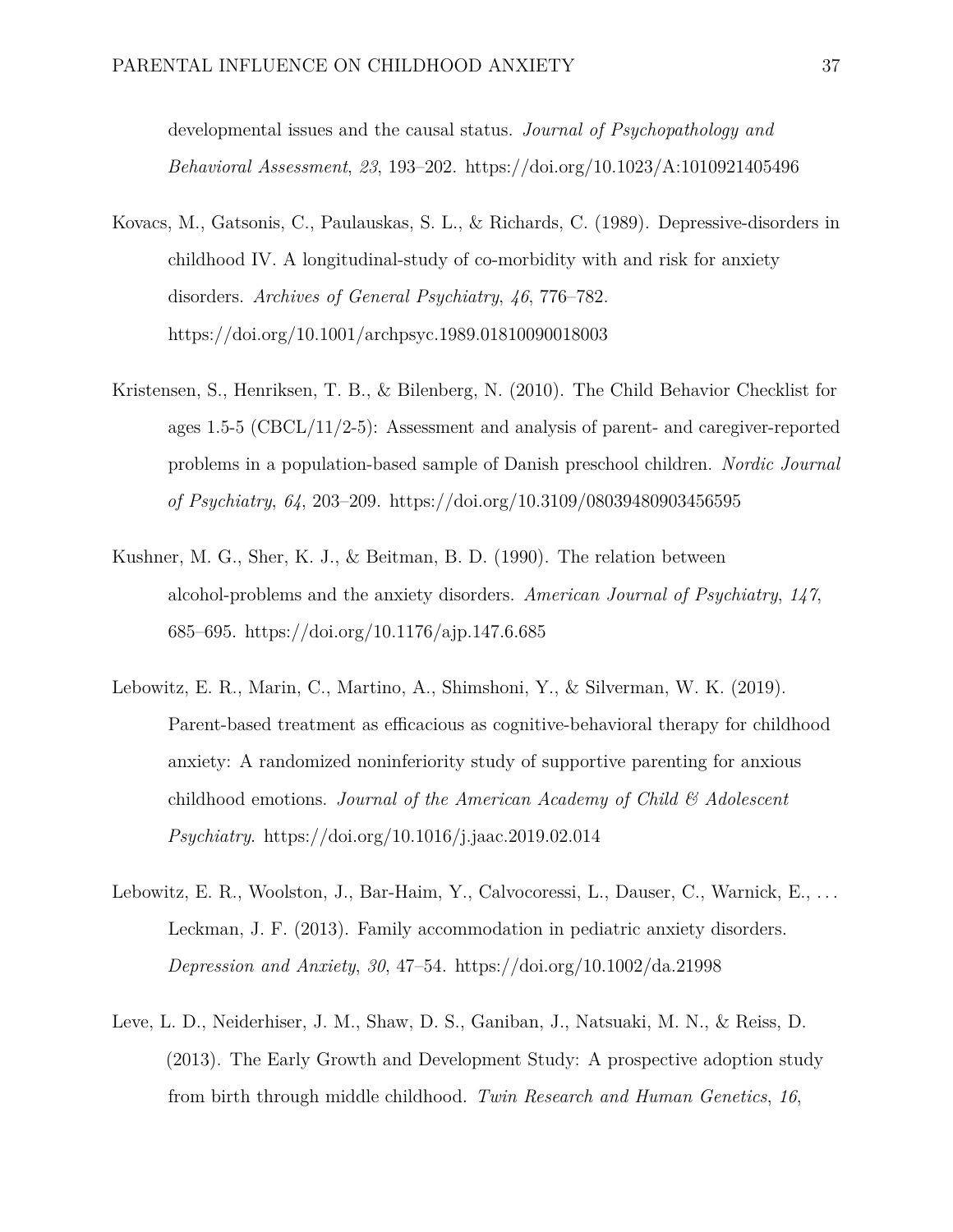developmental issues and the causal status. *Journal of Psychopathology and Behavioral Assessment*, *23*, 193–202.<https://doi.org/10.1023/A:1010921405496>

- Kovacs, M., Gatsonis, C., Paulauskas, S. L., & Richards, C. (1989). Depressive-disorders in childhood IV. A longitudinal-study of co-morbidity with and risk for anxiety disorders. *Archives of General Psychiatry*, *46*, 776–782. <https://doi.org/10.1001/archpsyc.1989.01810090018003>
- Kristensen, S., Henriksen, T. B., & Bilenberg, N. (2010). The Child Behavior Checklist for ages 1.5-5 (CBCL/11/2-5): Assessment and analysis of parent- and caregiver-reported problems in a population-based sample of Danish preschool children. *Nordic Journal of Psychiatry*, *64*, 203–209.<https://doi.org/10.3109/08039480903456595>
- Kushner, M. G., Sher, K. J., & Beitman, B. D. (1990). The relation between alcohol-problems and the anxiety disorders. *American Journal of Psychiatry*, *147*, 685–695.<https://doi.org/10.1176/ajp.147.6.685>
- Lebowitz, E. R., Marin, C., Martino, A., Shimshoni, Y., & Silverman, W. K. (2019). Parent-based treatment as efficacious as cognitive-behavioral therapy for childhood anxiety: A randomized noninferiority study of supportive parenting for anxious childhood emotions. *Journal of the American Academy of Child & Adolescent Psychiatry*.<https://doi.org/10.1016/j.jaac.2019.02.014>
- Lebowitz, E. R., Woolston, J., Bar-Haim, Y., Calvocoressi, L., Dauser, C., Warnick, E., . . . Leckman, J. F. (2013). Family accommodation in pediatric anxiety disorders. *Depression and Anxiety*, *30*, 47–54.<https://doi.org/10.1002/da.21998>
- Leve, L. D., Neiderhiser, J. M., Shaw, D. S., Ganiban, J., Natsuaki, M. N., & Reiss, D. (2013). The Early Growth and Development Study: A prospective adoption study from birth through middle childhood. *Twin Research and Human Genetics*, *16*,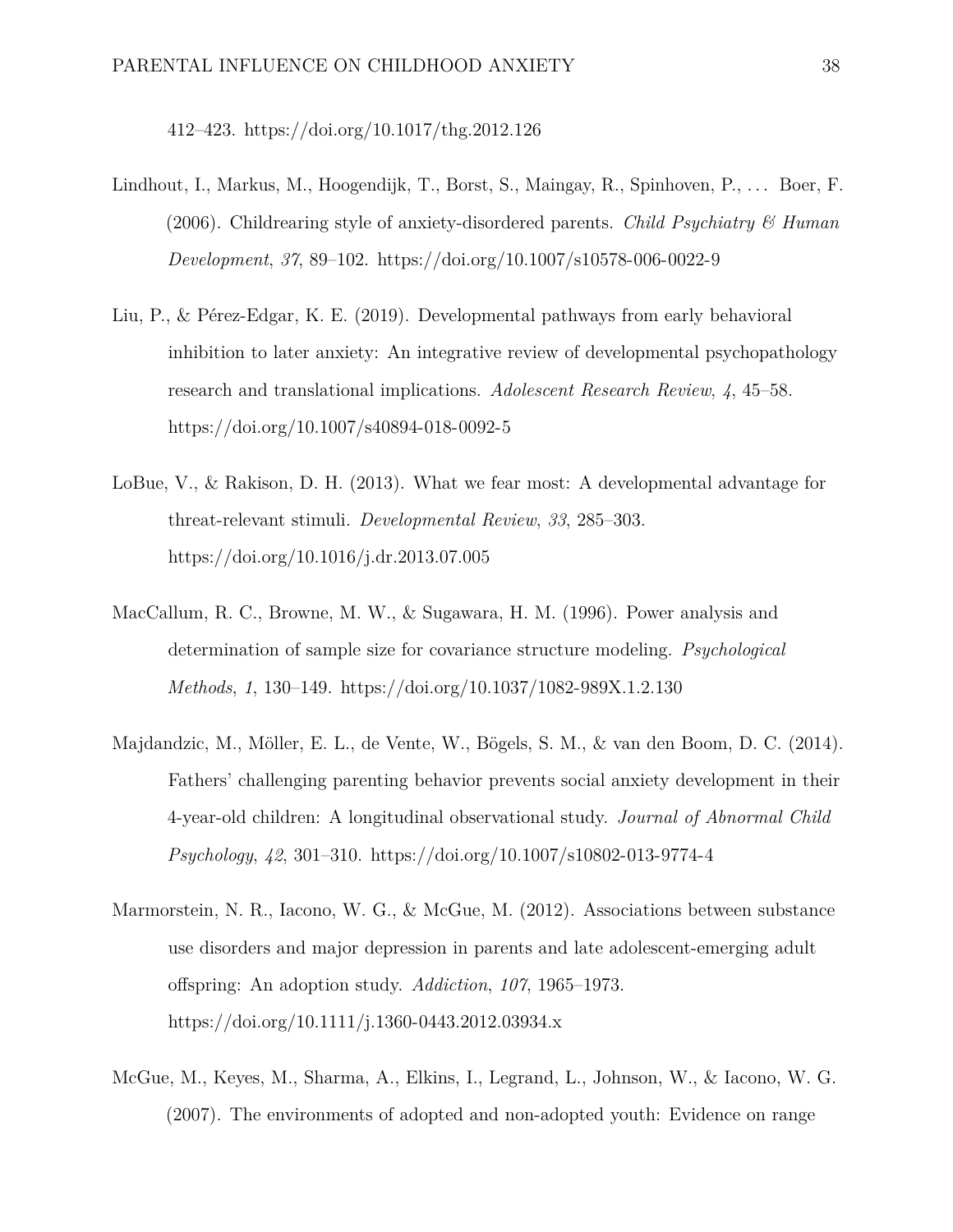412–423.<https://doi.org/10.1017/thg.2012.126>

- Lindhout, I., Markus, M., Hoogendijk, T., Borst, S., Maingay, R., Spinhoven, P., ... Boer, F. (2006). Childrearing style of anxiety-disordered parents. *Child Psychiatry & Human Development*, *37*, 89–102.<https://doi.org/10.1007/s10578-006-0022-9>
- Liu, P., & Pérez-Edgar, K. E. (2019). Developmental pathways from early behavioral inhibition to later anxiety: An integrative review of developmental psychopathology research and translational implications. *Adolescent Research Review*, *4*, 45–58. <https://doi.org/10.1007/s40894-018-0092-5>
- LoBue, V., & Rakison, D. H. (2013). What we fear most: A developmental advantage for threat-relevant stimuli. *Developmental Review*, *33*, 285–303. <https://doi.org/10.1016/j.dr.2013.07.005>
- MacCallum, R. C., Browne, M. W., & Sugawara, H. M. (1996). Power analysis and determination of sample size for covariance structure modeling. *Psychological Methods*, *1*, 130–149.<https://doi.org/10.1037/1082-989X.1.2.130>
- Majdandzic, M., Möller, E. L., de Vente, W., Bögels, S. M., & van den Boom, D. C. (2014). Fathers' challenging parenting behavior prevents social anxiety development in their 4-year-old children: A longitudinal observational study. *Journal of Abnormal Child Psychology*, *42*, 301–310.<https://doi.org/10.1007/s10802-013-9774-4>
- Marmorstein, N. R., Iacono, W. G., & McGue, M. (2012). Associations between substance use disorders and major depression in parents and late adolescent-emerging adult offspring: An adoption study. *Addiction*, *107*, 1965–1973. <https://doi.org/10.1111/j.1360-0443.2012.03934.x>
- McGue, M., Keyes, M., Sharma, A., Elkins, I., Legrand, L., Johnson, W., & Iacono, W. G. (2007). The environments of adopted and non-adopted youth: Evidence on range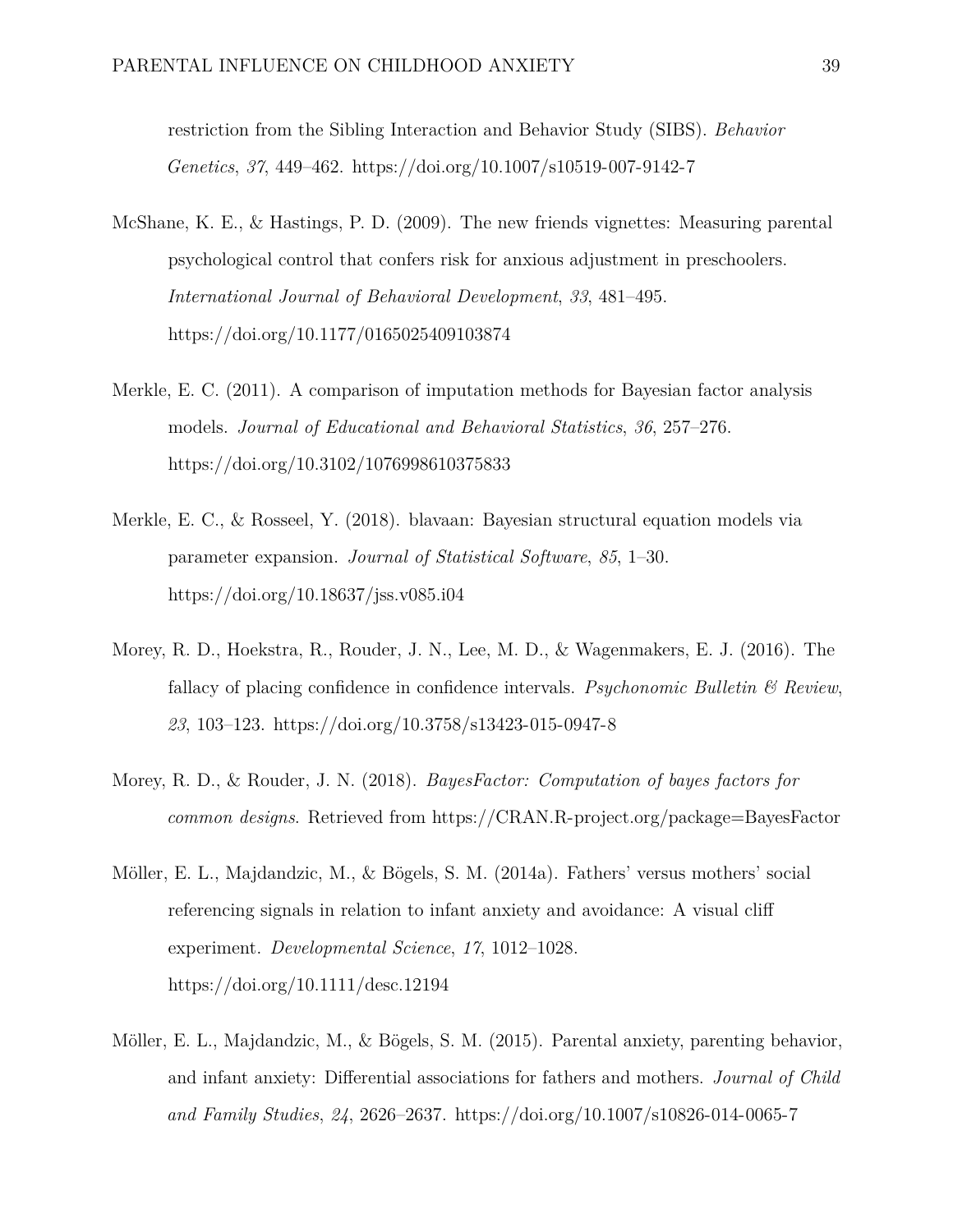restriction from the Sibling Interaction and Behavior Study (SIBS). *Behavior Genetics*, *37*, 449–462.<https://doi.org/10.1007/s10519-007-9142-7>

- McShane, K. E., & Hastings, P. D. (2009). The new friends vignettes: Measuring parental psychological control that confers risk for anxious adjustment in preschoolers. *International Journal of Behavioral Development*, *33*, 481–495. <https://doi.org/10.1177/0165025409103874>
- Merkle, E. C. (2011). A comparison of imputation methods for Bayesian factor analysis models. *Journal of Educational and Behavioral Statistics*, *36*, 257–276. <https://doi.org/10.3102/1076998610375833>
- Merkle, E. C., & Rosseel, Y. (2018). blavaan: Bayesian structural equation models via parameter expansion. *Journal of Statistical Software*, *85*, 1–30. <https://doi.org/10.18637/jss.v085.i04>
- Morey, R. D., Hoekstra, R., Rouder, J. N., Lee, M. D., & Wagenmakers, E. J. (2016). The fallacy of placing confidence in confidence intervals. *Psychonomic Bulletin & Review*, *23*, 103–123.<https://doi.org/10.3758/s13423-015-0947-8>
- Morey, R. D., & Rouder, J. N. (2018). *BayesFactor: Computation of bayes factors for common designs*. Retrieved from<https://CRAN.R-project.org/package=BayesFactor>
- Möller, E. L., Majdandzic, M., & Bögels, S. M. (2014a). Fathers' versus mothers' social referencing signals in relation to infant anxiety and avoidance: A visual cliff experiment. *Developmental Science*, *17*, 1012–1028. <https://doi.org/10.1111/desc.12194>
- Möller, E. L., Majdandzic, M., & Bögels, S. M. (2015). Parental anxiety, parenting behavior, and infant anxiety: Differential associations for fathers and mothers. *Journal of Child and Family Studies*, *24*, 2626–2637.<https://doi.org/10.1007/s10826-014-0065-7>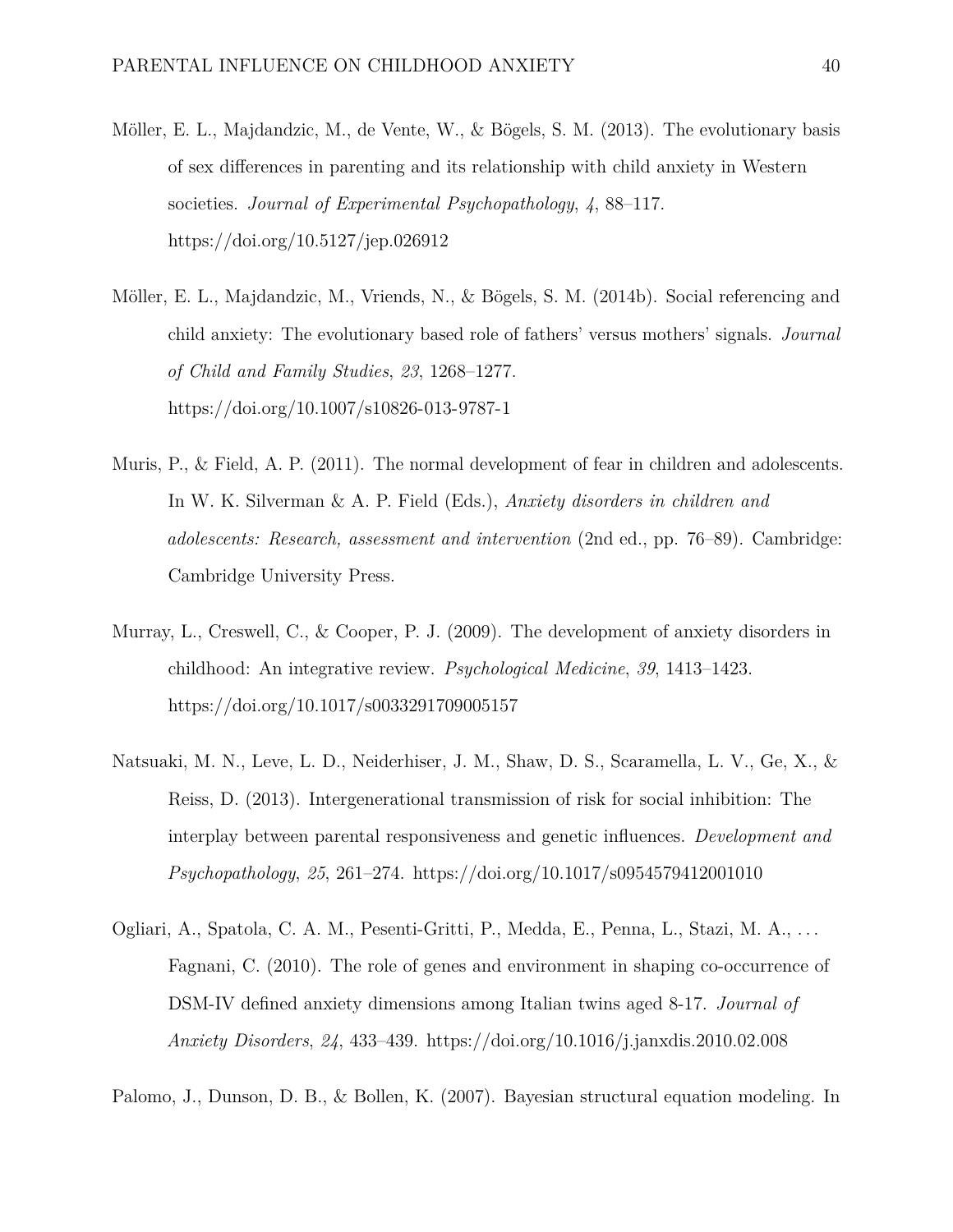- Möller, E. L., Majdandzic, M., de Vente, W., & Bögels, S. M. (2013). The evolutionary basis of sex differences in parenting and its relationship with child anxiety in Western societies. *Journal of Experimental Psychopathology*, *4*, 88–117. <https://doi.org/10.5127/jep.026912>
- Möller, E. L., Majdandzic, M., Vriends, N., & Bögels, S. M. (2014b). Social referencing and child anxiety: The evolutionary based role of fathers' versus mothers' signals. *Journal of Child and Family Studies*, *23*, 1268–1277. <https://doi.org/10.1007/s10826-013-9787-1>
- Muris, P., & Field, A. P. (2011). The normal development of fear in children and adolescents. In W. K. Silverman & A. P. Field (Eds.), *Anxiety disorders in children and adolescents: Research, assessment and intervention* (2nd ed., pp. 76–89). Cambridge: Cambridge University Press.
- Murray, L., Creswell, C., & Cooper, P. J. (2009). The development of anxiety disorders in childhood: An integrative review. *Psychological Medicine*, *39*, 1413–1423. <https://doi.org/10.1017/s0033291709005157>
- Natsuaki, M. N., Leve, L. D., Neiderhiser, J. M., Shaw, D. S., Scaramella, L. V., Ge, X., & Reiss, D. (2013). Intergenerational transmission of risk for social inhibition: The interplay between parental responsiveness and genetic influences. *Development and Psychopathology*, *25*, 261–274.<https://doi.org/10.1017/s0954579412001010>
- Ogliari, A., Spatola, C. A. M., Pesenti-Gritti, P., Medda, E., Penna, L., Stazi, M. A., . . . Fagnani, C. (2010). The role of genes and environment in shaping co-occurrence of DSM-IV defined anxiety dimensions among Italian twins aged 8-17. *Journal of Anxiety Disorders*, *24*, 433–439.<https://doi.org/10.1016/j.janxdis.2010.02.008>

Palomo, J., Dunson, D. B., & Bollen, K. (2007). Bayesian structural equation modeling. In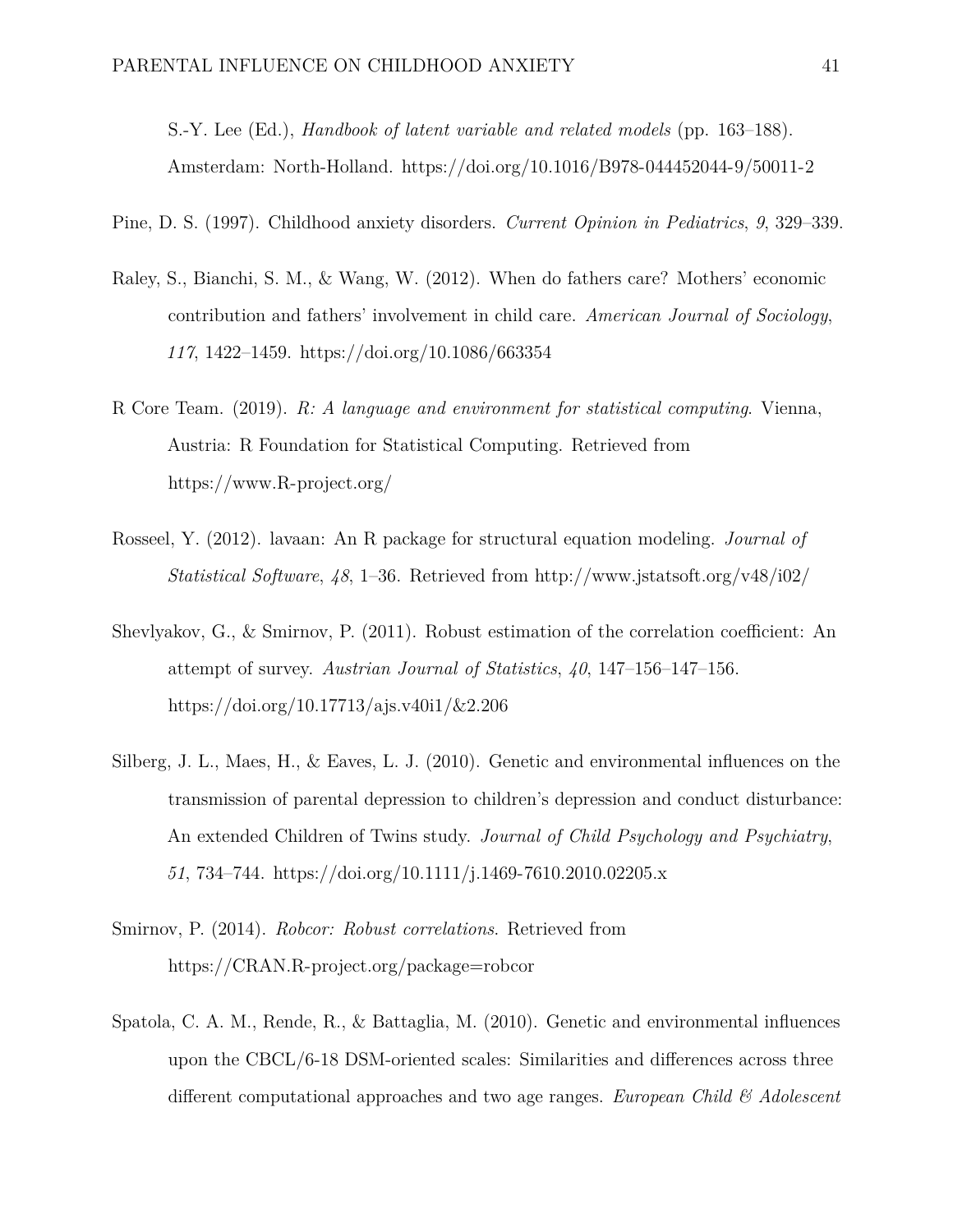S.-Y. Lee (Ed.), *Handbook of latent variable and related models* (pp. 163–188). Amsterdam: North-Holland.<https://doi.org/10.1016/B978-044452044-9/50011-2>

Pine, D. S. (1997). Childhood anxiety disorders. *Current Opinion in Pediatrics*, *9*, 329–339.

- Raley, S., Bianchi, S. M., & Wang, W. (2012). When do fathers care? Mothers' economic contribution and fathers' involvement in child care. *American Journal of Sociology*, *117*, 1422–1459.<https://doi.org/10.1086/663354>
- R Core Team. (2019). *R: A language and environment for statistical computing*. Vienna, Austria: R Foundation for Statistical Computing. Retrieved from <https://www.R-project.org/>
- Rosseel, Y. (2012). lavaan: An R package for structural equation modeling. *Journal of Statistical Software*, *48*, 1–36. Retrieved from<http://www.jstatsoft.org/v48/i02/>
- Shevlyakov, G., & Smirnov, P. (2011). Robust estimation of the correlation coefficient: An attempt of survey. *Austrian Journal of Statistics*, *40*, 147–156–147–156. <https://doi.org/10.17713/ajs.v40i1/&2.206>
- Silberg, J. L., Maes, H., & Eaves, L. J. (2010). Genetic and environmental influences on the transmission of parental depression to children's depression and conduct disturbance: An extended Children of Twins study. *Journal of Child Psychology and Psychiatry*, *51*, 734–744.<https://doi.org/10.1111/j.1469-7610.2010.02205.x>
- Smirnov, P. (2014). *Robcor: Robust correlations*. Retrieved from <https://CRAN.R-project.org/package=robcor>
- Spatola, C. A. M., Rende, R., & Battaglia, M. (2010). Genetic and environmental influences upon the CBCL/6-18 DSM-oriented scales: Similarities and differences across three different computational approaches and two age ranges. *European Child & Adolescent*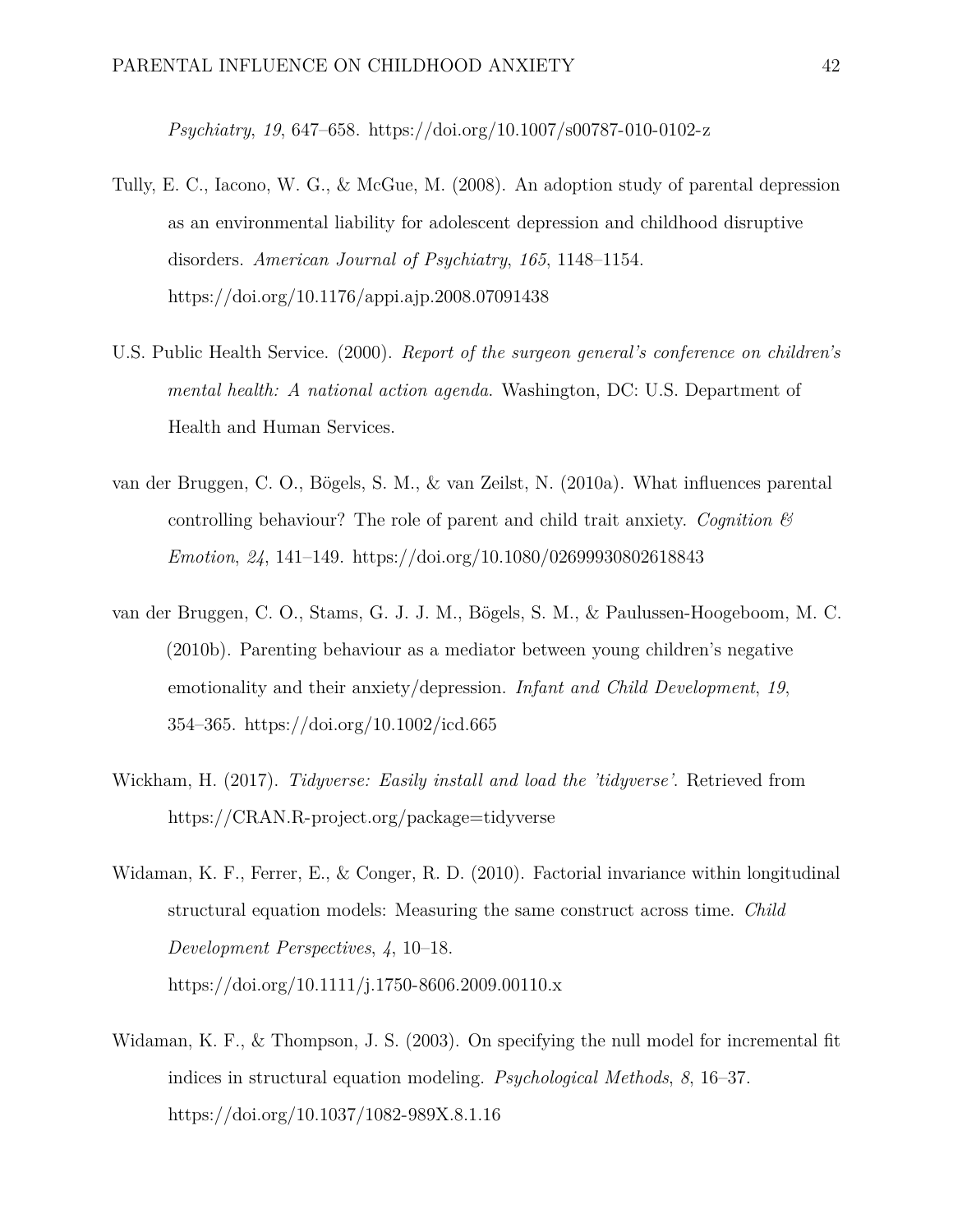*Psychiatry*, *19*, 647–658.<https://doi.org/10.1007/s00787-010-0102-z>

- Tully, E. C., Iacono, W. G., & McGue, M. (2008). An adoption study of parental depression as an environmental liability for adolescent depression and childhood disruptive disorders. *American Journal of Psychiatry*, *165*, 1148–1154. <https://doi.org/10.1176/appi.ajp.2008.07091438>
- U.S. Public Health Service. (2000). *Report of the surgeon general's conference on children's mental health: A national action agenda*. Washington, DC: U.S. Department of Health and Human Services.
- van der Bruggen, C. O., Bögels, S. M., & van Zeilst, N. (2010a). What influences parental controlling behaviour? The role of parent and child trait anxiety. *Cognition & Emotion*, *24*, 141–149.<https://doi.org/10.1080/02699930802618843>
- van der Bruggen, C. O., Stams, G. J. J. M., Bögels, S. M., & Paulussen-Hoogeboom, M. C. (2010b). Parenting behaviour as a mediator between young children's negative emotionality and their anxiety/depression. *Infant and Child Development*, *19*, 354–365.<https://doi.org/10.1002/icd.665>
- Wickham, H. (2017). *Tidyverse: Easily install and load the 'tidyverse'*. Retrieved from <https://CRAN.R-project.org/package=tidyverse>
- Widaman, K. F., Ferrer, E., & Conger, R. D. (2010). Factorial invariance within longitudinal structural equation models: Measuring the same construct across time. *Child Development Perspectives*, *4*, 10–18. <https://doi.org/10.1111/j.1750-8606.2009.00110.x>
- Widaman, K. F., & Thompson, J. S. (2003). On specifying the null model for incremental fit indices in structural equation modeling. *Psychological Methods*, *8*, 16–37. <https://doi.org/10.1037/1082-989X.8.1.16>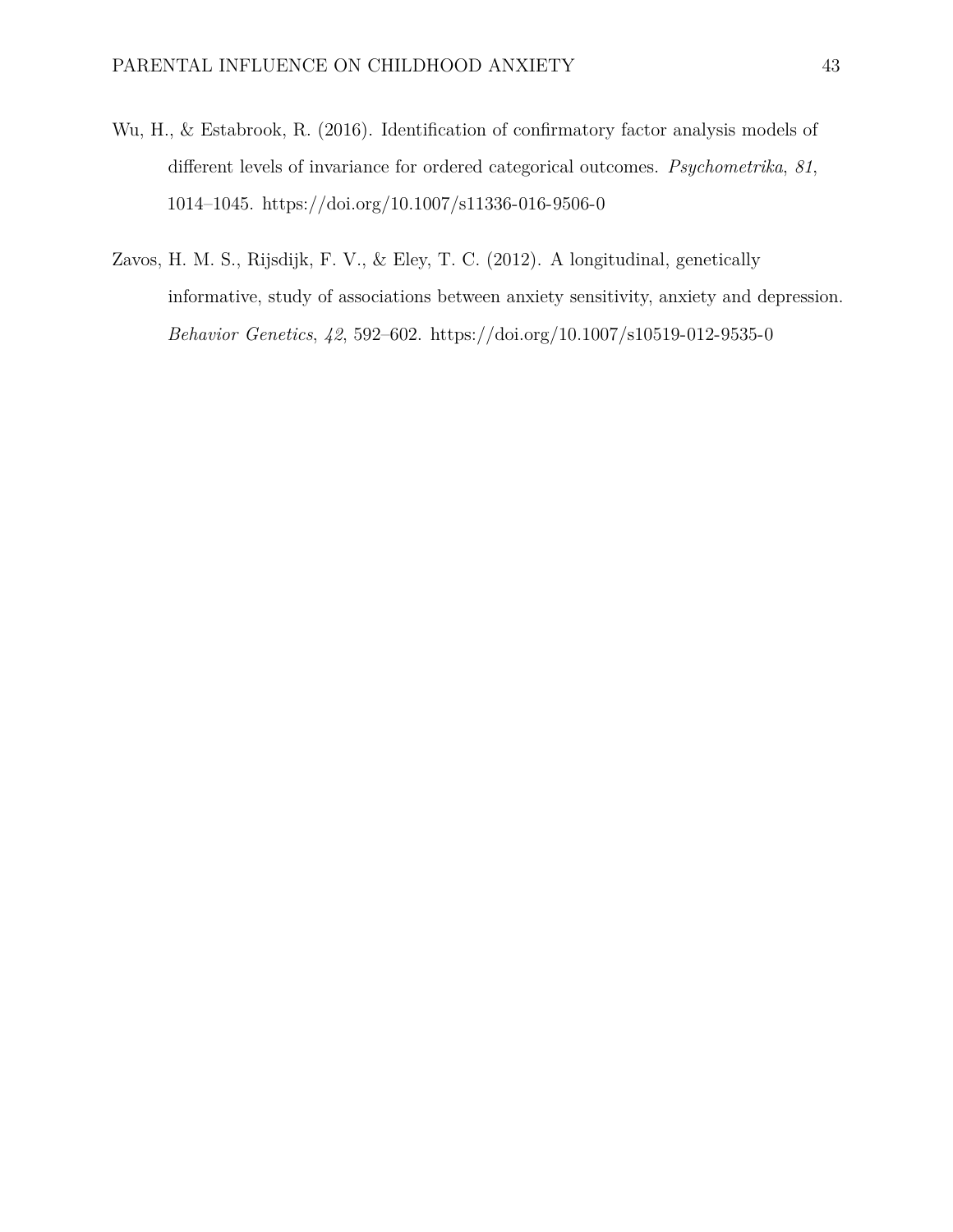- Wu, H., & Estabrook, R. (2016). Identification of confirmatory factor analysis models of different levels of invariance for ordered categorical outcomes. *Psychometrika*, *81*, 1014–1045.<https://doi.org/10.1007/s11336-016-9506-0>
- Zavos, H. M. S., Rijsdijk, F. V., & Eley, T. C. (2012). A longitudinal, genetically informative, study of associations between anxiety sensitivity, anxiety and depression. *Behavior Genetics*, *42*, 592–602.<https://doi.org/10.1007/s10519-012-9535-0>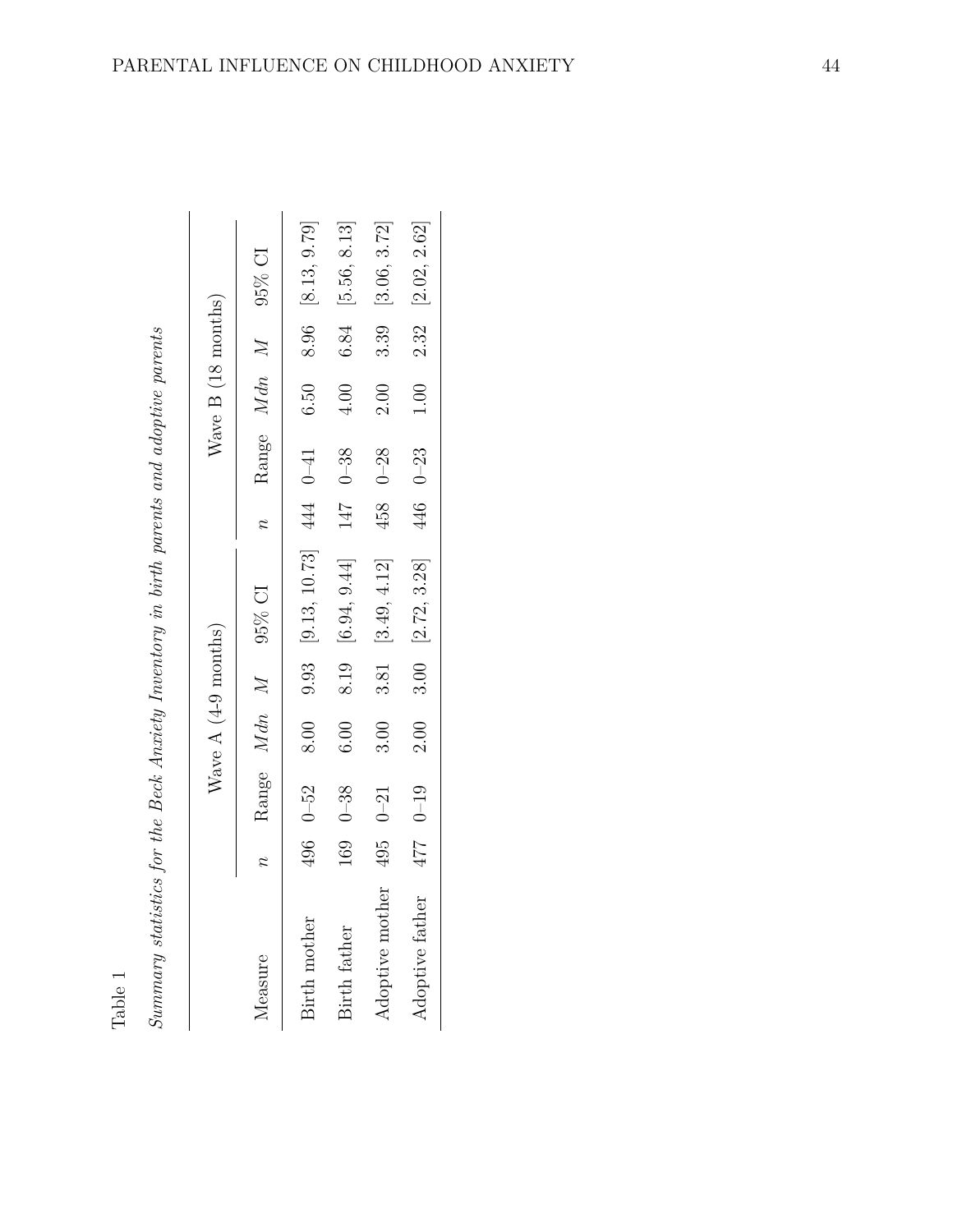|   | J                                                                    |  |
|---|----------------------------------------------------------------------|--|
|   |                                                                      |  |
|   | í                                                                    |  |
|   | ĺ<br>į                                                               |  |
|   |                                                                      |  |
|   |                                                                      |  |
|   |                                                                      |  |
|   |                                                                      |  |
|   |                                                                      |  |
|   |                                                                      |  |
|   |                                                                      |  |
|   | ì                                                                    |  |
|   |                                                                      |  |
|   | $\ddot{\phantom{a}}$                                                 |  |
|   |                                                                      |  |
|   | ì                                                                    |  |
|   | ١                                                                    |  |
|   | $\vdots$                                                             |  |
|   |                                                                      |  |
|   |                                                                      |  |
|   | l                                                                    |  |
|   |                                                                      |  |
|   |                                                                      |  |
|   |                                                                      |  |
|   | :<br>$\sim$                                                          |  |
|   |                                                                      |  |
|   | $\ddot{\phantom{0}}$<br>í                                            |  |
|   |                                                                      |  |
|   | $\ddot{\phantom{0}}$<br>$\sim$                                       |  |
|   |                                                                      |  |
|   |                                                                      |  |
|   |                                                                      |  |
|   |                                                                      |  |
|   |                                                                      |  |
|   |                                                                      |  |
|   |                                                                      |  |
|   |                                                                      |  |
| l |                                                                      |  |
|   | l                                                                    |  |
|   |                                                                      |  |
|   | J                                                                    |  |
|   | ו<br>י                                                               |  |
|   |                                                                      |  |
|   |                                                                      |  |
|   |                                                                      |  |
|   | $\ddot{\phantom{a}}$                                                 |  |
|   | j                                                                    |  |
|   | $\frac{1}{2}$<br>١                                                   |  |
| I | I                                                                    |  |
|   |                                                                      |  |
|   | b                                                                    |  |
|   |                                                                      |  |
|   |                                                                      |  |
|   | J                                                                    |  |
|   |                                                                      |  |
|   |                                                                      |  |
|   |                                                                      |  |
|   |                                                                      |  |
|   |                                                                      |  |
|   | $\sim$ $\sim$ $\sim$ $\sim$                                          |  |
|   | i                                                                    |  |
|   |                                                                      |  |
|   |                                                                      |  |
|   |                                                                      |  |
|   |                                                                      |  |
|   |                                                                      |  |
|   | $\frac{1}{2}$<br>ŝ                                                   |  |
|   |                                                                      |  |
|   | ֚֝֝֝֝֝֝֝֝֝֝֝֝֝֝֝֝֝֝֝֝֝֝<br>֧֪֝֝֝֝<br>֖֖֪֚֚֚֚֩֝֟֘֝֟֘֝֟֘֝֟֘֟֘֝֟֘֝<br>j |  |

| Summary statistics for the Beck Anxiety Inventory in birth parents and adoptive parents<br>Table 1 |     |             |                      |                                   |             |             |                    |      |                         |
|----------------------------------------------------------------------------------------------------|-----|-------------|----------------------|-----------------------------------|-------------|-------------|--------------------|------|-------------------------|
|                                                                                                    |     |             | Wave $A(4-9$ months) |                                   |             |             | Wave B (18 months) |      |                         |
| Measure                                                                                            |     | Range Mdn M |                      | 95% CI                            | $\tilde{z}$ | Range Mdn M |                    |      | $95\%$ CI               |
| Birth mother                                                                                       | 496 | $0 - 52$    | 8.00                 | $9.93$ [ $9.13, 10.73$ ] 444 0-41 |             |             | 6.50               |      | 8.96 [8.13, 9.79]       |
| Birth father                                                                                       | 169 | $0 - 38$    | 6.00                 | 8.19 [6.94, 9.44]                 | 147         | $0 - 38$    | 4.00               | 6.84 | [5.56, 8.13]            |
| F<br>Adoptive moth                                                                                 | 495 | $0 - 21$    | 3.00                 | 3.81 [3.49, 4.12]                 | 458         | $0 - 28$    | 2.00               | 3.39 | [3.06, 3.72]            |
| Adoptive father                                                                                    | 477 | $0 - 19$    | 2.00                 | $3.00$ [ $2.72, 3.28$ ]           |             | 446 0-23    | $1.00\,$           |      | $2.32$ [ $2.02, 2.62$ ] |
|                                                                                                    |     |             |                      |                                   |             |             |                    |      |                         |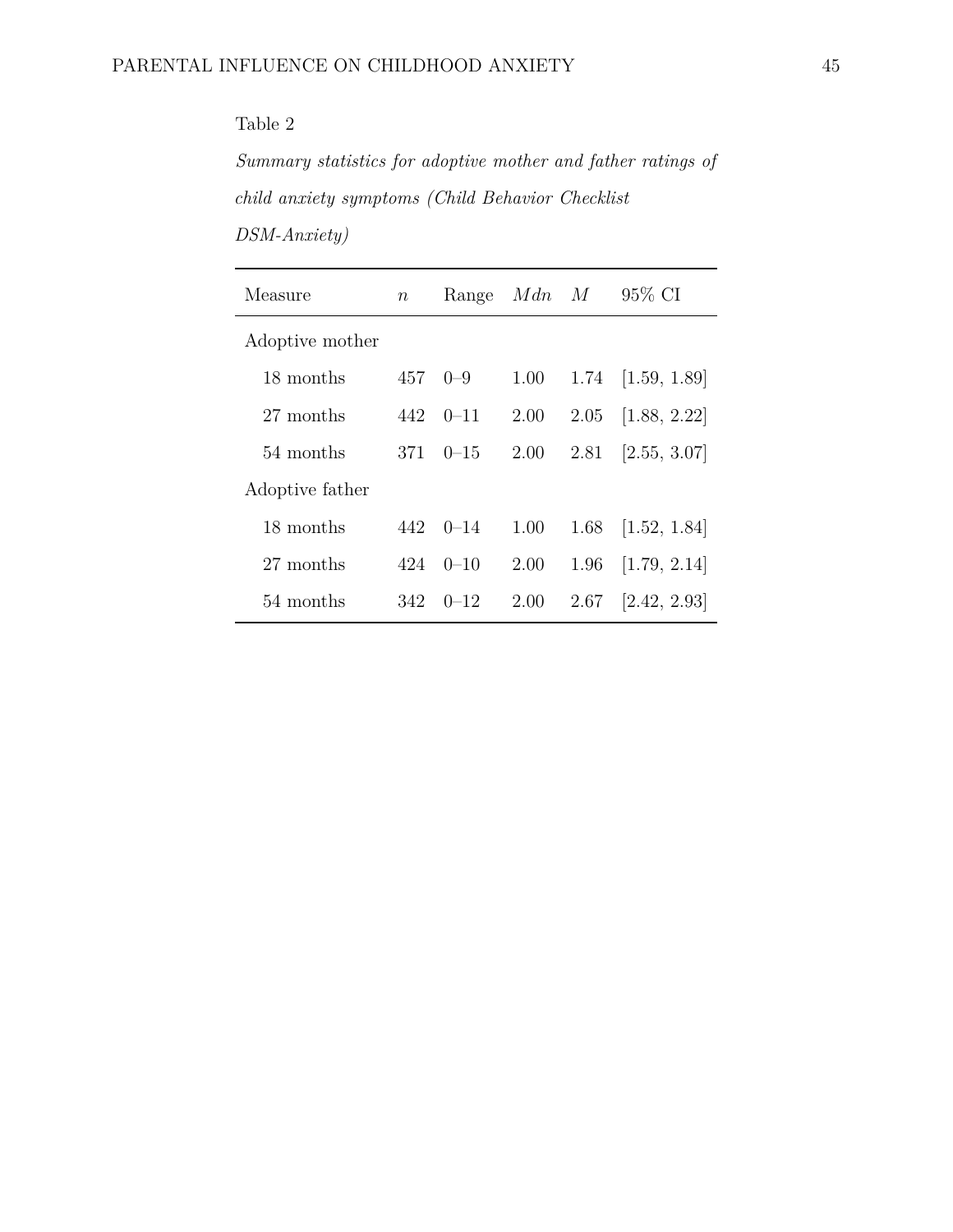*Summary statistics for adoptive mother and father ratings of child anxiety symptoms (Child Behavior Checklist*

| $DSM-Anxity)$ |  |
|---------------|--|

| Measure         | $\boldsymbol{n}$ | Range    | Mdn  | M    | 95\% CI                 |
|-----------------|------------------|----------|------|------|-------------------------|
| Adoptive mother |                  |          |      |      |                         |
| 18 months       | 457              | $0 - 9$  | 1.00 | 1.74 | [1.59, 1.89]            |
| 27 months       | 442              | $0 - 11$ | 2.00 | 2.05 | [1.88, 2.22]            |
| 54 months       | 371              | $0 - 15$ | 2.00 |      | $2.81$ [ $2.55, 3.07$ ] |
| Adoptive father |                  |          |      |      |                         |
| 18 months       | 442.             | $0 - 14$ | 1.00 | 1.68 | [1.52, 1.84]            |
| 27 months       | 424              | $0 - 10$ | 2.00 | 1.96 | [1.79, 2.14]            |
| 54 months       | 342              | $0 - 12$ | 2.00 | 2.67 | [2.42, 2.93]            |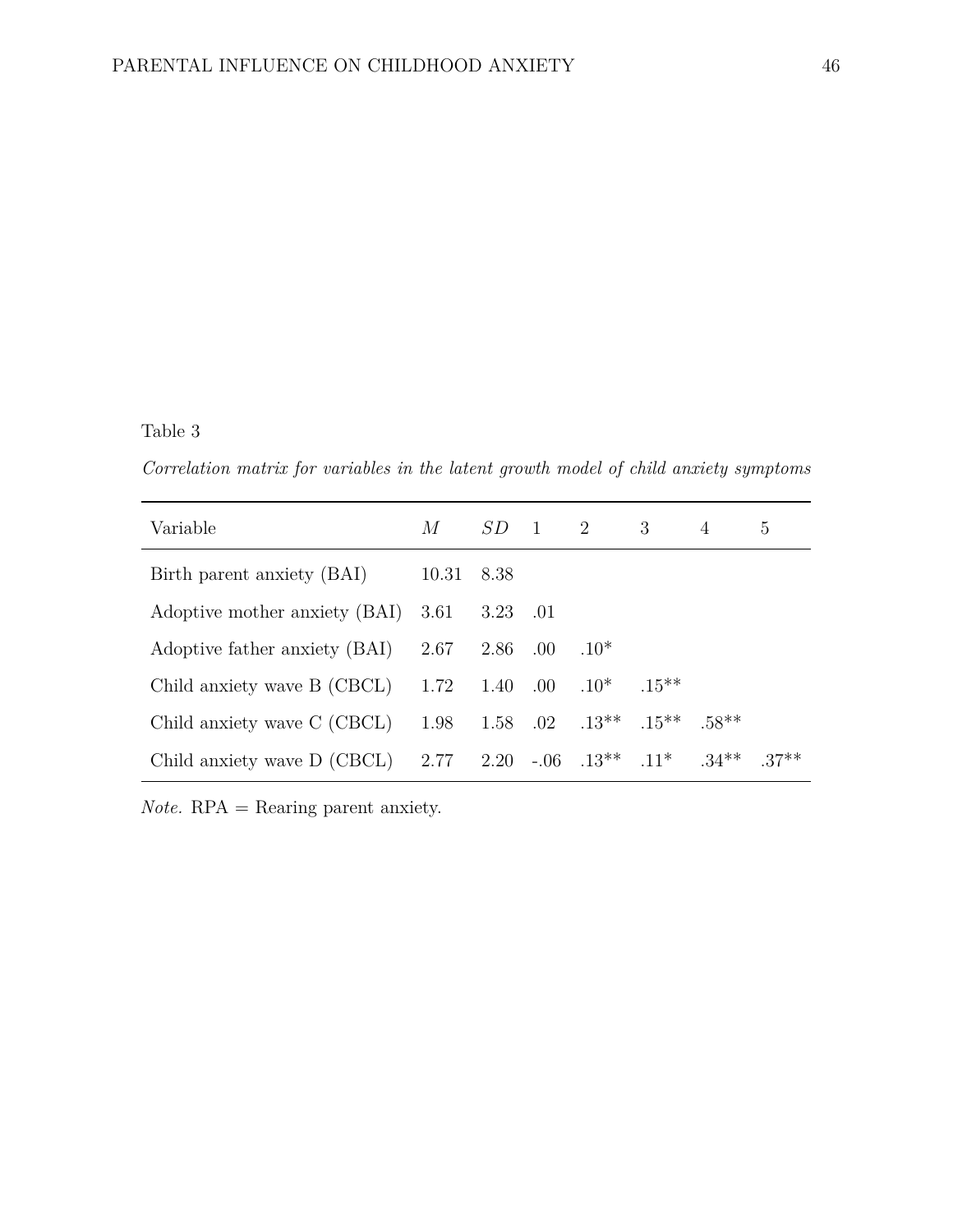*Correlation matrix for variables in the latent growth model of child anxiety symptoms*

| Variable                             | М          |          |         | $SD \quad 1 \quad 2 \quad 3$     |          | 4        | 5       |
|--------------------------------------|------------|----------|---------|----------------------------------|----------|----------|---------|
| Birth parent anxiety (BAI)           | 10.31 8.38 |          |         |                                  |          |          |         |
| Adoptive mother anxiety (BAI)        | 3.61       | 3.23 .01 |         |                                  |          |          |         |
| Adoptive father anxiety (BAI)        | 2.67       | 2.86     | .00     | $.10*$                           |          |          |         |
| Child anxiety wave $B (CBCL) = 1.72$ |            | 1.40     | $.00\,$ | $.10*$                           | $.15***$ |          |         |
| Child anxiety wave C (CBCL)          | 1.98       |          |         | 1.58 .02 .13** .15**             |          | $.58**$  |         |
| Child anxiety wave $D (CBCL) = 2.77$ |            |          |         | $2.20 - 0.06$ $.13^{**}$ $.11^*$ |          | $.34***$ | $.37**$ |

*Note.* RPA = Rearing parent anxiety.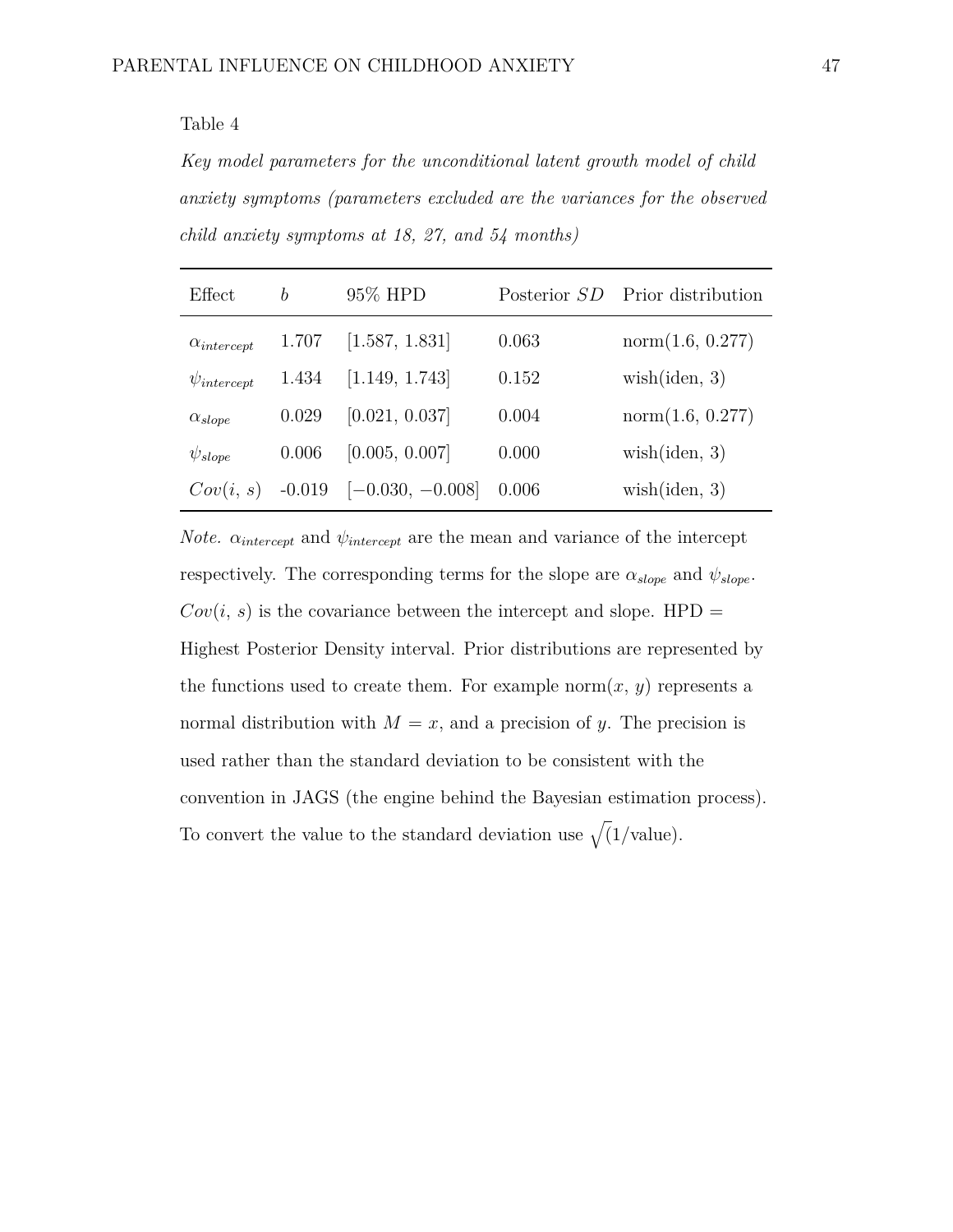*Key model parameters for the unconditional latent growth model of child anxiety symptoms (parameters excluded are the variances for the observed child anxiety symptoms at 18, 27, and 54 months)*

| Effect               | b     | 95% HPD                     |       | Posterior SD Prior distribution |
|----------------------|-------|-----------------------------|-------|---------------------------------|
| $\alpha_{intercept}$ | 1.707 | [1.587, 1.831]              | 0.063 | norm(1.6, 0.277)                |
| $\psi_{intercept}$   | 1.434 | [1.149, 1.743]              | 0.152 | wish(iden, 3)                   |
| $\alpha_{slope}$     | 0.029 | [0.021, 0.037]              | 0.004 | norm(1.6, 0.277)                |
| $\psi_{slope}$       | 0.006 | [0.005, 0.007]              | 0.000 | wish(iden, 3)                   |
| Cov(i, s)            |       | $-0.019$ $[-0.030, -0.008]$ | 0.006 | wish(iden, 3)                   |

*Note.*  $\alpha_{intercept}$  and  $\psi_{intercept}$  are the mean and variance of the intercept respectively. The corresponding terms for the slope are  $\alpha_{slope}$  and  $\psi_{slope}$ .  $Cov(i, s)$  is the covariance between the intercept and slope. HPD = Highest Posterior Density interval. Prior distributions are represented by the functions used to create them. For example norm $(x, y)$  represents a normal distribution with  $M = x$ , and a precision of *y*. The precision is used rather than the standard deviation to be consistent with the convention in JAGS (the engine behind the Bayesian estimation process). To convert the value to the standard deviation use  $\sqrt{(1/\text{value})}$ .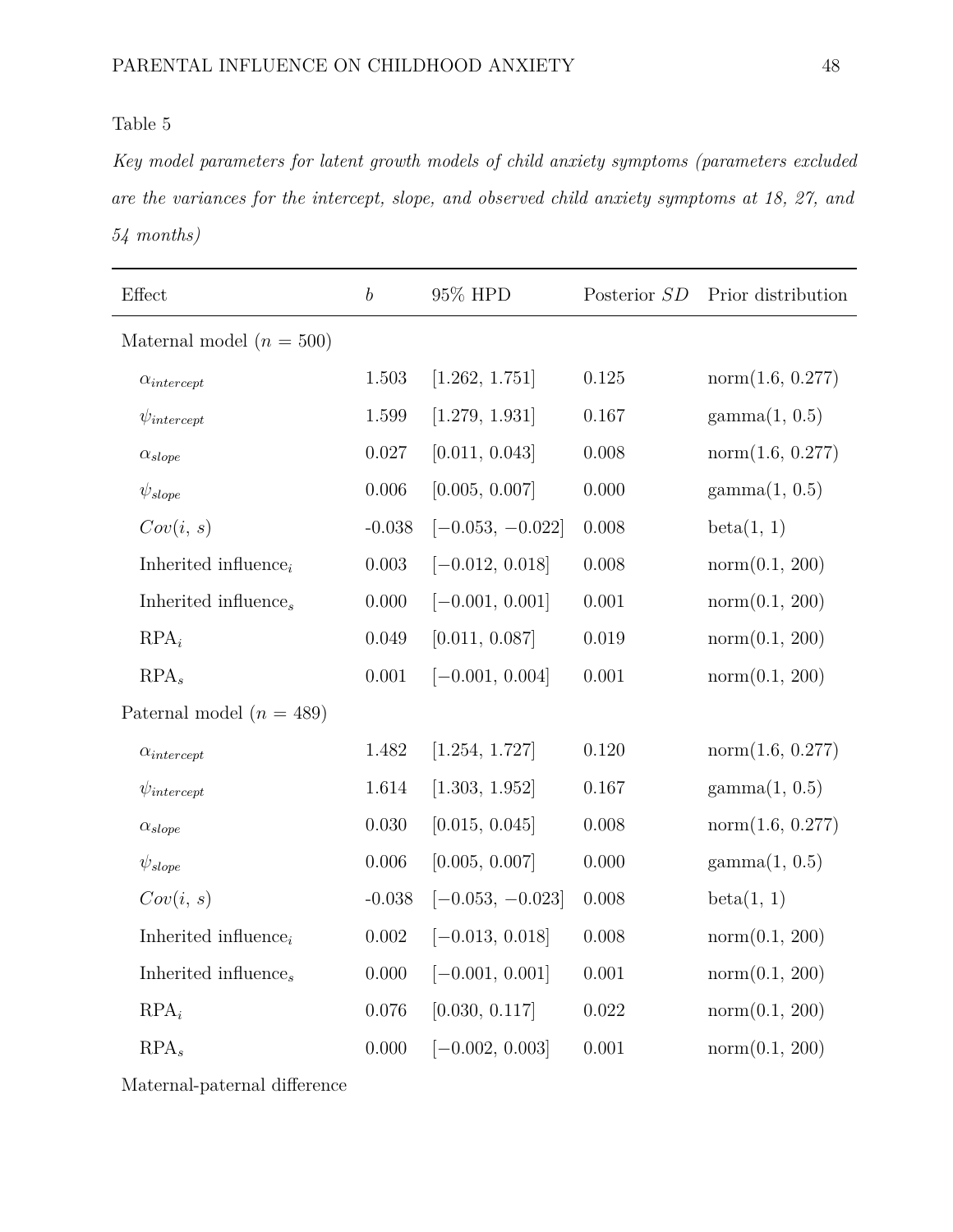<span id="page-48-0"></span>*Key model parameters for latent growth models of child anxiety symptoms (parameters excluded are the variances for the intercept, slope, and observed child anxiety symptoms at 18, 27, and 54 months)*

| $\operatorname{Effect}$      | $\boldsymbol{b}$ | 95% HPD            | Posterior SD | Prior distribution     |
|------------------------------|------------------|--------------------|--------------|------------------------|
| Maternal model $(n = 500)$   |                  |                    |              |                        |
| $\alpha_{intercept}$         | 1.503            | [1.262, 1.751]     | 0.125        | norm(1.6, 0.277)       |
| $\psi_{intercept}$           | 1.599            | [1.279, 1.931]     | 0.167        | $\text{gamma}(1, 0.5)$ |
| $\alpha_{slope}$             | $0.027\,$        | [0.011, 0.043]     | 0.008        | norm(1.6, 0.277)       |
| $\psi_{slope}$               | 0.006            | [0.005, 0.007]     | 0.000        | $\text{gamma}(1, 0.5)$ |
| Cov(i, s)                    | $-0.038$         | $[-0.053, -0.022]$ | 0.008        | beta(1, 1)             |
| Inherited influence $_i$     | 0.003            | $[-0.012, 0.018]$  | 0.008        | norm(0.1, 200)         |
| Inherited influence,         | $0.000\,$        | $[-0.001, 0.001]$  | $0.001\,$    | norm(0.1, 200)         |
| $RPA_i$                      | 0.049            | [0.011, 0.087]     | 0.019        | norm(0.1, 200)         |
| $RPA_s$                      | $0.001\,$        | $[-0.001, 0.004]$  | 0.001        | norm(0.1, 200)         |
| Paternal model ( $n = 489$ ) |                  |                    |              |                        |
| $\alpha_{intercept}$         | $1.482\,$        | [1.254, 1.727]     | $0.120\,$    | norm(1.6, 0.277)       |
| $\psi_{intercept}$           | $1.614\,$        | [1.303, 1.952]     | $0.167\,$    | $\text{gamma}(1, 0.5)$ |
| $\alpha_{slope}$             | 0.030            | [0.015, 0.045]     | 0.008        | norm(1.6, 0.277)       |
| $\psi_{slope}$               | 0.006            | [0.005, 0.007]     | 0.000        | gamma(1, 0.5)          |
| Cov(i, s)                    | $-0.038$         | $[-0.053, -0.023]$ | 0.008        | beta(1, 1)             |
| Inherited influence $_i$     | $0.002\,$        | $[-0.013, 0.018]$  | 0.008        | norm(0.1, 200)         |
| Inherited influence,         | $0.000\,$        | $[-0.001, 0.001]$  | 0.001        | norm(0.1, 200)         |
| $RPA_i$                      | 0.076            | [0.030, 0.117]     | 0.022        | norm(0.1, 200)         |
| $RPA_s$                      | $0.000\,$        | $[-0.002, 0.003]$  | 0.001        | norm(0.1, 200)         |

Maternal-paternal difference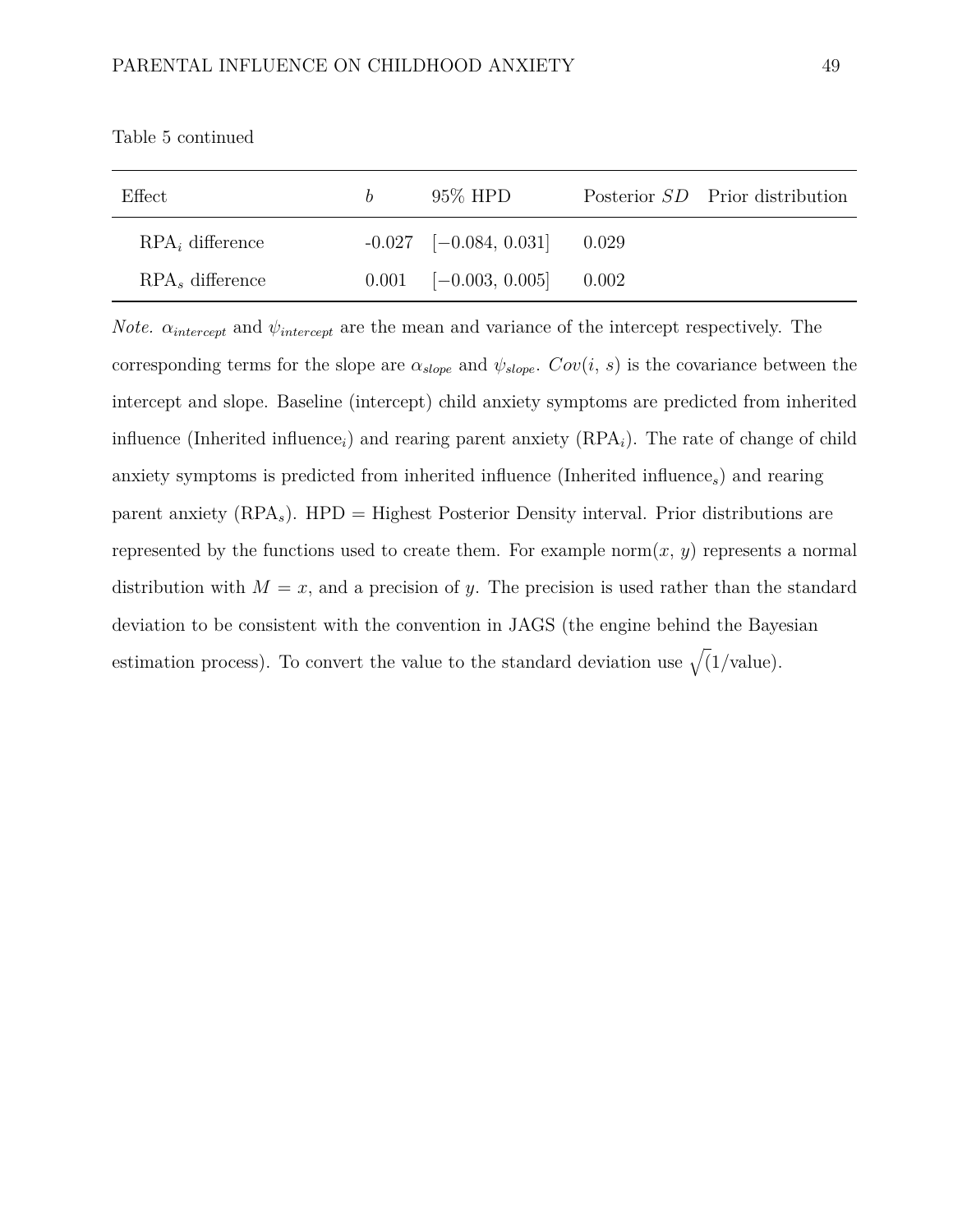| Effect             | h. | 95\% HPD                         |       | Posterior SD Prior distribution |
|--------------------|----|----------------------------------|-------|---------------------------------|
| $RPA_i$ difference |    | $-0.027$ $[-0.084, 0.031]$ 0.029 |       |                                 |
| $RPAs$ difference  |    | $0.001$ $[-0.003, 0.005]$        | 0.002 |                                 |

Table [5](#page-48-0) continued

*Note.*  $\alpha_{intercept}$  and  $\psi_{intercept}$  are the mean and variance of the intercept respectively. The corresponding terms for the slope are  $\alpha_{slope}$  and  $\psi_{slope}$ .  $Cov(i, s)$  is the covariance between the intercept and slope. Baseline (intercept) child anxiety symptoms are predicted from inherited influence (Inherited influence<sub>i</sub>) and rearing parent anxiety  $(RPA<sub>i</sub>)$ . The rate of change of child anxiety symptoms is predicted from inherited influence (Inherited influence*s*) and rearing parent anxiety (RPA*s*). HPD = Highest Posterior Density interval. Prior distributions are represented by the functions used to create them. For example norm $(x, y)$  represents a normal distribution with  $M = x$ , and a precision of *y*. The precision is used rather than the standard deviation to be consistent with the convention in JAGS (the engine behind the Bayesian estimation process). To convert the value to the standard deviation use  $\sqrt{(1/\text{value})}$ .